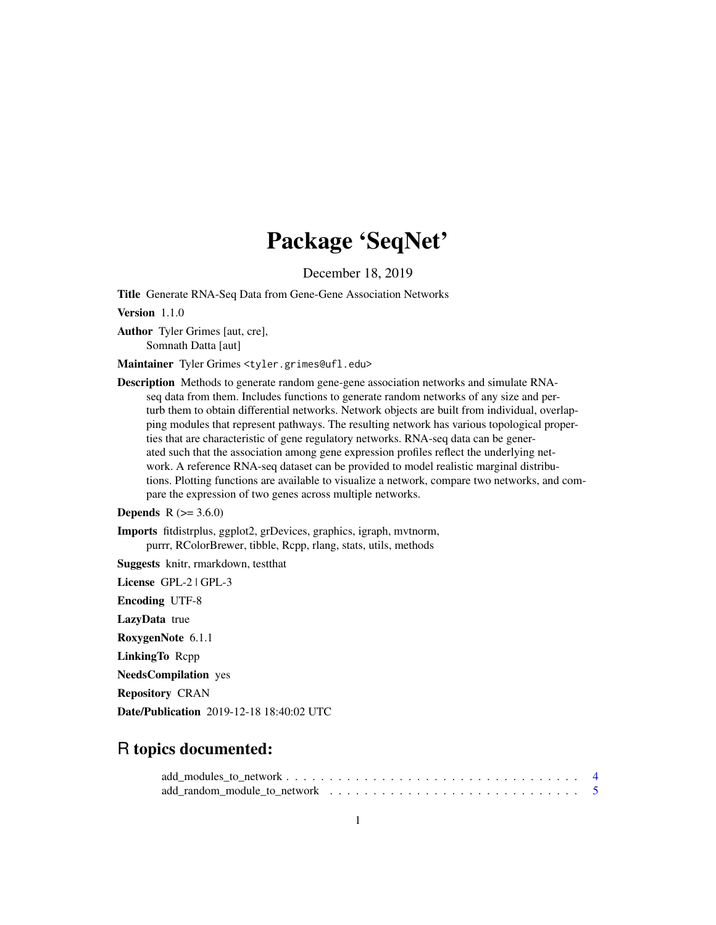# Package 'SeqNet'

December 18, 2019

<span id="page-0-0"></span>Title Generate RNA-Seq Data from Gene-Gene Association Networks

Version 1.1.0

Author Tyler Grimes [aut, cre], Somnath Datta [aut]

Maintainer Tyler Grimes <tyler.grimes@ufl.edu>

Description Methods to generate random gene-gene association networks and simulate RNAseq data from them. Includes functions to generate random networks of any size and perturb them to obtain differential networks. Network objects are built from individual, overlapping modules that represent pathways. The resulting network has various topological properties that are characteristic of gene regulatory networks. RNA-seq data can be generated such that the association among gene expression profiles reflect the underlying network. A reference RNA-seq dataset can be provided to model realistic marginal distributions. Plotting functions are available to visualize a network, compare two networks, and compare the expression of two genes across multiple networks.

# **Depends** R  $(>= 3.6.0)$

Imports fitdistrplus, ggplot2, grDevices, graphics, igraph, mvtnorm, purrr, RColorBrewer, tibble, Rcpp, rlang, stats, utils, methods

Suggests knitr, rmarkdown, testthat

License GPL-2 | GPL-3 Encoding UTF-8 LazyData true RoxygenNote 6.1.1 LinkingTo Rcpp NeedsCompilation yes Repository CRAN Date/Publication 2019-12-18 18:40:02 UTC

# R topics documented: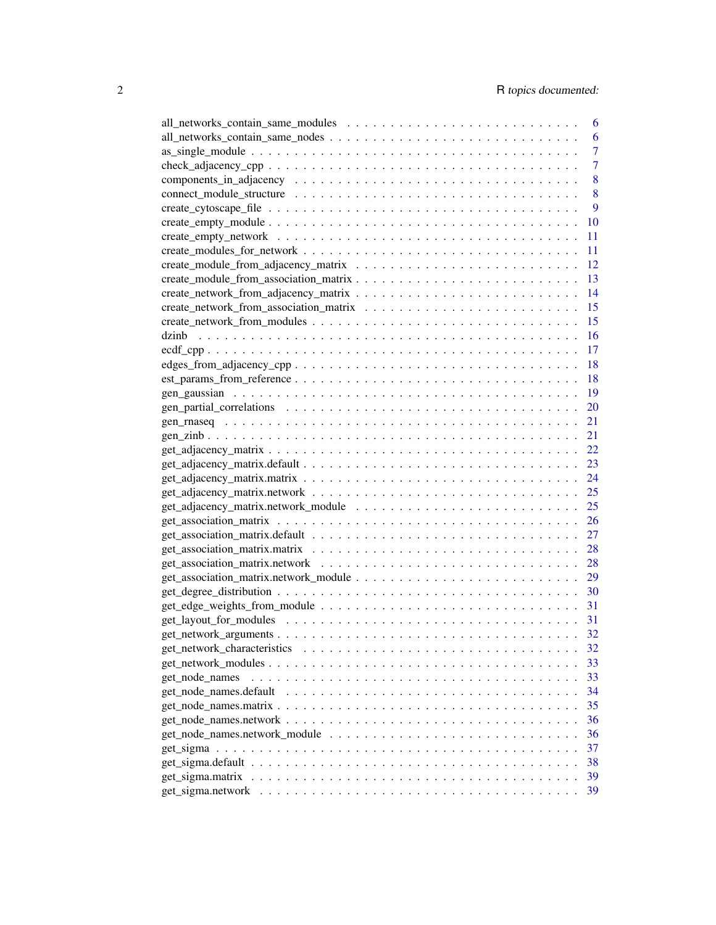|                        | 6              |
|------------------------|----------------|
|                        | 6              |
|                        | $\overline{7}$ |
|                        | $\overline{7}$ |
|                        | 8              |
|                        | 8              |
|                        | 9              |
|                        | 10             |
|                        | 11             |
|                        | 11             |
|                        | 12             |
|                        | 13             |
|                        | 14             |
|                        | 15             |
|                        | 15             |
|                        | 16             |
| $ecdf_copp$            | 17             |
|                        | 18             |
|                        | 18             |
|                        | 19             |
|                        | 20             |
|                        | 21             |
|                        | 21             |
|                        | 22             |
|                        | 23             |
|                        | 24             |
|                        |                |
|                        | 25             |
|                        | 25             |
|                        | 26             |
|                        | 27             |
|                        | 28             |
|                        | 28             |
|                        | 29             |
|                        | 30             |
|                        | 31             |
|                        |                |
|                        | 32             |
|                        | 32             |
|                        | 33             |
| get_node_names         | 33             |
| get_node_names.default | 34             |
|                        | 35             |
|                        | 36             |
|                        | 36             |
|                        | 37             |
|                        | 38             |
|                        | 39             |
|                        | 39             |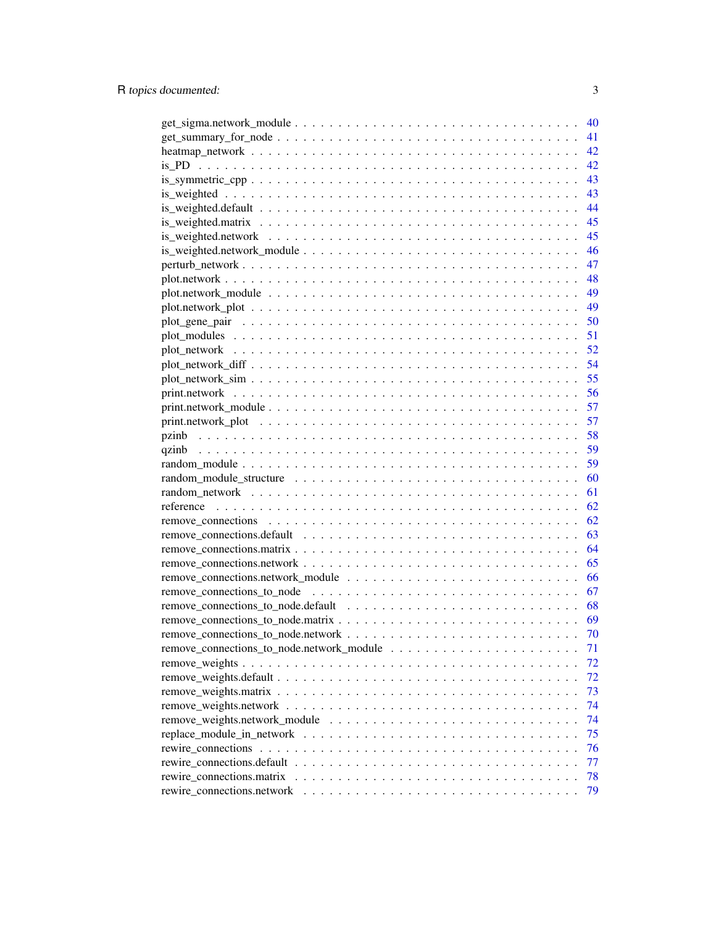|                           | 40 |
|---------------------------|----|
|                           | 41 |
|                           | 42 |
|                           | 42 |
|                           | 43 |
|                           | 43 |
|                           | 44 |
|                           | 45 |
|                           | 45 |
|                           | 46 |
|                           | 47 |
|                           | 48 |
|                           | 49 |
|                           | 49 |
|                           | 50 |
|                           | 51 |
|                           | 52 |
|                           | 54 |
|                           | 55 |
|                           | 56 |
|                           | 57 |
|                           | 57 |
|                           | 58 |
|                           | 59 |
|                           | 59 |
|                           | 60 |
|                           |    |
|                           | 61 |
|                           | 62 |
|                           | 62 |
|                           | 63 |
|                           | 64 |
|                           | 65 |
|                           | 66 |
|                           | 67 |
|                           | 68 |
|                           | 69 |
|                           | 70 |
|                           | 71 |
|                           | 72 |
|                           | 72 |
|                           | 73 |
|                           | 74 |
|                           | 74 |
|                           | 75 |
|                           | 76 |
|                           | 77 |
| rewire_connections.matrix | 78 |
|                           | 79 |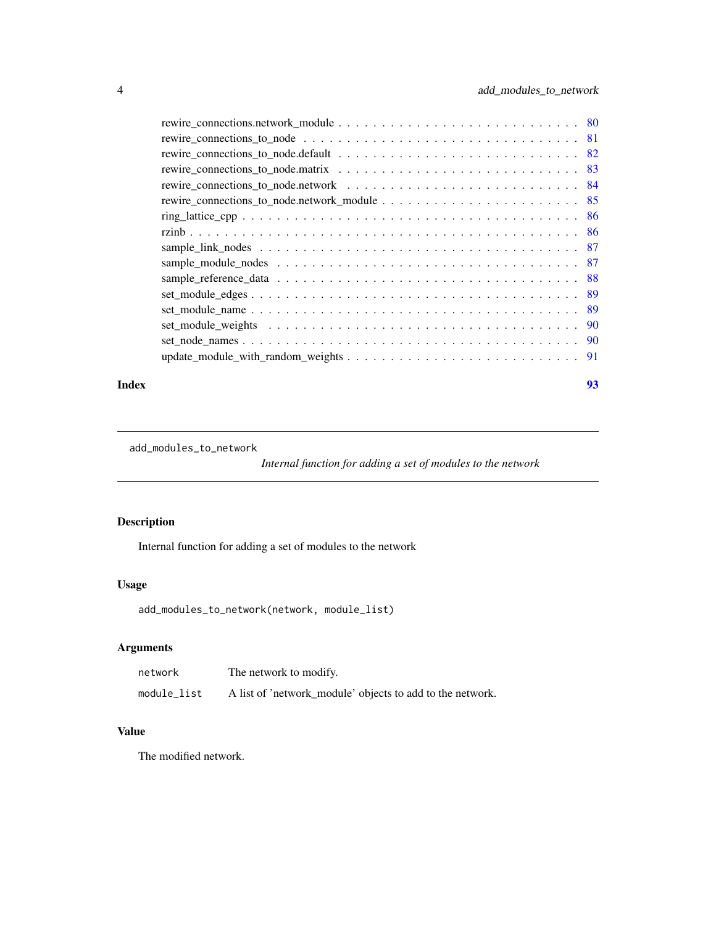<span id="page-3-0"></span>

### **Index** [93](#page-92-0)

```
add_modules_to_network
```
*Internal function for adding a set of modules to the network*

# Description

Internal function for adding a set of modules to the network

# Usage

```
add_modules_to_network(network, module_list)
```
# Arguments

| network     | The network to modify.                                    |
|-------------|-----------------------------------------------------------|
| module list | A list of 'network_module' objects to add to the network. |

# Value

The modified network.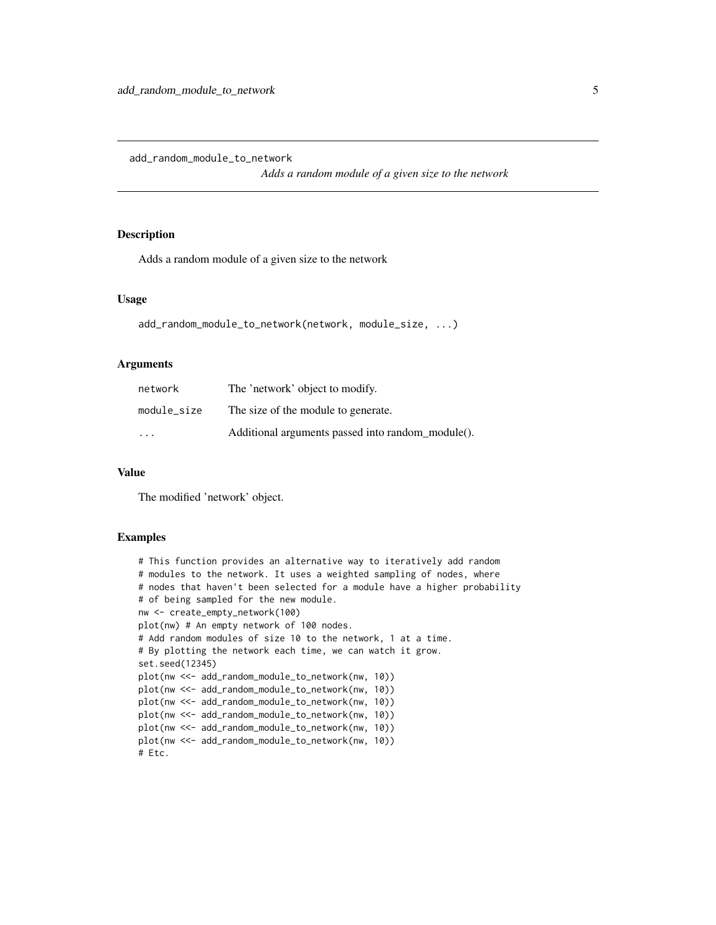<span id="page-4-0"></span>add\_random\_module\_to\_network

*Adds a random module of a given size to the network*

### Description

Adds a random module of a given size to the network

#### Usage

```
add_random_module_to_network(network, module_size, ...)
```
### Arguments

| network     | The 'network' object to modify.                   |
|-------------|---------------------------------------------------|
| module_size | The size of the module to generate.               |
| $\cdot$     | Additional arguments passed into random_module(). |

### Value

The modified 'network' object.

```
# This function provides an alternative way to iteratively add random
# modules to the network. It uses a weighted sampling of nodes, where
# nodes that haven't been selected for a module have a higher probability
# of being sampled for the new module.
nw <- create_empty_network(100)
plot(nw) # An empty network of 100 nodes.
# Add random modules of size 10 to the network, 1 at a time.
# By plotting the network each time, we can watch it grow.
set.seed(12345)
plot(nw <<- add_random_module_to_network(nw, 10))
plot(nw <<- add_random_module_to_network(nw, 10))
plot(nw <<- add_random_module_to_network(nw, 10))
plot(nw <<- add_random_module_to_network(nw, 10))
plot(nw <<- add_random_module_to_network(nw, 10))
plot(nw <<- add_random_module_to_network(nw, 10))
# Etc.
```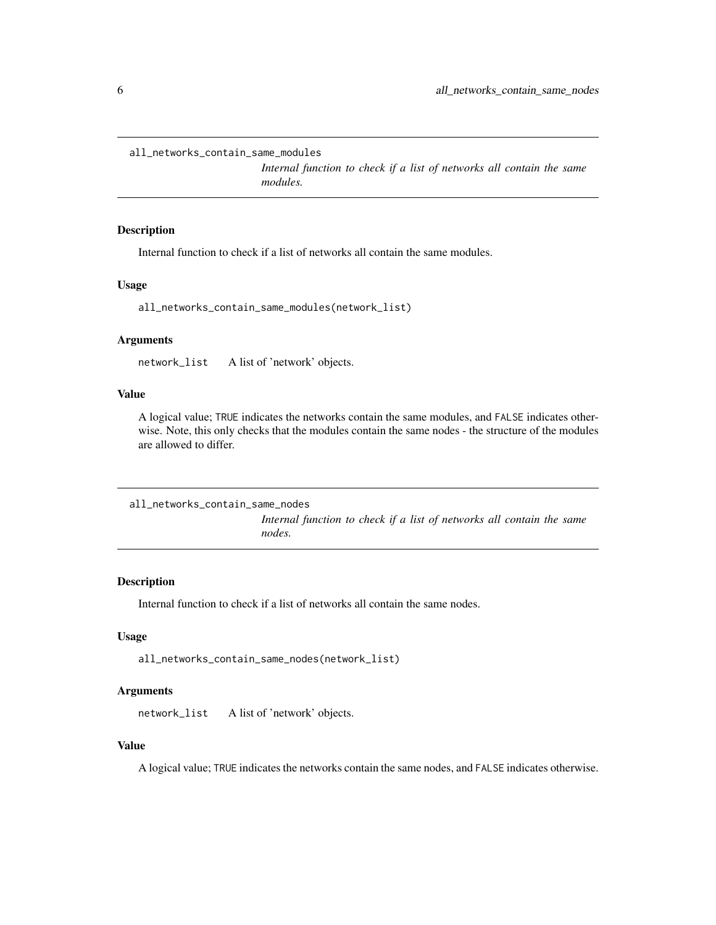<span id="page-5-0"></span>all\_networks\_contain\_same\_modules

*Internal function to check if a list of networks all contain the same modules.*

### Description

Internal function to check if a list of networks all contain the same modules.

### Usage

all\_networks\_contain\_same\_modules(network\_list)

# Arguments

network\_list A list of 'network' objects.

### Value

A logical value; TRUE indicates the networks contain the same modules, and FALSE indicates otherwise. Note, this only checks that the modules contain the same nodes - the structure of the modules are allowed to differ.

all\_networks\_contain\_same\_nodes *Internal function to check if a list of networks all contain the same nodes.*

# Description

Internal function to check if a list of networks all contain the same nodes.

### Usage

all\_networks\_contain\_same\_nodes(network\_list)

### Arguments

network\_list A list of 'network' objects.

# Value

A logical value; TRUE indicates the networks contain the same nodes, and FALSE indicates otherwise.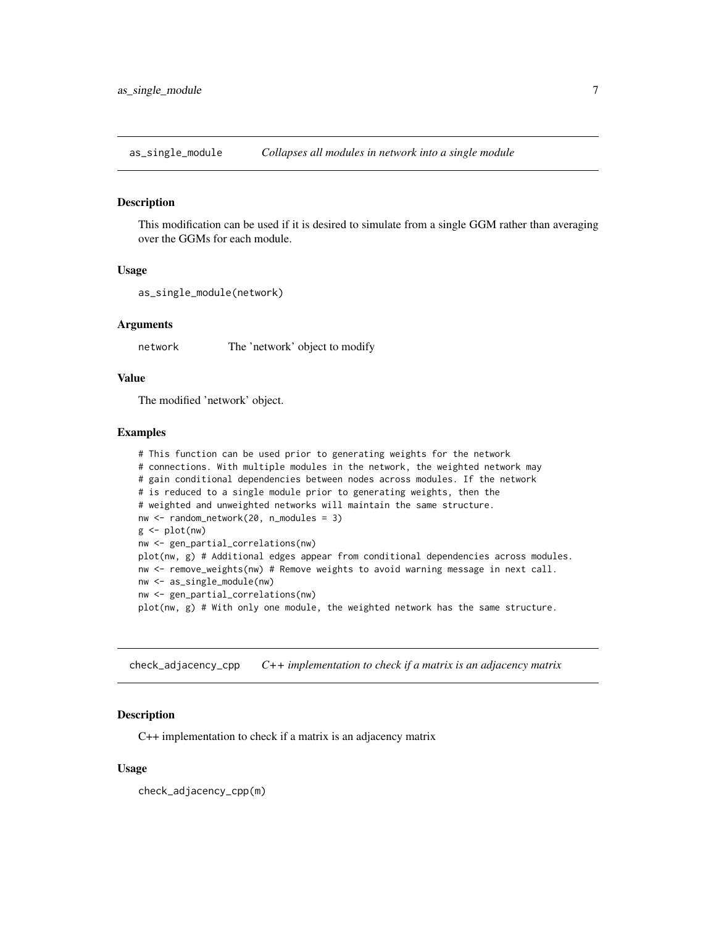<span id="page-6-0"></span>as\_single\_module *Collapses all modules in network into a single module*

#### Description

This modification can be used if it is desired to simulate from a single GGM rather than averaging over the GGMs for each module.

#### Usage

```
as_single_module(network)
```
### Arguments

network The 'network' object to modify

# Value

The modified 'network' object.

#### Examples

```
# This function can be used prior to generating weights for the network
# connections. With multiple modules in the network, the weighted network may
# gain conditional dependencies between nodes across modules. If the network
# is reduced to a single module prior to generating weights, then the
# weighted and unweighted networks will maintain the same structure.
nw <- random_network(20, n_modules = 3)
g \leftarrow plot(nw)nw <- gen_partial_correlations(nw)
plot(nw, g) # Additional edges appear from conditional dependencies across modules.
nw <- remove_weights(nw) # Remove weights to avoid warning message in next call.
nw <- as_single_module(nw)
nw <- gen_partial_correlations(nw)
plot(nw, g) # With only one module, the weighted network has the same structure.
```
check\_adjacency\_cpp *C++ implementation to check if a matrix is an adjacency matrix*

### Description

C++ implementation to check if a matrix is an adjacency matrix

### Usage

check\_adjacency\_cpp(m)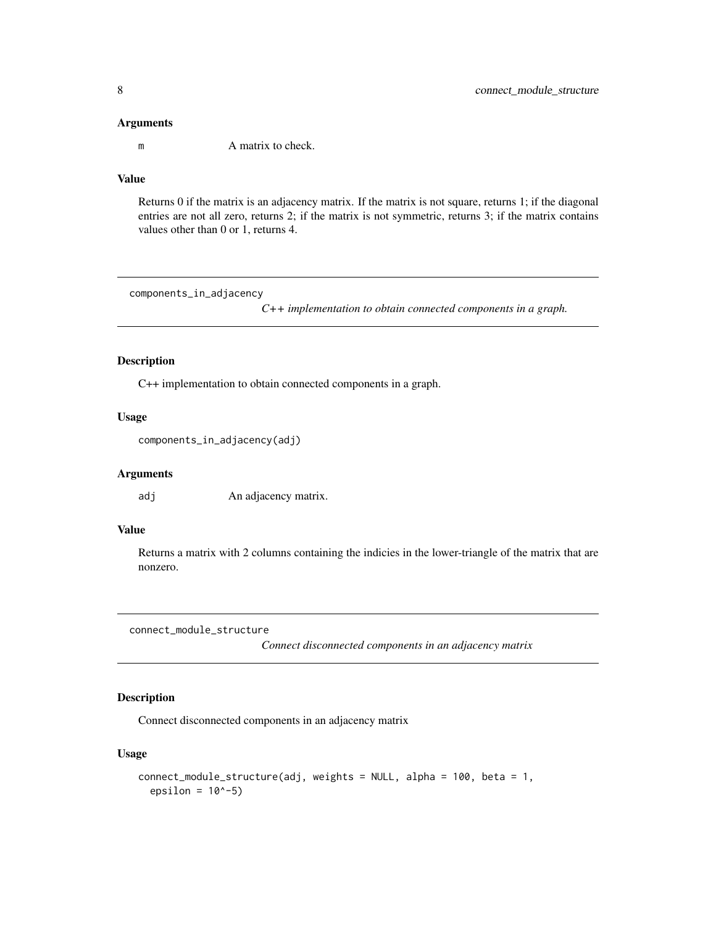<span id="page-7-0"></span>

m A matrix to check.

# Value

Returns 0 if the matrix is an adjacency matrix. If the matrix is not square, returns 1; if the diagonal entries are not all zero, returns 2; if the matrix is not symmetric, returns 3; if the matrix contains values other than 0 or 1, returns 4.

components\_in\_adjacency

*C++ implementation to obtain connected components in a graph.*

# Description

C++ implementation to obtain connected components in a graph.

# Usage

```
components_in_adjacency(adj)
```
#### Arguments

adj An adjacency matrix.

# Value

Returns a matrix with 2 columns containing the indicies in the lower-triangle of the matrix that are nonzero.

connect\_module\_structure

*Connect disconnected components in an adjacency matrix*

# Description

Connect disconnected components in an adjacency matrix

```
connect_module_structure(adj, weights = NULL, alpha = 100, beta = 1,
  epsilon = 10^{\circ}-5)
```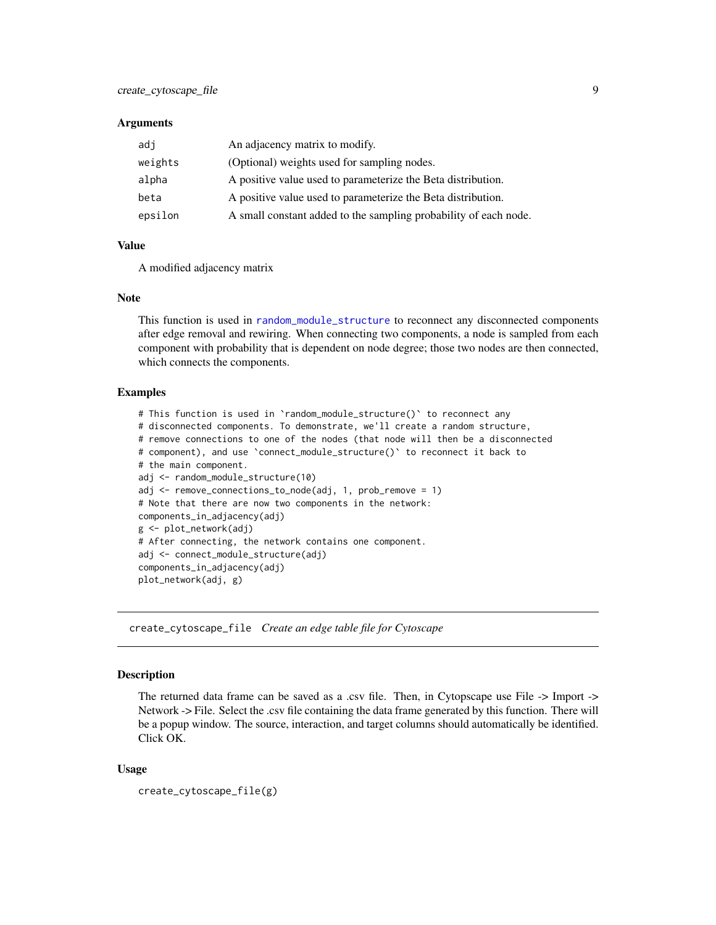<span id="page-8-0"></span>

| adj     | An adjacency matrix to modify.                                   |
|---------|------------------------------------------------------------------|
| weights | (Optional) weights used for sampling nodes.                      |
| alpha   | A positive value used to parameterize the Beta distribution.     |
| beta    | A positive value used to parameterize the Beta distribution.     |
| epsilon | A small constant added to the sampling probability of each node. |

#### Value

A modified adjacency matrix

#### Note

This function is used in [random\\_module\\_structure](#page-59-1) to reconnect any disconnected components after edge removal and rewiring. When connecting two components, a node is sampled from each component with probability that is dependent on node degree; those two nodes are then connected, which connects the components.

### Examples

```
# This function is used in `random_module_structure()` to reconnect any
# disconnected components. To demonstrate, we'll create a random structure,
# remove connections to one of the nodes (that node will then be a disconnected
# component), and use `connect_module_structure()` to reconnect it back to
# the main component.
adj <- random_module_structure(10)
adj <- remove_connections_to_node(adj, 1, prob_remove = 1)
# Note that there are now two components in the network:
components_in_adjacency(adj)
g <- plot_network(adj)
# After connecting, the network contains one component.
adj <- connect_module_structure(adj)
components_in_adjacency(adj)
plot_network(adj, g)
```
create\_cytoscape\_file *Create an edge table file for Cytoscape*

### Description

The returned data frame can be saved as a .csv file. Then, in Cytopscape use File -> Import -> Network -> File. Select the .csv file containing the data frame generated by this function. There will be a popup window. The source, interaction, and target columns should automatically be identified. Click OK.

```
create_cytoscape_file(g)
```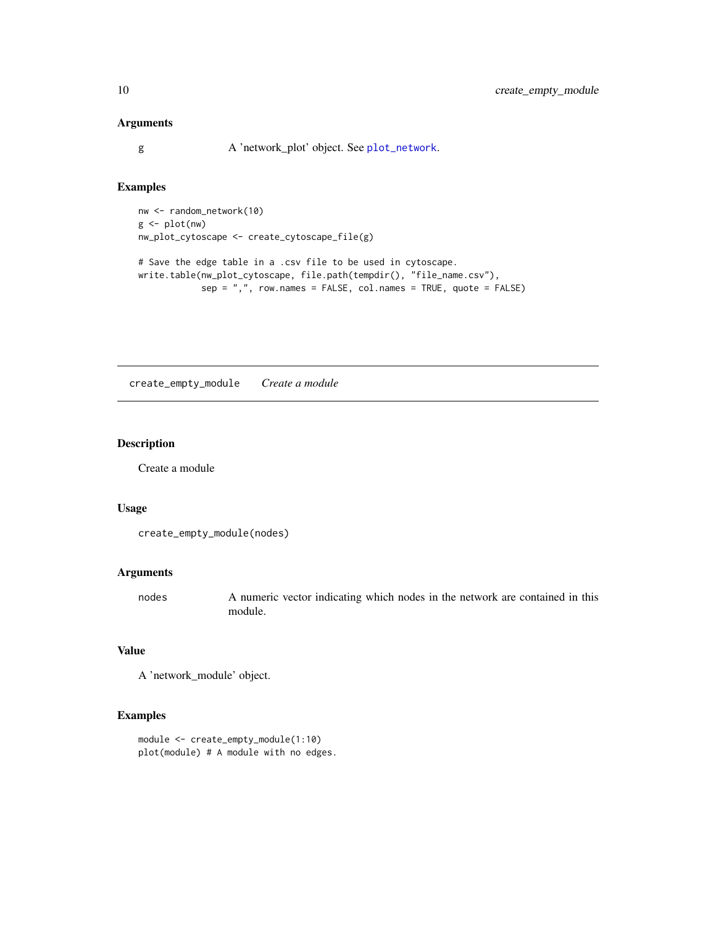<span id="page-9-0"></span>g A 'network\_plot' object. See [plot\\_network](#page-51-1).

# Examples

```
nw <- random_network(10)
g <- plot(nw)
nw_plot_cytoscape <- create_cytoscape_file(g)
# Save the edge table in a .csv file to be used in cytoscape.
write.table(nw_plot_cytoscape, file.path(tempdir(), "file_name.csv"),
            sep = ",", row.names = FALSE, col.names = TRUE, quote = FALSE)
```
create\_empty\_module *Create a module*

# Description

Create a module

### Usage

```
create_empty_module(nodes)
```
# Arguments

nodes A numeric vector indicating which nodes in the network are contained in this module.

### Value

A 'network\_module' object.

```
module <- create_empty_module(1:10)
plot(module) # A module with no edges.
```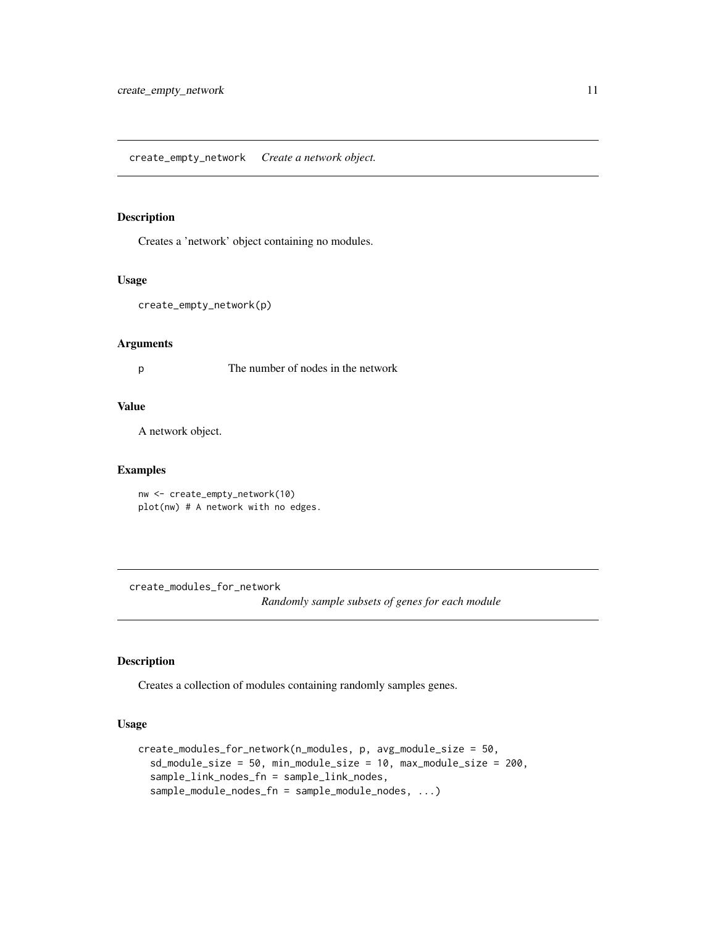<span id="page-10-0"></span>create\_empty\_network *Create a network object.*

# Description

Creates a 'network' object containing no modules.

#### Usage

```
create_empty_network(p)
```
#### Arguments

p The number of nodes in the network

### Value

A network object.

### Examples

```
nw <- create_empty_network(10)
plot(nw) # A network with no edges.
```
create\_modules\_for\_network

*Randomly sample subsets of genes for each module*

# Description

Creates a collection of modules containing randomly samples genes.

```
create_modules_for_network(n_modules, p, avg_module_size = 50,
  sd_module_size = 50, min_module_size = 10, max_module_size = 200,
  sample_link_nodes_fn = sample_link_nodes,
  sample_module_nodes_fn = sample_module_nodes, ...)
```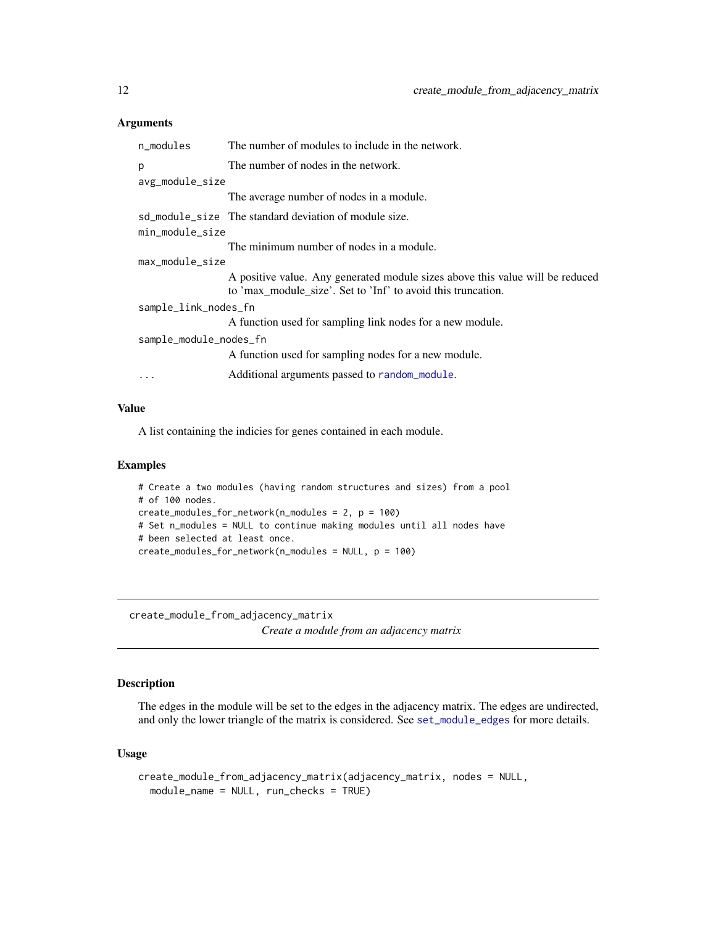<span id="page-11-0"></span>

| n_modules              | The number of modules to include in the network.                                                                                              |
|------------------------|-----------------------------------------------------------------------------------------------------------------------------------------------|
| p                      | The number of nodes in the network.                                                                                                           |
| avg_module_size        |                                                                                                                                               |
|                        | The average number of nodes in a module.                                                                                                      |
|                        | sd_module_size The standard deviation of module size.                                                                                         |
| min_module_size        |                                                                                                                                               |
|                        | The minimum number of nodes in a module.                                                                                                      |
| max_module_size        |                                                                                                                                               |
|                        | A positive value. Any generated module sizes above this value will be reduced<br>to 'max_module_size'. Set to 'Inf' to avoid this truncation. |
| sample_link_nodes_fn   |                                                                                                                                               |
|                        | A function used for sampling link nodes for a new module.                                                                                     |
| sample_module_nodes_fn |                                                                                                                                               |
|                        | A function used for sampling nodes for a new module.                                                                                          |
| $\ddotsc$              | Additional arguments passed to random_module.                                                                                                 |
|                        |                                                                                                                                               |

# Value

A list containing the indicies for genes contained in each module.

#### Examples

```
# Create a two modules (having random structures and sizes) from a pool
# of 100 nodes.
create_modules_for_network(n_modules = 2, p = 100)
# Set n_modules = NULL to continue making modules until all nodes have
# been selected at least once.
create_modules_for_network(n_modules = NULL, p = 100)
```
<span id="page-11-1"></span>create\_module\_from\_adjacency\_matrix *Create a module from an adjacency matrix*

# Description

The edges in the module will be set to the edges in the adjacency matrix. The edges are undirected, and only the lower triangle of the matrix is considered. See [set\\_module\\_edges](#page-88-1) for more details.

```
create_module_from_adjacency_matrix(adjacency_matrix, nodes = NULL,
 module_name = NULL, run_checks = TRUE)
```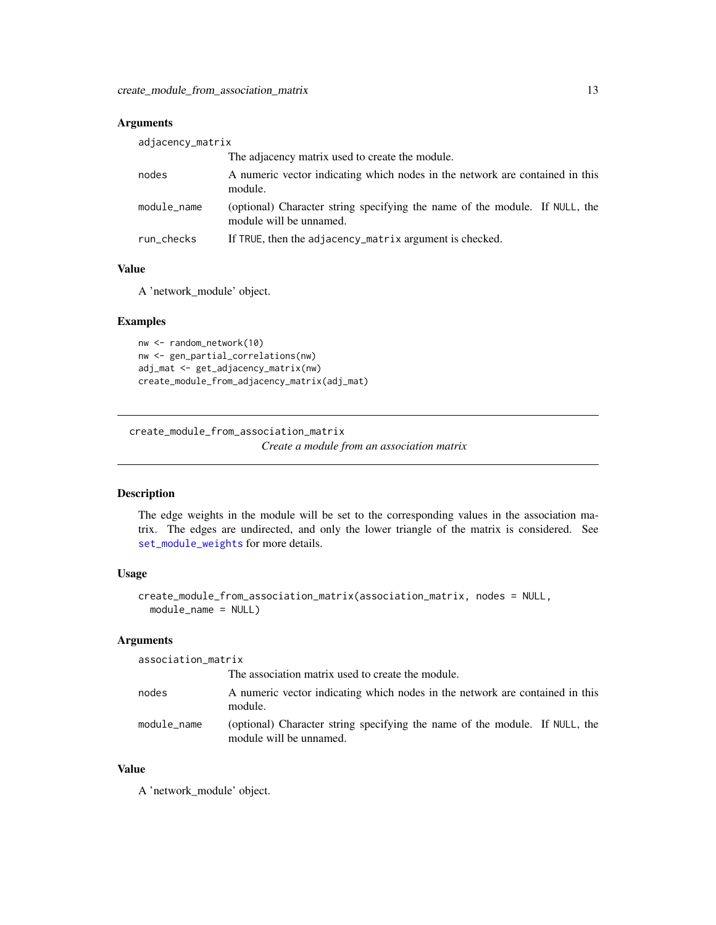<span id="page-12-0"></span>

| adjacency_matrix |                                                                                                        |
|------------------|--------------------------------------------------------------------------------------------------------|
|                  | The adjacency matrix used to create the module.                                                        |
| nodes            | A numeric vector indicating which nodes in the network are contained in this<br>module.                |
| module_name      | (optional) Character string specifying the name of the module. If NULL, the<br>module will be unnamed. |
| run_checks       | If TRUE, then the adjacency_matrix argument is checked.                                                |

# Value

A 'network\_module' object.

# Examples

```
nw <- random_network(10)
nw <- gen_partial_correlations(nw)
adj_mat <- get_adjacency_matrix(nw)
create_module_from_adjacency_matrix(adj_mat)
```
<span id="page-12-1"></span>create\_module\_from\_association\_matrix

*Create a module from an association matrix*

# Description

The edge weights in the module will be set to the corresponding values in the association matrix. The edges are undirected, and only the lower triangle of the matrix is considered. See [set\\_module\\_weights](#page-89-1) for more details.

### Usage

```
create_module_from_association_matrix(association_matrix, nodes = NULL,
 module_name = NULL)
```
#### Arguments

| association_matrix |                                                                                                        |
|--------------------|--------------------------------------------------------------------------------------------------------|
|                    | The association matrix used to create the module.                                                      |
| nodes              | A numeric vector indicating which nodes in the network are contained in this<br>module.                |
| module_name        | (optional) Character string specifying the name of the module. If NULL, the<br>module will be unnamed. |

# Value

A 'network\_module' object.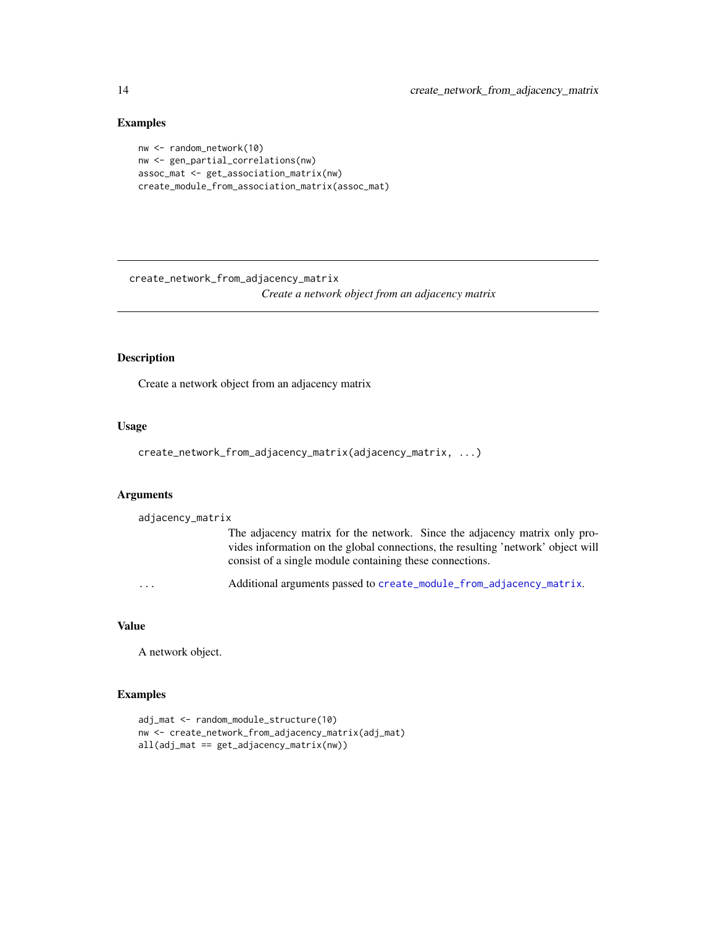# Examples

```
nw <- random_network(10)
nw <- gen_partial_correlations(nw)
assoc_mat <- get_association_matrix(nw)
create_module_from_association_matrix(assoc_mat)
```
create\_network\_from\_adjacency\_matrix

*Create a network object from an adjacency matrix*

# Description

Create a network object from an adjacency matrix

### Usage

```
create_network_from_adjacency_matrix(adjacency_matrix, ...)
```
# Arguments

```
adjacency_matrix
```

| The adjacency matrix for the network. Since the adjacency matrix only pro-       |  |  |
|----------------------------------------------------------------------------------|--|--|
| vides information on the global connections, the resulting 'network' object will |  |  |
| consist of a single module containing these connections.                         |  |  |

... Additional arguments passed to [create\\_module\\_from\\_adjacency\\_matrix](#page-11-1).

# Value

A network object.

```
adj_mat <- random_module_structure(10)
nw <- create_network_from_adjacency_matrix(adj_mat)
all(adj_mat == get_adjacency_matrix(nw))
```
<span id="page-13-0"></span>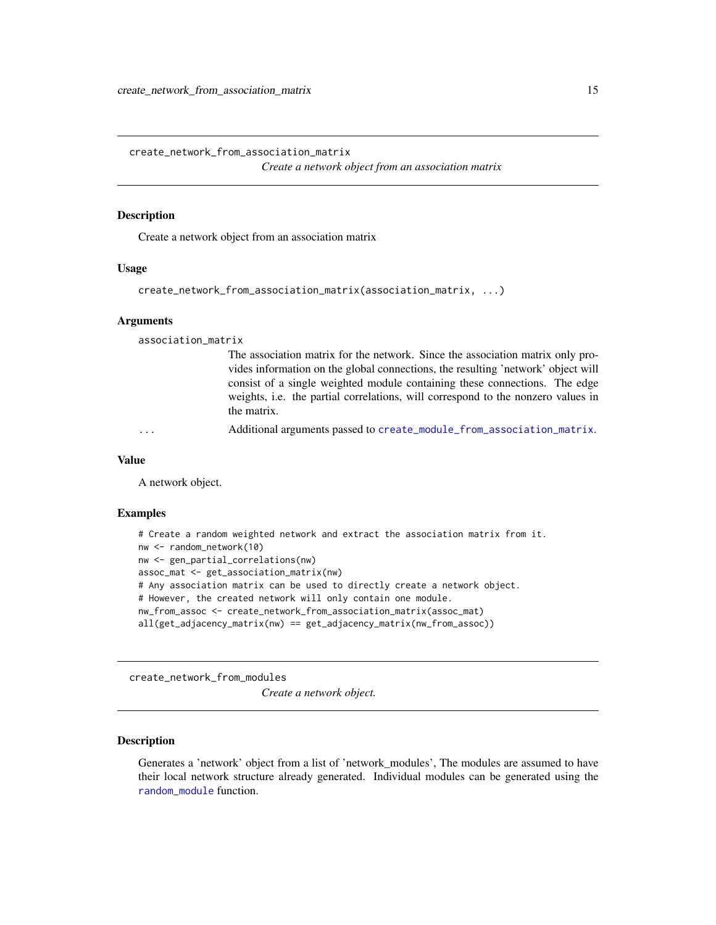<span id="page-14-0"></span>create\_network\_from\_association\_matrix *Create a network object from an association matrix*

#### **Description**

Create a network object from an association matrix

### Usage

```
create_network_from_association_matrix(association_matrix, ...)
```
#### Arguments

association\_matrix

The association matrix for the network. Since the association matrix only provides information on the global connections, the resulting 'network' object will consist of a single weighted module containing these connections. The edge weights, i.e. the partial correlations, will correspond to the nonzero values in the matrix.

Additional arguments passed to [create\\_module\\_from\\_association\\_matrix](#page-12-1).

#### Value

A network object.

#### Examples

```
# Create a random weighted network and extract the association matrix from it.
nw <- random_network(10)
nw <- gen_partial_correlations(nw)
assoc_mat <- get_association_matrix(nw)
# Any association matrix can be used to directly create a network object.
# However, the created network will only contain one module.
nw_from_assoc <- create_network_from_association_matrix(assoc_mat)
all(get_adjacency_matrix(nw) == get_adjacency_matrix(nw_from_assoc))
```
create\_network\_from\_modules

*Create a network object.*

#### Description

Generates a 'network' object from a list of 'network\_modules', The modules are assumed to have their local network structure already generated. Individual modules can be generated using the [random\\_module](#page-58-1) function.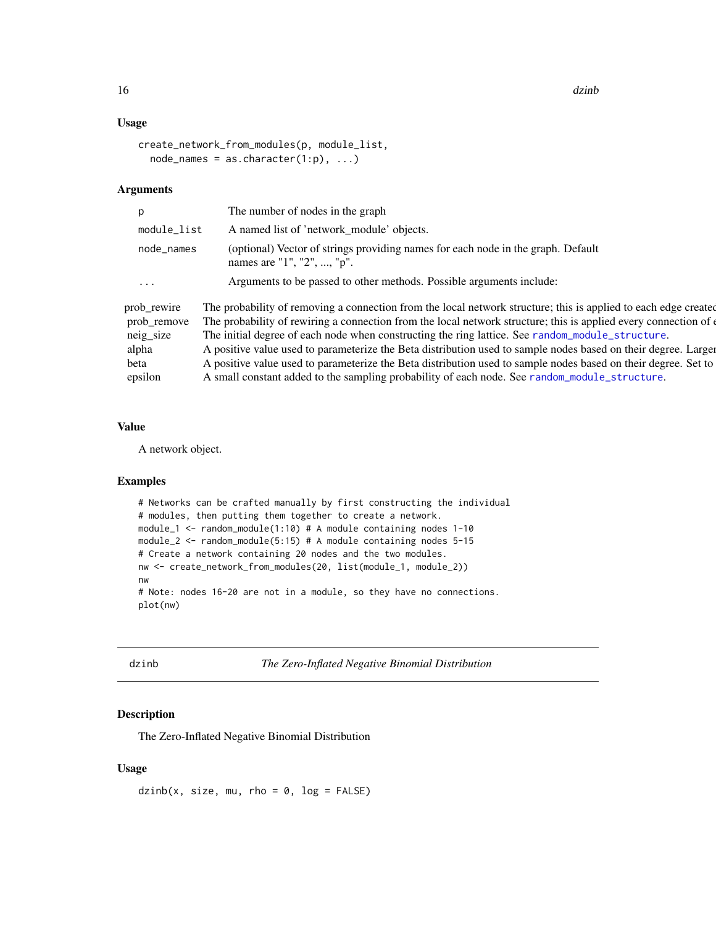<span id="page-15-0"></span>16 dzinb

#### Usage

```
create_network_from_modules(p, module_list,
 node\_names = as.charAter(1:p), ...)
```
#### Arguments

|                            | The number of nodes in the graph                                                                                                                                                                                                  |
|----------------------------|-----------------------------------------------------------------------------------------------------------------------------------------------------------------------------------------------------------------------------------|
| module_list                | A named list of 'network module' objects.                                                                                                                                                                                         |
| node_names                 | (optional) Vector of strings providing names for each node in the graph. Default<br>names are "1", "2", , " $p$ ".                                                                                                                |
| $\cdots$                   | Arguments to be passed to other methods. Possible arguments include:                                                                                                                                                              |
| prob_rewire<br>prob_remove | The probability of removing a connection from the local network structure; this is applied to each edge created<br>The probability of rewiring a connection from the local network structure; this is applied every connection of |

neig\_size The initial degree of each node when constructing the ring lattice. See [random\\_module\\_structure](#page-59-1). alpha A positive value used to parameterize the Beta distribution used to sample nodes based on their degree. Larger beta A positive value used to parameterize the Beta distribution used to sample nodes based on their degree. Set to epsilon A small constant added to the sampling probability of each node. See [random\\_module\\_structure](#page-59-1).

### Value

A network object.

# Examples

```
# Networks can be crafted manually by first constructing the individual
# modules, then putting them together to create a network.
module_1 <- random_module(1:10) # A module containing nodes 1-10
module_2 \le random_module(5:15) # A module containing nodes 5-15
# Create a network containing 20 nodes and the two modules.
nw <- create_network_from_modules(20, list(module_1, module_2))
nw
# Note: nodes 16-20 are not in a module, so they have no connections.
plot(nw)
```
dzinb *The Zero-Inflated Negative Binomial Distribution*

### Description

The Zero-Inflated Negative Binomial Distribution

### Usage

 $dzinb(x, size, mu, rho = 0, log = FALSE)$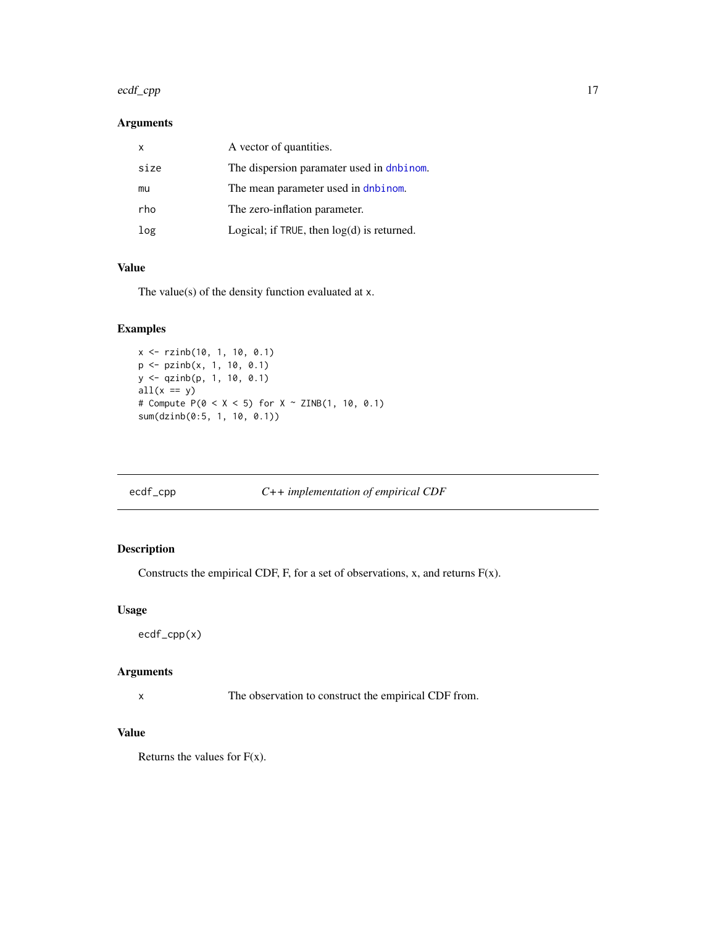#### <span id="page-16-0"></span>ecdf\_cpp 17

### Arguments

| X    | A vector of quantities.                         |
|------|-------------------------------------------------|
| size | The dispersion paramater used in dnbinom.       |
| mu   | The mean parameter used in dnbinom.             |
| rho  | The zero-inflation parameter.                   |
| log  | Logical; if $TRUE$ , then $log(d)$ is returned. |

# Value

The value(s) of the density function evaluated at x.

# Examples

```
x <- rzinb(10, 1, 10, 0.1)
p <- pzinb(x, 1, 10, 0.1)
y <- qzinb(p, 1, 10, 0.1)
all(x == y)# Compute P(0 < X < 5) for X \sim ZINB(1, 10, 0.1)sum(dzinb(0:5, 1, 10, 0.1))
```
# ecdf\_cpp *C++ implementation of empirical CDF*

# Description

Constructs the empirical CDF, F, for a set of observations, x, and returns  $F(x)$ .

# Usage

ecdf\_cpp(x)

#### Arguments

x The observation to construct the empirical CDF from.

# Value

Returns the values for  $F(x)$ .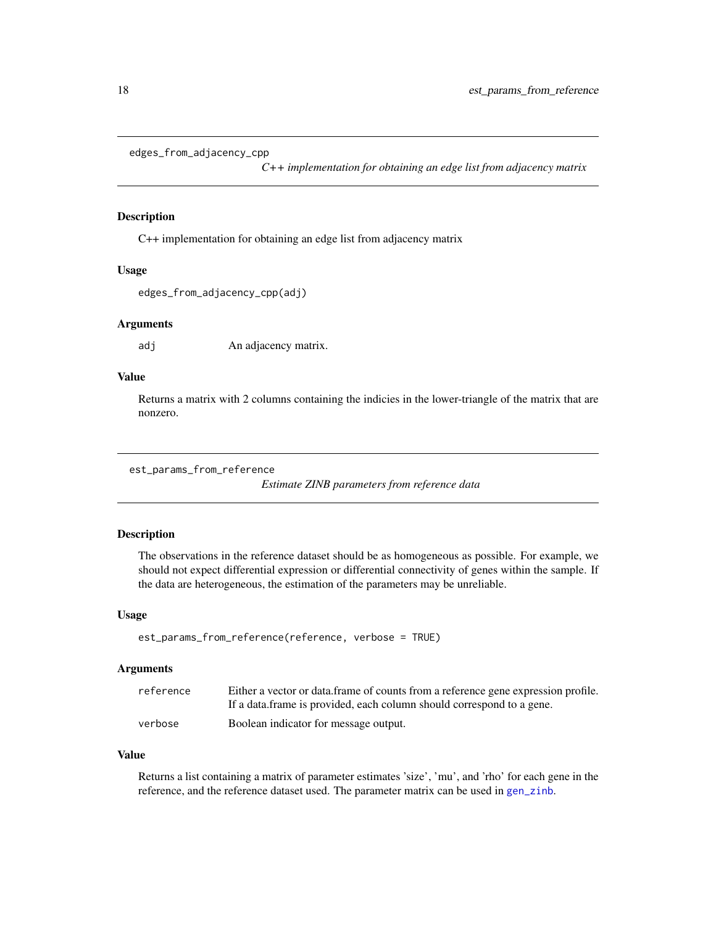```
edges_from_adjacency_cpp
```
*C++ implementation for obtaining an edge list from adjacency matrix*

### Description

C++ implementation for obtaining an edge list from adjacency matrix

#### Usage

edges\_from\_adjacency\_cpp(adj)

#### Arguments

adj An adjacency matrix.

# Value

Returns a matrix with 2 columns containing the indicies in the lower-triangle of the matrix that are nonzero.

```
est_params_from_reference
```
*Estimate ZINB parameters from reference data*

# Description

The observations in the reference dataset should be as homogeneous as possible. For example, we should not expect differential expression or differential connectivity of genes within the sample. If the data are heterogeneous, the estimation of the parameters may be unreliable.

#### Usage

est\_params\_from\_reference(reference, verbose = TRUE)

### Arguments

| reference | Either a vector or data. frame of counts from a reference gene expression profile. |
|-----------|------------------------------------------------------------------------------------|
|           | If a data frame is provided, each column should correspond to a gene.              |
| verbose   | Boolean indicator for message output.                                              |

### Value

Returns a list containing a matrix of parameter estimates 'size', 'mu', and 'rho' for each gene in the reference, and the reference dataset used. The parameter matrix can be used in [gen\\_zinb](#page-20-1).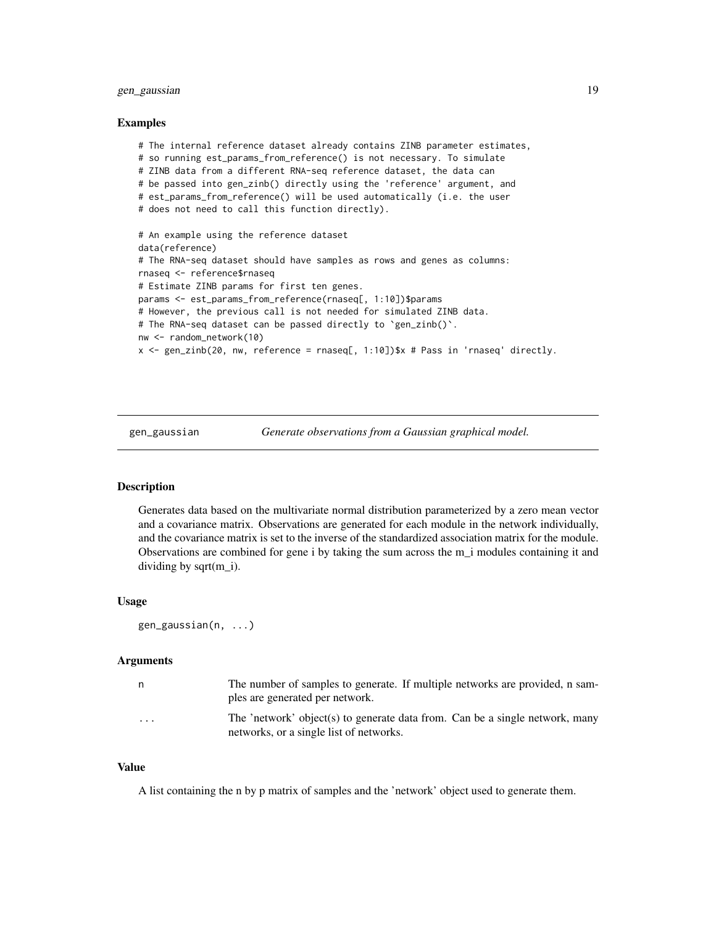# <span id="page-18-0"></span>gen\_gaussian 19

#### Examples

```
# The internal reference dataset already contains ZINB parameter estimates,
# so running est_params_from_reference() is not necessary. To simulate
# ZINB data from a different RNA-seq reference dataset, the data can
# be passed into gen_zinb() directly using the 'reference' argument, and
# est_params_from_reference() will be used automatically (i.e. the user
# does not need to call this function directly).
# An example using the reference dataset
data(reference)
# The RNA-seq dataset should have samples as rows and genes as columns:
rnaseq <- reference$rnaseq
# Estimate ZINB params for first ten genes.
params <- est_params_from_reference(rnaseq[, 1:10])$params
# However, the previous call is not needed for simulated ZINB data.
# The RNA-seq dataset can be passed directly to `gen_zinb()`.
nw <- random_network(10)
x <- gen_zinb(20, nw, reference = rnaseq[, 1:10])$x # Pass in 'rnaseq' directly.
```
gen\_gaussian *Generate observations from a Gaussian graphical model.*

#### Description

Generates data based on the multivariate normal distribution parameterized by a zero mean vector and a covariance matrix. Observations are generated for each module in the network individually, and the covariance matrix is set to the inverse of the standardized association matrix for the module. Observations are combined for gene i by taking the sum across the m\_i modules containing it and dividing by sqrt $(m_i)$ .

### Usage

```
gen_gaussian(n, ...)
```
#### **Arguments**

| n        | The number of samples to generate. If multiple networks are provided, n sam-<br>ples are generated per network.         |
|----------|-------------------------------------------------------------------------------------------------------------------------|
| $\cdots$ | The 'network' object(s) to generate data from. Can be a single network, many<br>networks, or a single list of networks. |

#### Value

A list containing the n by p matrix of samples and the 'network' object used to generate them.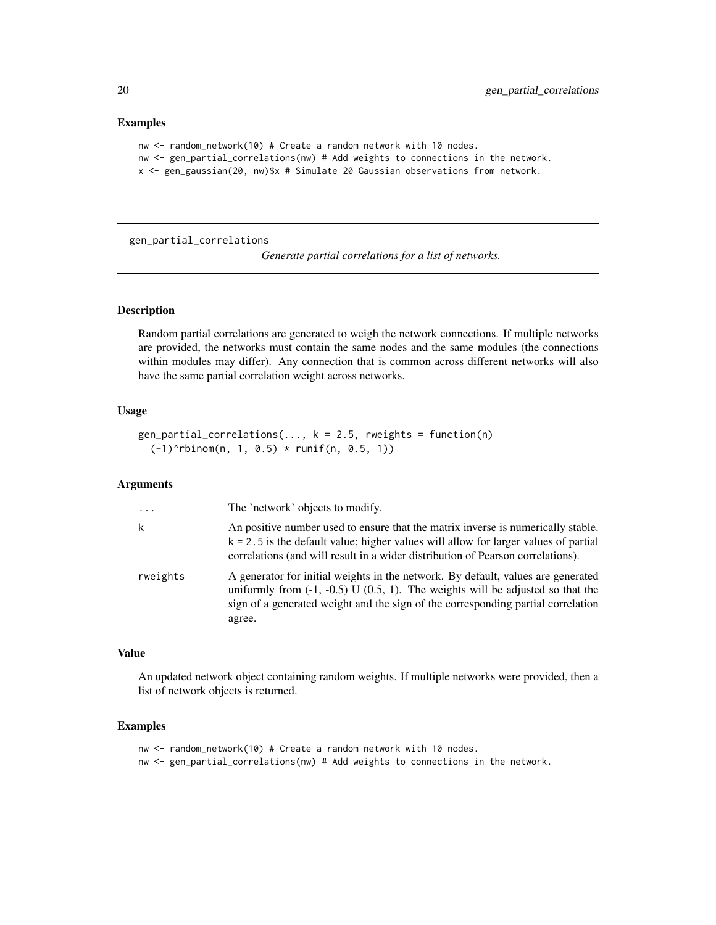### Examples

```
nw <- random_network(10) # Create a random network with 10 nodes.
nw <- gen_partial_correlations(nw) # Add weights to connections in the network.
x <- gen_gaussian(20, nw)$x # Simulate 20 Gaussian observations from network.
```
gen\_partial\_correlations

*Generate partial correlations for a list of networks.*

### Description

Random partial correlations are generated to weigh the network connections. If multiple networks are provided, the networks must contain the same nodes and the same modules (the connections within modules may differ). Any connection that is common across different networks will also have the same partial correlation weight across networks.

# Usage

```
gen_partial_correlations(..., k = 2.5, rweights = function(n)
  (-1)^{\text{th}}inom(n, 1, 0.5) * runif(n, 0.5, 1))
```
#### Arguments

| $\cdot$  | The 'network' objects to modify.                                                                                                                                                                                                                                      |
|----------|-----------------------------------------------------------------------------------------------------------------------------------------------------------------------------------------------------------------------------------------------------------------------|
| k        | An positive number used to ensure that the matrix inverse is numerically stable.<br>$k = 2.5$ is the default value; higher values will allow for larger values of partial<br>correlations (and will result in a wider distribution of Pearson correlations).          |
| rweights | A generator for initial weights in the network. By default, values are generated<br>uniformly from $(-1, -0.5)$ U $(0.5, 1)$ . The weights will be adjusted so that the<br>sign of a generated weight and the sign of the corresponding partial correlation<br>agree. |

#### Value

An updated network object containing random weights. If multiple networks were provided, then a list of network objects is returned.

- nw <- random\_network(10) # Create a random network with 10 nodes.
- nw <- gen\_partial\_correlations(nw) # Add weights to connections in the network.

<span id="page-19-0"></span>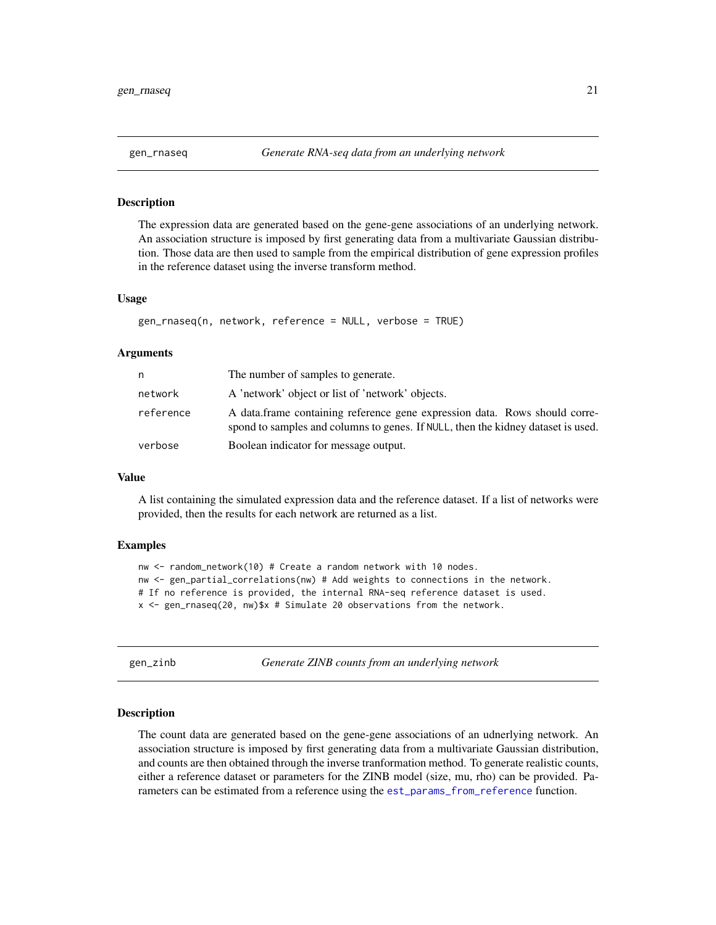<span id="page-20-0"></span>

### Description

The expression data are generated based on the gene-gene associations of an underlying network. An association structure is imposed by first generating data from a multivariate Gaussian distribution. Those data are then used to sample from the empirical distribution of gene expression profiles in the reference dataset using the inverse transform method.

#### Usage

```
gen_rnaseq(n, network, reference = NULL, verbose = TRUE)
```
### Arguments

| n.        | The number of samples to generate.                                                                                                                             |
|-----------|----------------------------------------------------------------------------------------------------------------------------------------------------------------|
| network   | A 'network' object or list of 'network' objects.                                                                                                               |
| reference | A data frame containing reference gene expression data. Rows should corre-<br>spond to samples and columns to genes. If NULL, then the kidney dataset is used. |
| verbose   | Boolean indicator for message output.                                                                                                                          |

### Value

A list containing the simulated expression data and the reference dataset. If a list of networks were provided, then the results for each network are returned as a list.

#### Examples

```
nw <- random_network(10) # Create a random network with 10 nodes.
nw <- gen_partial_correlations(nw) # Add weights to connections in the network.
# If no reference is provided, the internal RNA-seq reference dataset is used.
x <- gen_rnaseq(20, nw)$x # Simulate 20 observations from the network.
```
<span id="page-20-1"></span>gen\_zinb *Generate ZINB counts from an underlying network*

### Description

The count data are generated based on the gene-gene associations of an udnerlying network. An association structure is imposed by first generating data from a multivariate Gaussian distribution, and counts are then obtained through the inverse tranformation method. To generate realistic counts, either a reference dataset or parameters for the ZINB model (size, mu, rho) can be provided. Parameters can be estimated from a reference using the [est\\_params\\_from\\_reference](#page-17-1) function.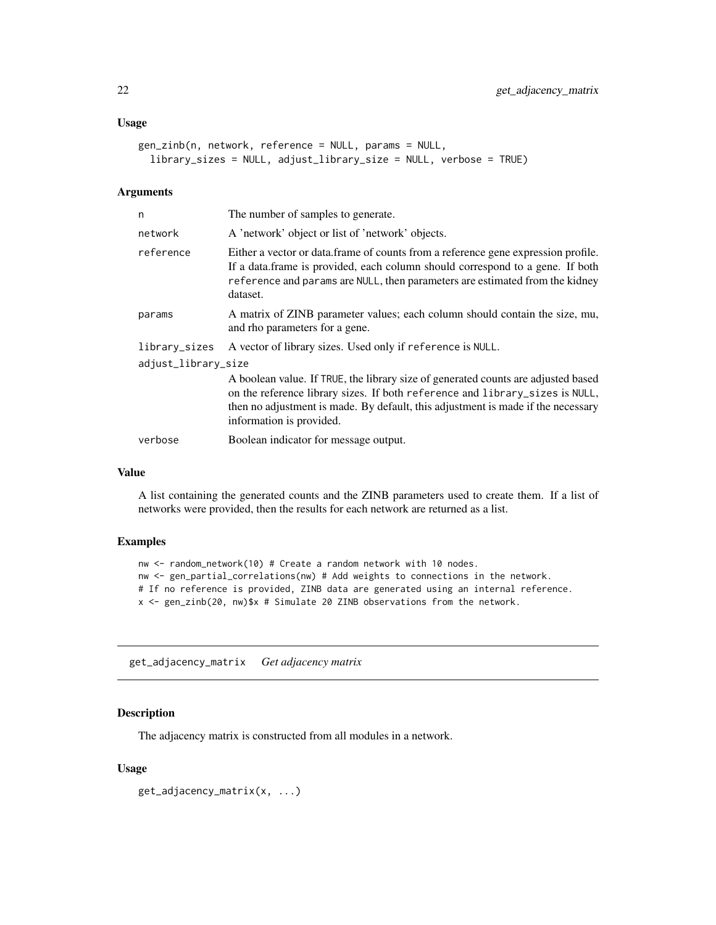### <span id="page-21-0"></span>Usage

```
gen_zinb(n, network, reference = NULL, params = NULL,
  library_sizes = NULL, adjust_library_size = NULL, verbose = TRUE)
```
# Arguments

| n                   | The number of samples to generate.                                                                                                                                                                                                                                                |  |
|---------------------|-----------------------------------------------------------------------------------------------------------------------------------------------------------------------------------------------------------------------------------------------------------------------------------|--|
| network             | A 'network' object or list of 'network' objects.                                                                                                                                                                                                                                  |  |
| reference           | Either a vector or data. frame of counts from a reference gene expression profile.<br>If a data frame is provided, each column should correspond to a gene. If both<br>reference and params are NULL, then parameters are estimated from the kidney<br>dataset.                   |  |
| params              | A matrix of ZINB parameter values; each column should contain the size, mu,<br>and rho parameters for a gene.                                                                                                                                                                     |  |
| library_sizes       | A vector of library sizes. Used only if reference is NULL.                                                                                                                                                                                                                        |  |
| adjust_library_size |                                                                                                                                                                                                                                                                                   |  |
|                     | A boolean value. If TRUE, the library size of generated counts are adjusted based<br>on the reference library sizes. If both reference and library_sizes is NULL,<br>then no adjustment is made. By default, this adjustment is made if the necessary<br>information is provided. |  |
| verbose             | Boolean indicator for message output.                                                                                                                                                                                                                                             |  |

### Value

A list containing the generated counts and the ZINB parameters used to create them. If a list of networks were provided, then the results for each network are returned as a list.

#### Examples

```
nw <- random_network(10) # Create a random network with 10 nodes.
nw <- gen_partial_correlations(nw) # Add weights to connections in the network.
# If no reference is provided, ZINB data are generated using an internal reference.
x <- gen_zinb(20, nw)$x # Simulate 20 ZINB observations from the network.
```
get\_adjacency\_matrix *Get adjacency matrix*

### Description

The adjacency matrix is constructed from all modules in a network.

```
get_adjacency_matrix(x, ...)
```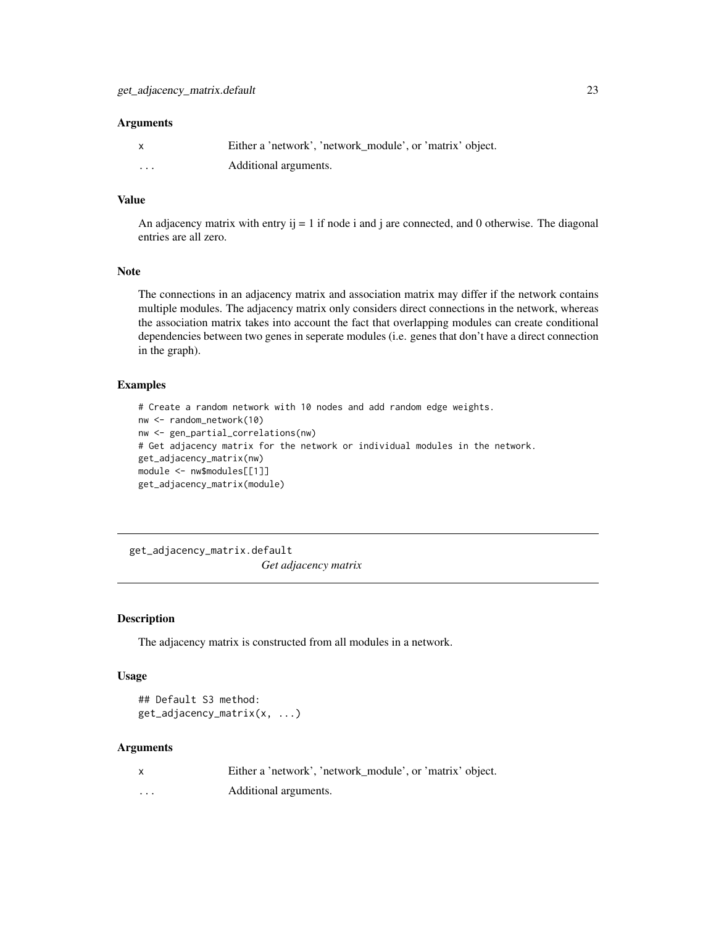<span id="page-22-0"></span>

|          | Either a 'network', 'network_module', or 'matrix' object. |
|----------|-----------------------------------------------------------|
| $\cdots$ | Additional arguments.                                     |

### Value

An adjacency matrix with entry  $i = 1$  if node i and j are connected, and 0 otherwise. The diagonal entries are all zero.

# Note

The connections in an adjacency matrix and association matrix may differ if the network contains multiple modules. The adjacency matrix only considers direct connections in the network, whereas the association matrix takes into account the fact that overlapping modules can create conditional dependencies between two genes in seperate modules (i.e. genes that don't have a direct connection in the graph).

# Examples

```
# Create a random network with 10 nodes and add random edge weights.
nw <- random_network(10)
nw <- gen_partial_correlations(nw)
# Get adjacency matrix for the network or individual modules in the network.
get_adjacency_matrix(nw)
module <- nw$modules[[1]]
get_adjacency_matrix(module)
```
get\_adjacency\_matrix.default

*Get adjacency matrix*

#### Description

The adjacency matrix is constructed from all modules in a network.

# Usage

```
## Default S3 method:
get_adjacency_matrix(x, ...)
```
#### Arguments

|          | Either a 'network', 'network_module', or 'matrix' object. |
|----------|-----------------------------------------------------------|
| $\cdots$ | Additional arguments.                                     |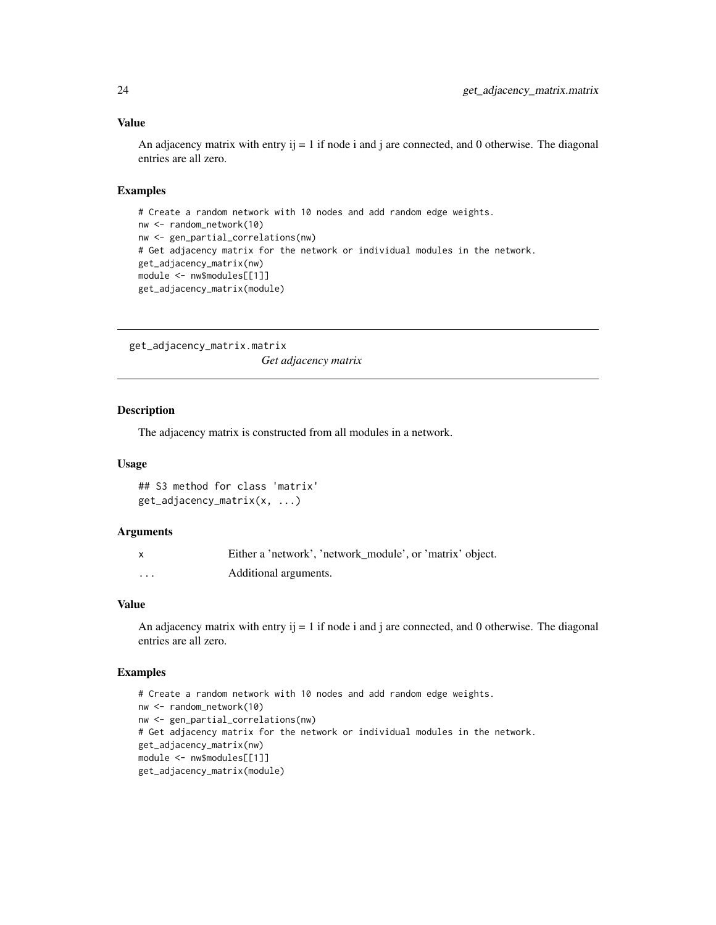### Value

An adjacency matrix with entry  $i$  = 1 if node i and j are connected, and 0 otherwise. The diagonal entries are all zero.

#### Examples

```
# Create a random network with 10 nodes and add random edge weights.
nw <- random_network(10)
nw <- gen_partial_correlations(nw)
# Get adjacency matrix for the network or individual modules in the network.
get_adjacency_matrix(nw)
module <- nw$modules[[1]]
get_adjacency_matrix(module)
```
get\_adjacency\_matrix.matrix *Get adjacency matrix*

# Description

The adjacency matrix is constructed from all modules in a network.

#### Usage

```
## S3 method for class 'matrix'
get_adjacency_matrix(x, ...)
```
# Arguments

|          | Either a 'network', 'network_module', or 'matrix' object. |
|----------|-----------------------------------------------------------|
| $\cdots$ | Additional arguments.                                     |

# Value

An adjacency matrix with entry  $i = 1$  if node i and j are connected, and 0 otherwise. The diagonal entries are all zero.

```
# Create a random network with 10 nodes and add random edge weights.
nw <- random_network(10)
nw <- gen_partial_correlations(nw)
# Get adjacency matrix for the network or individual modules in the network.
get_adjacency_matrix(nw)
module <- nw$modules[[1]]
get_adjacency_matrix(module)
```
<span id="page-23-0"></span>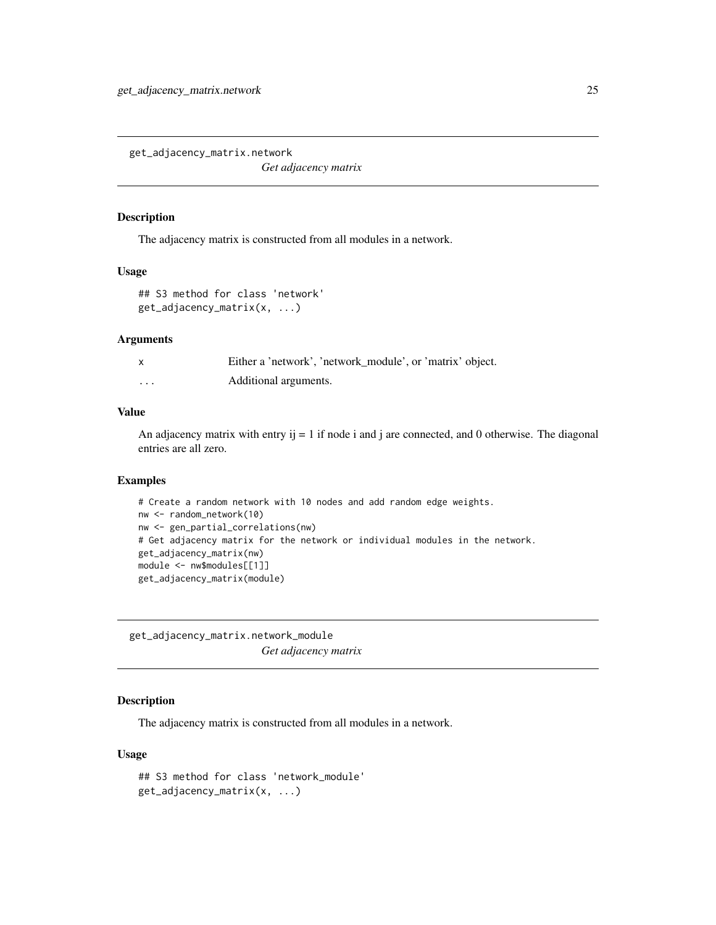<span id="page-24-0"></span>get\_adjacency\_matrix.network

*Get adjacency matrix*

### Description

The adjacency matrix is constructed from all modules in a network.

#### Usage

```
## S3 method for class 'network'
get_adjacency_matrix(x, ...)
```
# Arguments

|   | Either a 'network', 'network_module', or 'matrix' object. |
|---|-----------------------------------------------------------|
| . | Additional arguments.                                     |

# Value

An adjacency matrix with entry  $i = 1$  if node i and j are connected, and 0 otherwise. The diagonal entries are all zero.

# Examples

```
# Create a random network with 10 nodes and add random edge weights.
nw <- random_network(10)
nw <- gen_partial_correlations(nw)
# Get adjacency matrix for the network or individual modules in the network.
get_adjacency_matrix(nw)
module <- nw$modules[[1]]
get_adjacency_matrix(module)
```
get\_adjacency\_matrix.network\_module *Get adjacency matrix*

# Description

The adjacency matrix is constructed from all modules in a network.

```
## S3 method for class 'network_module'
get_adjacency_matrix(x, ...)
```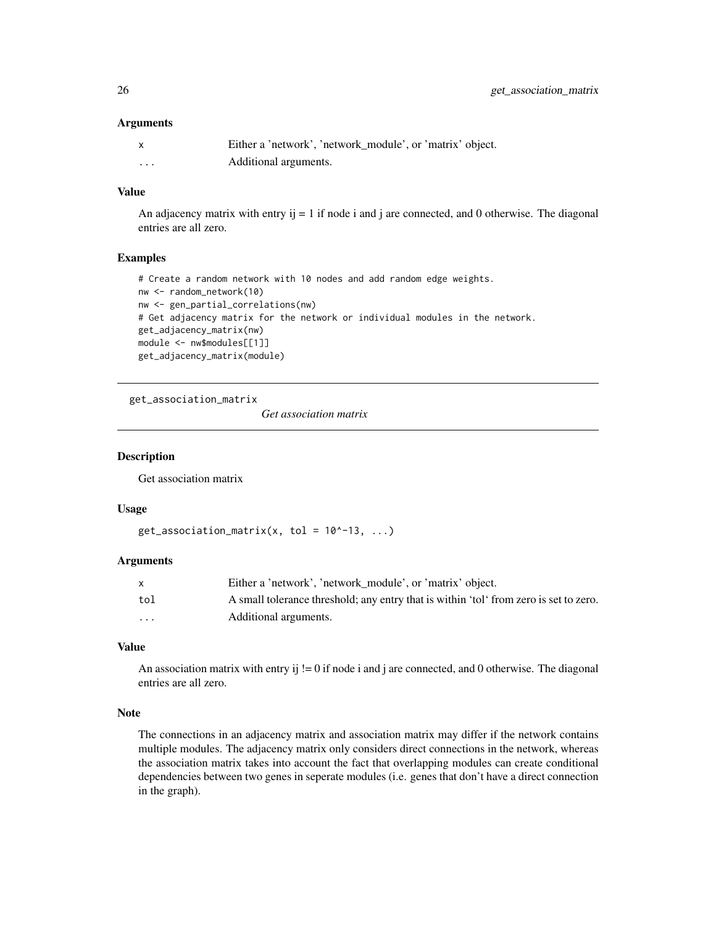<span id="page-25-0"></span>

|          | Either a 'network', 'network_module', or 'matrix' object. |
|----------|-----------------------------------------------------------|
| $\cdots$ | Additional arguments.                                     |

# Value

An adjacency matrix with entry  $i = 1$  if node i and j are connected, and 0 otherwise. The diagonal entries are all zero.

# Examples

```
# Create a random network with 10 nodes and add random edge weights.
nw <- random_network(10)
nw <- gen_partial_correlations(nw)
# Get adjacency matrix for the network or individual modules in the network.
get_adjacency_matrix(nw)
module <- nw$modules[[1]]
get_adjacency_matrix(module)
```
get\_association\_matrix

*Get association matrix*

### Description

Get association matrix

#### Usage

```
get_association_matrix(x, tol = 10^-13, ...)
```
#### Arguments

|                         | Either a 'network', 'network_module', or 'matrix' object.                             |
|-------------------------|---------------------------------------------------------------------------------------|
| tol                     | A small tolerance threshold; any entry that is within 'tol' from zero is set to zero. |
| $\cdot$ $\cdot$ $\cdot$ | Additional arguments.                                                                 |

#### Value

An association matrix with entry ij  $!= 0$  if node i and j are connected, and 0 otherwise. The diagonal entries are all zero.

# Note

The connections in an adjacency matrix and association matrix may differ if the network contains multiple modules. The adjacency matrix only considers direct connections in the network, whereas the association matrix takes into account the fact that overlapping modules can create conditional dependencies between two genes in seperate modules (i.e. genes that don't have a direct connection in the graph).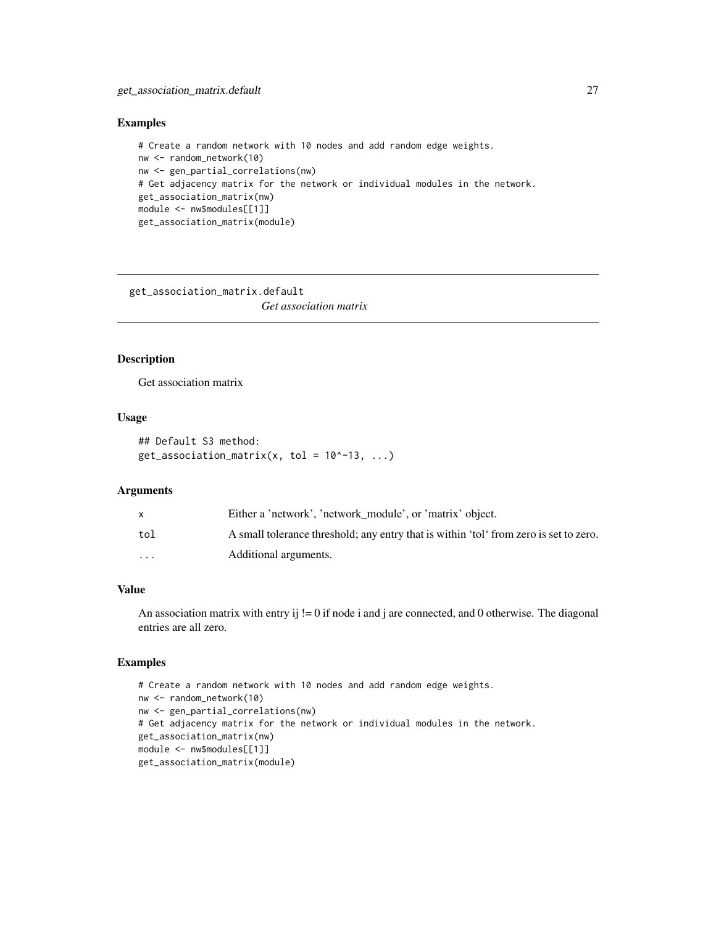# <span id="page-26-0"></span>Examples

```
# Create a random network with 10 nodes and add random edge weights.
nw <- random_network(10)
nw <- gen_partial_correlations(nw)
# Get adjacency matrix for the network or individual modules in the network.
get_association_matrix(nw)
module <- nw$modules[[1]]
get_association_matrix(module)
```
get\_association\_matrix.default

*Get association matrix*

# Description

Get association matrix

# Usage

```
## Default S3 method:
get_association_matrix(x, tol = 10^-13, ...)
```
#### **Arguments**

|                         | Either a 'network', 'network_module', or 'matrix' object.                             |
|-------------------------|---------------------------------------------------------------------------------------|
| tol                     | A small tolerance threshold; any entry that is within 'tol' from zero is set to zero. |
| $\cdot$ $\cdot$ $\cdot$ | Additional arguments.                                                                 |

# Value

An association matrix with entry ij  $!= 0$  if node i and j are connected, and 0 otherwise. The diagonal entries are all zero.

```
# Create a random network with 10 nodes and add random edge weights.
nw <- random_network(10)
nw <- gen_partial_correlations(nw)
# Get adjacency matrix for the network or individual modules in the network.
get_association_matrix(nw)
module <- nw$modules[[1]]
get_association_matrix(module)
```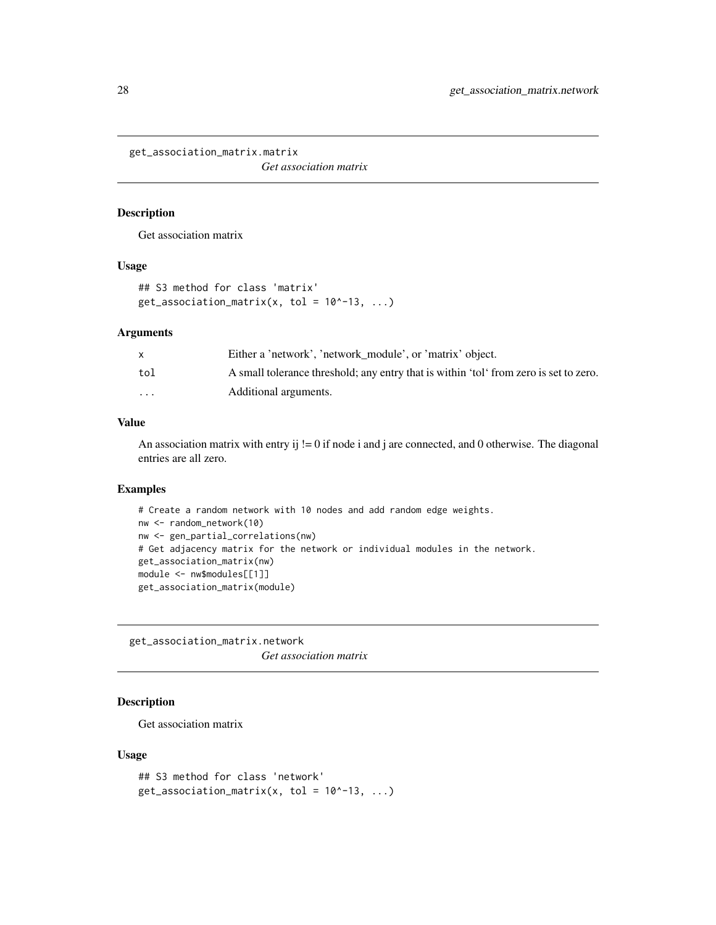<span id="page-27-0"></span>get\_association\_matrix.matrix

*Get association matrix*

# Description

Get association matrix

# Usage

```
## S3 method for class 'matrix'
get_association_matrix(x, tol = 10^-13, ...)
```
#### Arguments

|                         | Either a 'network', 'network module', or 'matrix' object.                             |
|-------------------------|---------------------------------------------------------------------------------------|
| tol                     | A small tolerance threshold; any entry that is within 'tol' from zero is set to zero. |
| $\cdot$ $\cdot$ $\cdot$ | Additional arguments.                                                                 |

# Value

An association matrix with entry ij  $!= 0$  if node i and j are connected, and 0 otherwise. The diagonal entries are all zero.

# Examples

```
# Create a random network with 10 nodes and add random edge weights.
nw <- random_network(10)
nw <- gen_partial_correlations(nw)
# Get adjacency matrix for the network or individual modules in the network.
get_association_matrix(nw)
module <- nw$modules[[1]]
get_association_matrix(module)
```
get\_association\_matrix.network *Get association matrix*

# Description

Get association matrix

```
## S3 method for class 'network'
get_association_matrix(x, tol = 10^-13, ...)
```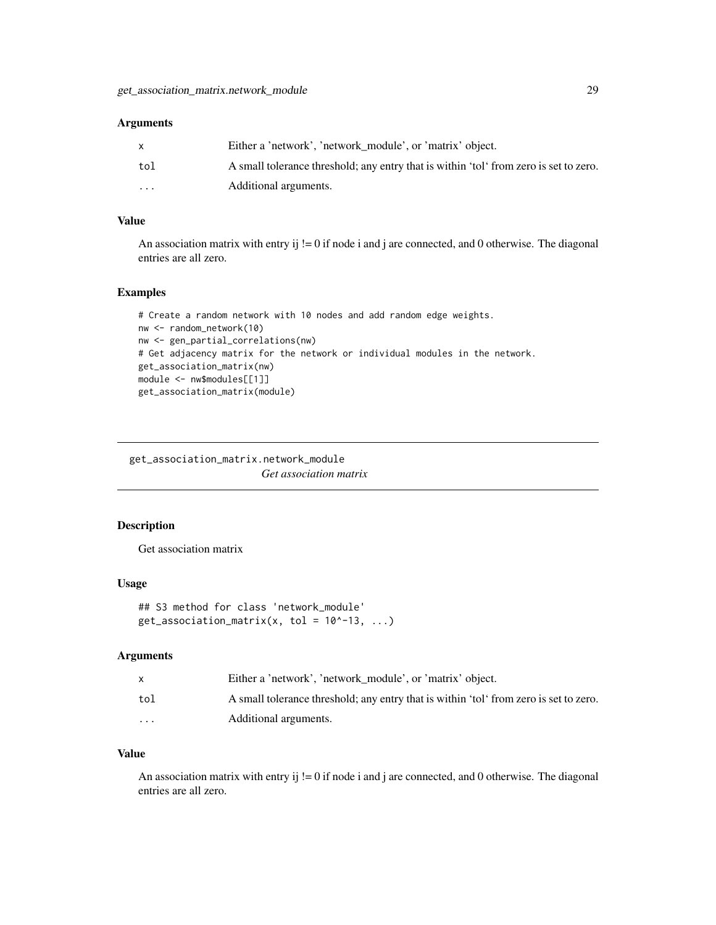<span id="page-28-0"></span>

|                         | Either a 'network', 'network_module', or 'matrix' object.                             |
|-------------------------|---------------------------------------------------------------------------------------|
| tol                     | A small tolerance threshold; any entry that is within 'tol' from zero is set to zero. |
| $\cdot$ $\cdot$ $\cdot$ | Additional arguments.                                                                 |

# Value

An association matrix with entry ij  $!= 0$  if node i and j are connected, and 0 otherwise. The diagonal entries are all zero.

#### Examples

```
# Create a random network with 10 nodes and add random edge weights.
nw <- random_network(10)
nw <- gen_partial_correlations(nw)
# Get adjacency matrix for the network or individual modules in the network.
get_association_matrix(nw)
module <- nw$modules[[1]]
get_association_matrix(module)
```
get\_association\_matrix.network\_module *Get association matrix*

### Description

Get association matrix

### Usage

```
## S3 method for class 'network_module'
get_association_matrix(x, tol = 10^-13, ...)
```
### Arguments

|                         | Either a 'network', 'network_module', or 'matrix' object.                             |
|-------------------------|---------------------------------------------------------------------------------------|
| tol                     | A small tolerance threshold; any entry that is within 'tol' from zero is set to zero. |
| $\cdot$ $\cdot$ $\cdot$ | Additional arguments.                                                                 |

# Value

An association matrix with entry ij  $!= 0$  if node i and j are connected, and 0 otherwise. The diagonal entries are all zero.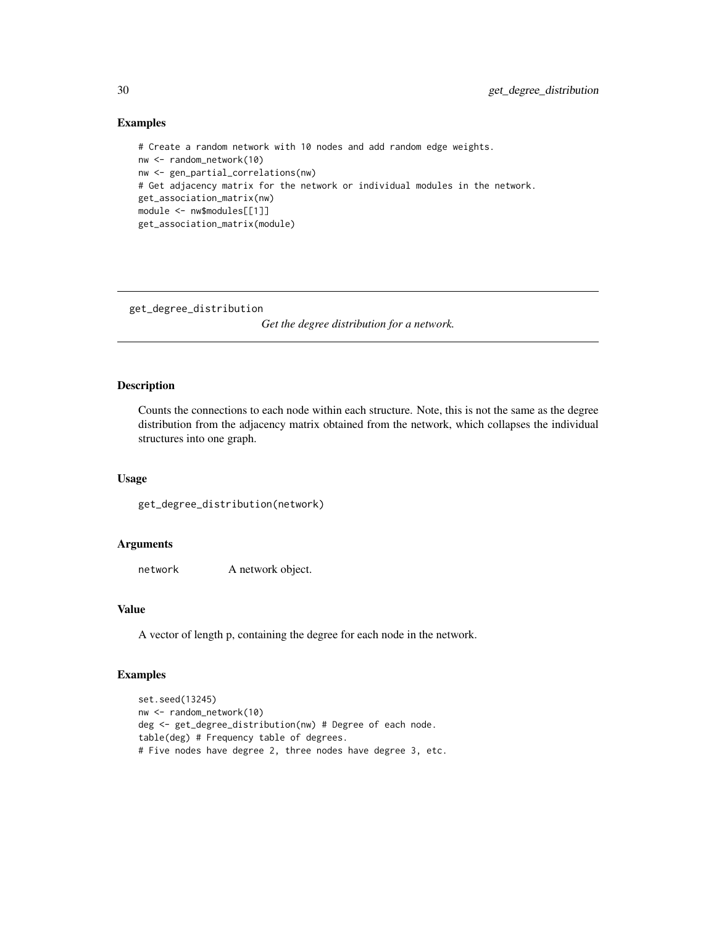### Examples

```
# Create a random network with 10 nodes and add random edge weights.
nw <- random_network(10)
nw <- gen_partial_correlations(nw)
# Get adjacency matrix for the network or individual modules in the network.
get_association_matrix(nw)
module <- nw$modules[[1]]
get_association_matrix(module)
```
get\_degree\_distribution

*Get the degree distribution for a network.*

# Description

Counts the connections to each node within each structure. Note, this is not the same as the degree distribution from the adjacency matrix obtained from the network, which collapses the individual structures into one graph.

### Usage

get\_degree\_distribution(network)

#### Arguments

network A network object.

# Value

A vector of length p, containing the degree for each node in the network.

```
set.seed(13245)
nw <- random_network(10)
deg <- get_degree_distribution(nw) # Degree of each node.
table(deg) # Frequency table of degrees.
# Five nodes have degree 2, three nodes have degree 3, etc.
```
<span id="page-29-0"></span>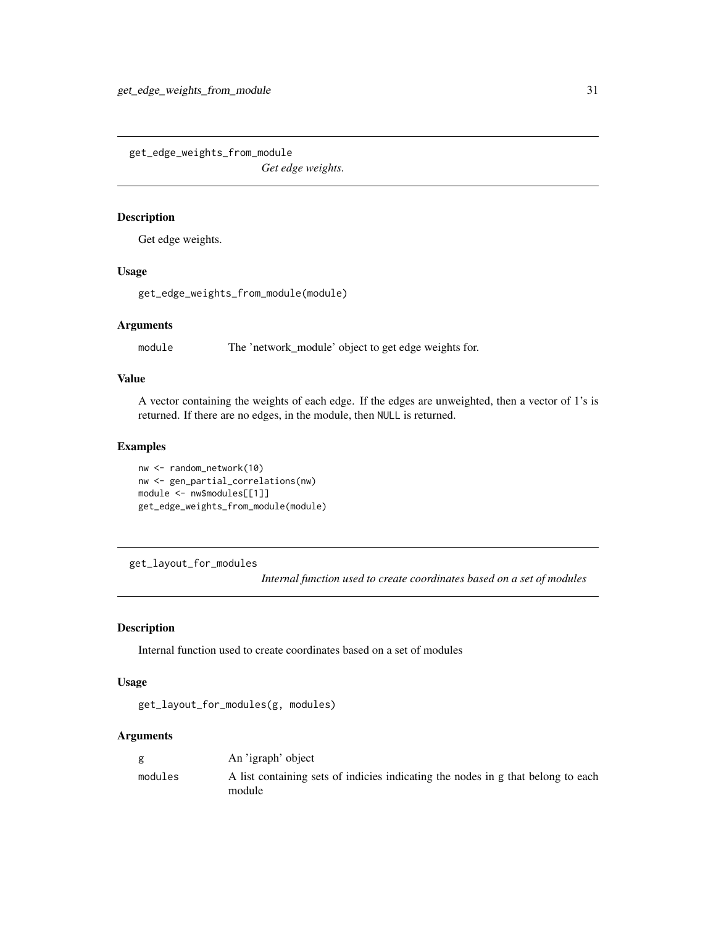<span id="page-30-0"></span>get\_edge\_weights\_from\_module

*Get edge weights.*

### Description

Get edge weights.

#### Usage

get\_edge\_weights\_from\_module(module)

### Arguments

module The 'network\_module' object to get edge weights for.

# Value

A vector containing the weights of each edge. If the edges are unweighted, then a vector of 1's is returned. If there are no edges, in the module, then NULL is returned.

#### Examples

```
nw <- random_network(10)
nw <- gen_partial_correlations(nw)
module <- nw$modules[[1]]
get_edge_weights_from_module(module)
```
get\_layout\_for\_modules

*Internal function used to create coordinates based on a set of modules*

### Description

Internal function used to create coordinates based on a set of modules

### Usage

```
get_layout_for_modules(g, modules)
```
# Arguments

|         | An 'igraph' object                                                                         |
|---------|--------------------------------------------------------------------------------------------|
| modules | A list containing sets of indicies indicating the nodes in g that belong to each<br>module |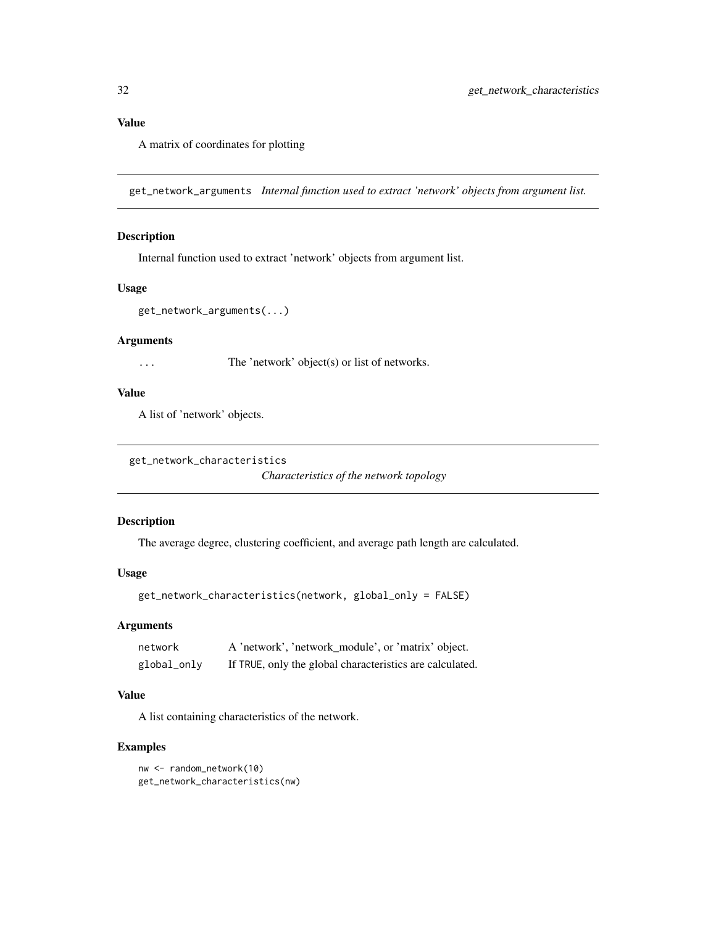# <span id="page-31-0"></span>Value

A matrix of coordinates for plotting

get\_network\_arguments *Internal function used to extract 'network' objects from argument list.*

# Description

Internal function used to extract 'network' objects from argument list.

### Usage

get\_network\_arguments(...)

# Arguments

... The 'network' object(s) or list of networks.

# Value

A list of 'network' objects.

get\_network\_characteristics

*Characteristics of the network topology*

### Description

The average degree, clustering coefficient, and average path length are calculated.

# Usage

```
get_network_characteristics(network, global_only = FALSE)
```
# Arguments

| network     | A 'network', 'network_module', or 'matrix' object.       |
|-------------|----------------------------------------------------------|
| global_only | If TRUE, only the global characteristics are calculated. |

# Value

A list containing characteristics of the network.

```
nw <- random_network(10)
get_network_characteristics(nw)
```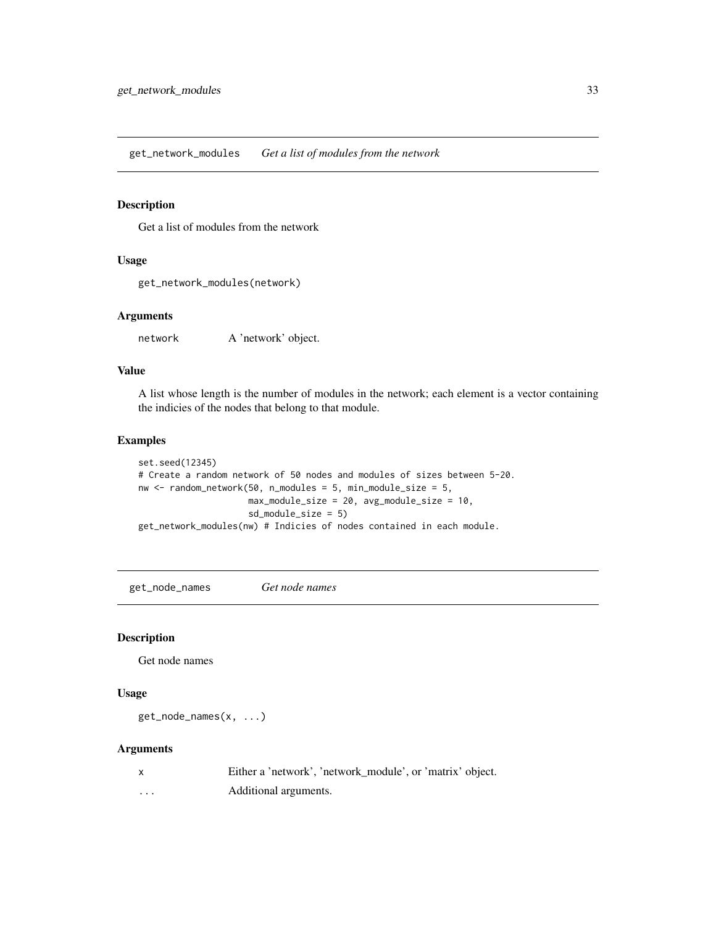<span id="page-32-0"></span>get\_network\_modules *Get a list of modules from the network*

# Description

Get a list of modules from the network

### Usage

```
get_network_modules(network)
```
# Arguments

network A 'network' object.

# Value

A list whose length is the number of modules in the network; each element is a vector containing the indicies of the nodes that belong to that module.

#### Examples

```
set.seed(12345)
# Create a random network of 50 nodes and modules of sizes between 5-20.
nw \le random_network(50, n_modules = 5, min_module_size = 5,
                     max_module_size = 20, avg_module_size = 10,
                     sd_module_size = 5)
get_network_modules(nw) # Indicies of nodes contained in each module.
```
get\_node\_names *Get node names*

### Description

Get node names

# Usage

get\_node\_names(x, ...)

#### Arguments

x Either a 'network', 'network\_module', or 'matrix' object. ... Additional arguments.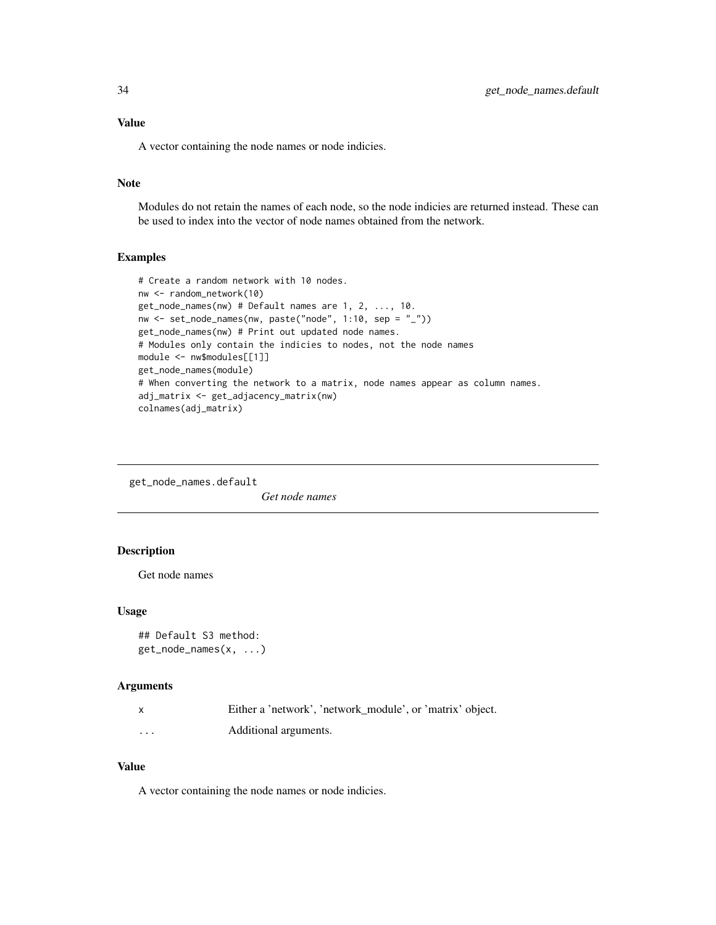<span id="page-33-0"></span>A vector containing the node names or node indicies.

# Note

Modules do not retain the names of each node, so the node indicies are returned instead. These can be used to index into the vector of node names obtained from the network.

# Examples

```
# Create a random network with 10 nodes.
nw <- random_network(10)
get_node_names(nw) # Default names are 1, 2, ..., 10.
nw <- set_node_names(nw, paste("node", 1:10, sep = "_"))
get_node_names(nw) # Print out updated node names.
# Modules only contain the indicies to nodes, not the node names
module <- nw$modules[[1]]
get_node_names(module)
# When converting the network to a matrix, node names appear as column names.
adj_matrix <- get_adjacency_matrix(nw)
colnames(adj_matrix)
```
get\_node\_names.default

*Get node names*

# Description

Get node names

### Usage

```
## Default S3 method:
get_node_names(x, ...)
```
#### Arguments

|          | Either a 'network', 'network module', or 'matrix' object. |
|----------|-----------------------------------------------------------|
| $\cdots$ | Additional arguments.                                     |

#### Value

A vector containing the node names or node indicies.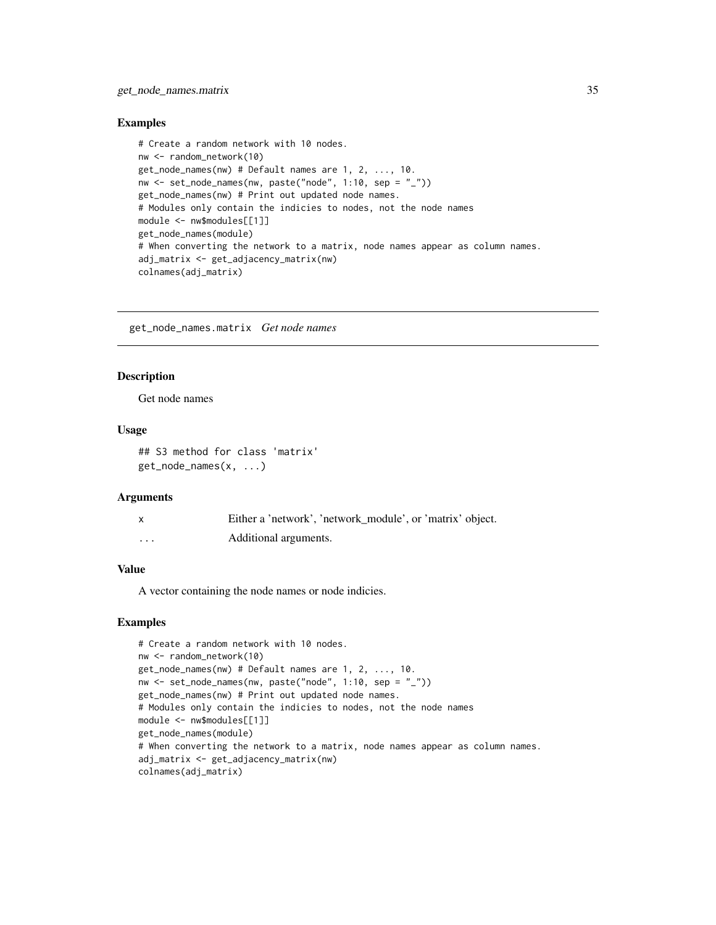### <span id="page-34-0"></span>Examples

```
# Create a random network with 10 nodes.
nw <- random_network(10)
get_node_names(nw) # Default names are 1, 2, ..., 10.
nw <- set_node_names(nw, paste("node", 1:10, sep = "_"))
get_node_names(nw) # Print out updated node names.
# Modules only contain the indicies to nodes, not the node names
module <- nw$modules[[1]]
get_node_names(module)
# When converting the network to a matrix, node names appear as column names.
adj_matrix <- get_adjacency_matrix(nw)
colnames(adj_matrix)
```
get\_node\_names.matrix *Get node names*

### Description

Get node names

# Usage

```
## S3 method for class 'matrix'
get_node_names(x, ...)
```
#### Arguments

|   | Either a 'network', 'network_module', or 'matrix' object. |
|---|-----------------------------------------------------------|
| . | Additional arguments.                                     |

### Value

A vector containing the node names or node indicies.

```
# Create a random network with 10 nodes.
nw <- random_network(10)
get_node_names(nw) # Default names are 1, 2, ..., 10.
nw \le set_node_names(nw, paste("node", 1:10, sep = "_"))
get_node_names(nw) # Print out updated node names.
# Modules only contain the indicies to nodes, not the node names
module <- nw$modules[[1]]
get_node_names(module)
# When converting the network to a matrix, node names appear as column names.
adj_matrix <- get_adjacency_matrix(nw)
colnames(adj_matrix)
```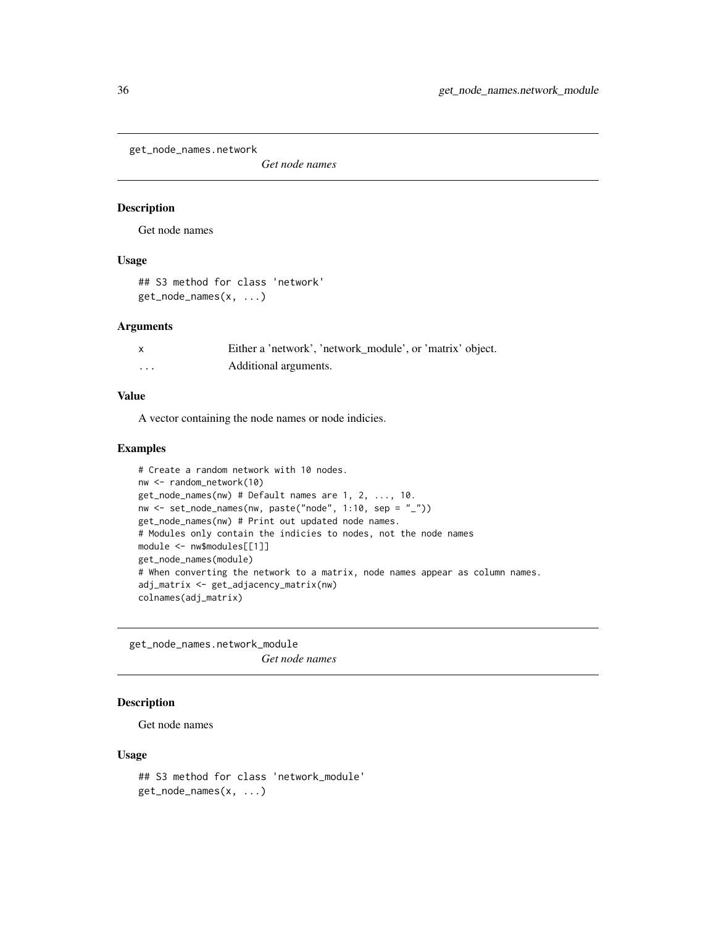<span id="page-35-0"></span>get\_node\_names.network

*Get node names*

### Description

Get node names

### Usage

## S3 method for class 'network' get\_node\_names(x, ...)

#### Arguments

|   | Either a 'network', 'network_module', or 'matrix' object. |
|---|-----------------------------------------------------------|
| . | Additional arguments.                                     |

### Value

A vector containing the node names or node indicies.

# Examples

```
# Create a random network with 10 nodes.
nw <- random_network(10)
get_node_names(nw) # Default names are 1, 2, ..., 10.
nw <- set_node_names(nw, paste("node", 1:10, sep = "_"))
get_node_names(nw) # Print out updated node names.
# Modules only contain the indicies to nodes, not the node names
module <- nw$modules[[1]]
get_node_names(module)
# When converting the network to a matrix, node names appear as column names.
adj_matrix <- get_adjacency_matrix(nw)
colnames(adj_matrix)
```
get\_node\_names.network\_module *Get node names*

# Description

Get node names

```
## S3 method for class 'network_module'
get_node_names(x, ...)
```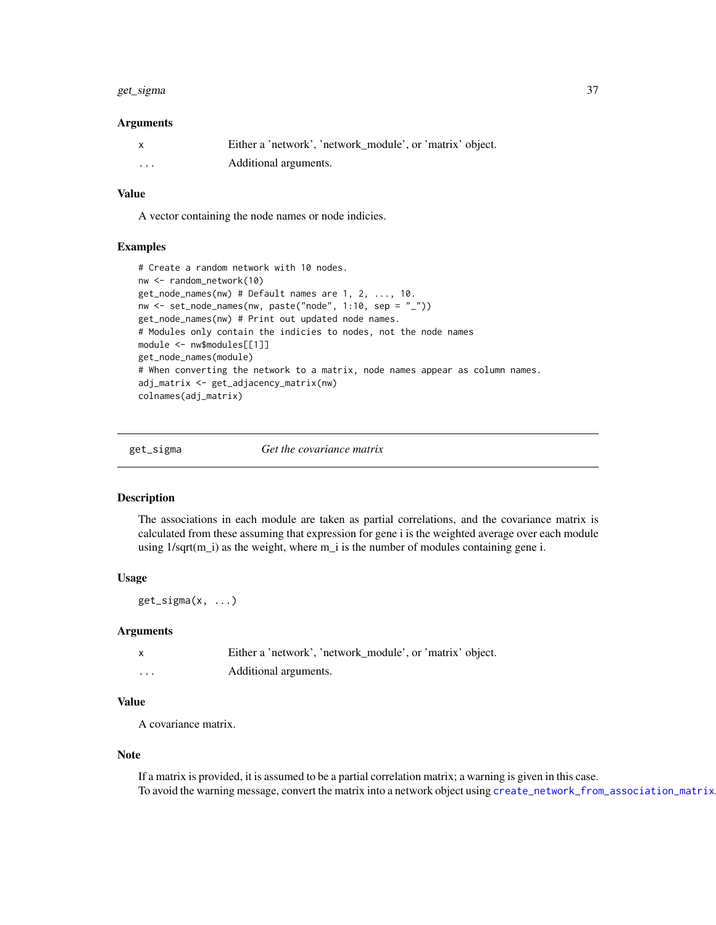#### get\_sigma 37

#### Arguments

|   | Either a 'network', 'network module', or 'matrix' object. |
|---|-----------------------------------------------------------|
| . | Additional arguments.                                     |

#### Value

A vector containing the node names or node indicies.

## Examples

```
# Create a random network with 10 nodes.
nw <- random_network(10)
get_node_names(nw) # Default names are 1, 2, ..., 10.
nw <- set_node_names(nw, paste("node", 1:10, sep = "_"))
get_node_names(nw) # Print out updated node names.
# Modules only contain the indicies to nodes, not the node names
module <- nw$modules[[1]]
get_node_names(module)
# When converting the network to a matrix, node names appear as column names.
adj_matrix <- get_adjacency_matrix(nw)
colnames(adj_matrix)
```
get\_sigma *Get the covariance matrix*

#### Description

The associations in each module are taken as partial correlations, and the covariance matrix is calculated from these assuming that expression for gene i is the weighted average over each module using  $1/\sqrt{sqrt(m_i)}$  as the weight, where m<sub>i</sub> is the number of modules containing gene i.

# Usage

 $get\_sigma(x, \ldots)$ 

### Arguments

|          | Either a 'network', 'network_module', or 'matrix' object. |
|----------|-----------------------------------------------------------|
| $\cdots$ | Additional arguments.                                     |

## Value

A covariance matrix.

#### Note

If a matrix is provided, it is assumed to be a partial correlation matrix; a warning is given in this case. To avoid the warning message, convert the matrix into a network object using [create\\_network\\_from\\_association\\_matrix](#page-14-0).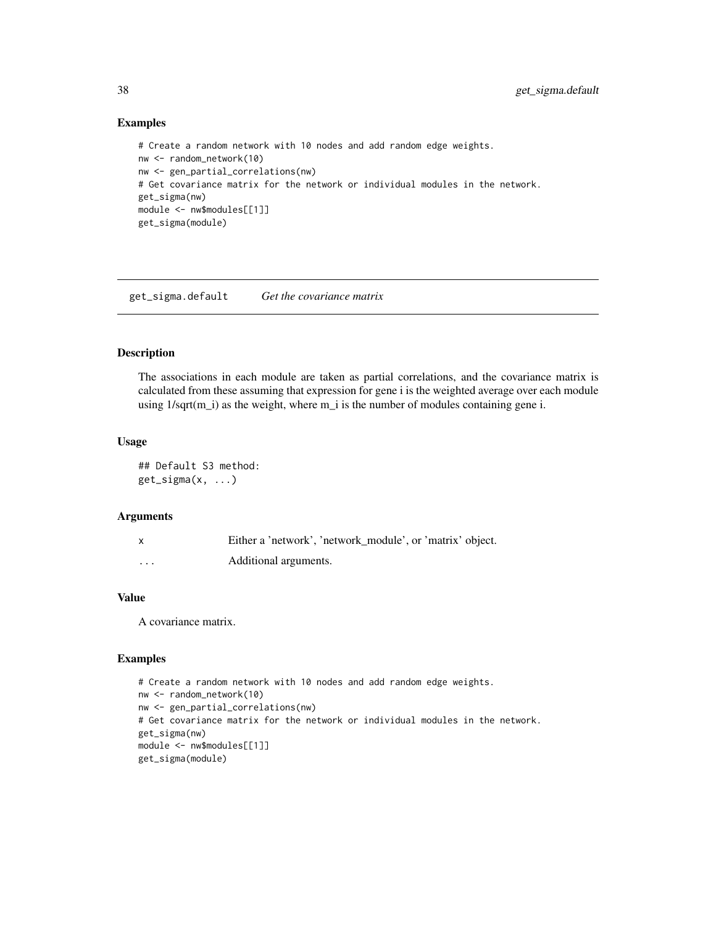## Examples

```
# Create a random network with 10 nodes and add random edge weights.
nw <- random_network(10)
nw <- gen_partial_correlations(nw)
# Get covariance matrix for the network or individual modules in the network.
get_sigma(nw)
module <- nw$modules[[1]]
get_sigma(module)
```
get\_sigma.default *Get the covariance matrix*

# Description

The associations in each module are taken as partial correlations, and the covariance matrix is calculated from these assuming that expression for gene i is the weighted average over each module using 1/sqrt(m\_i) as the weight, where m\_i is the number of modules containing gene i.

# Usage

## Default S3 method: get\_sigma(x, ...)

#### Arguments

| $\mathsf{x}$ | Either a 'network', 'network_module', or 'matrix' object. |
|--------------|-----------------------------------------------------------|
| .            | Additional arguments.                                     |

## Value

A covariance matrix.

```
# Create a random network with 10 nodes and add random edge weights.
nw <- random_network(10)
nw <- gen_partial_correlations(nw)
# Get covariance matrix for the network or individual modules in the network.
get_sigma(nw)
module <- nw$modules[[1]]
get_sigma(module)
```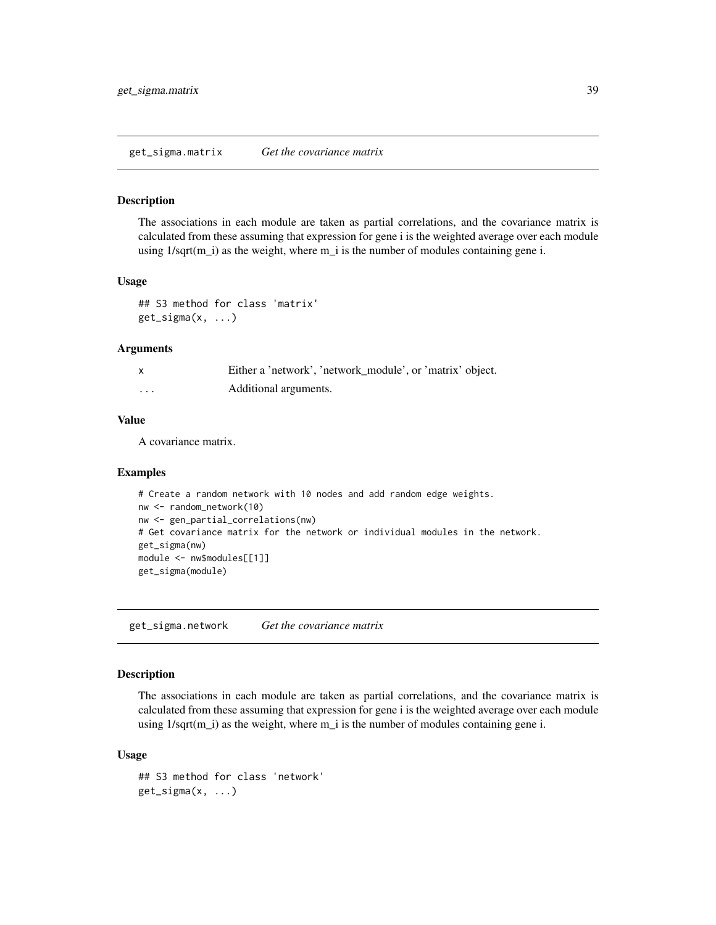#### Description

The associations in each module are taken as partial correlations, and the covariance matrix is calculated from these assuming that expression for gene i is the weighted average over each module using 1/sqrt(m\_i) as the weight, where m\_i is the number of modules containing gene i.

## Usage

```
## S3 method for class 'matrix'
get_sigma(x, ...)
```
### Arguments

|   | Either a 'network', 'network_module', or 'matrix' object. |
|---|-----------------------------------------------------------|
| . | Additional arguments.                                     |

# Value

A covariance matrix.

### Examples

```
# Create a random network with 10 nodes and add random edge weights.
nw <- random_network(10)
nw <- gen_partial_correlations(nw)
# Get covariance matrix for the network or individual modules in the network.
get_sigma(nw)
module <- nw$modules[[1]]
get_sigma(module)
```
get\_sigma.network *Get the covariance matrix*

# Description

The associations in each module are taken as partial correlations, and the covariance matrix is calculated from these assuming that expression for gene i is the weighted average over each module using 1/sqrt(m\_i) as the weight, where m\_i is the number of modules containing gene i.

#### Usage

```
## S3 method for class 'network'
get\_sigma(x, \ldots)
```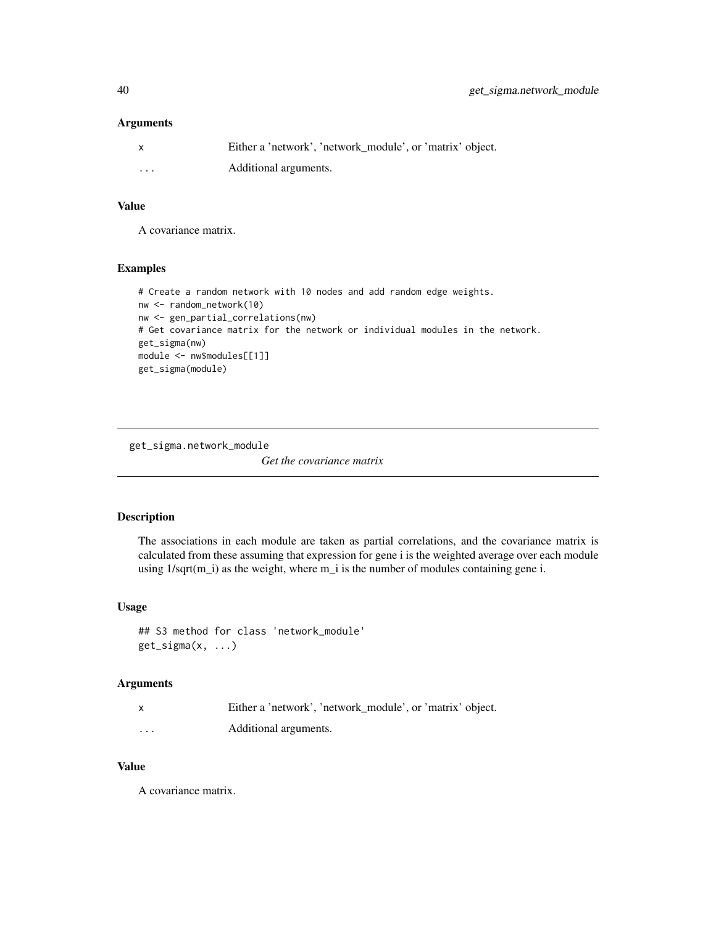## Arguments

|          | Either a 'network', 'network module', or 'matrix' object. |
|----------|-----------------------------------------------------------|
| $\cdots$ | Additional arguments.                                     |

# Value

A covariance matrix.

# Examples

```
# Create a random network with 10 nodes and add random edge weights.
nw <- random_network(10)
nw <- gen_partial_correlations(nw)
# Get covariance matrix for the network or individual modules in the network.
get_sigma(nw)
module <- nw$modules[[1]]
get_sigma(module)
```
get\_sigma.network\_module

*Get the covariance matrix*

# Description

The associations in each module are taken as partial correlations, and the covariance matrix is calculated from these assuming that expression for gene i is the weighted average over each module using  $1/\sqrt{sqrt(m_i)}$  as the weight, where  $m_i$  is the number of modules containing gene i.

## Usage

## S3 method for class 'network\_module'  $get\_sigma(x, \ldots)$ 

# Arguments

| $\mathsf{x}$ | Either a 'network', 'network module', or 'matrix' object. |
|--------------|-----------------------------------------------------------|
| $\cdots$     | Additional arguments.                                     |

# Value

A covariance matrix.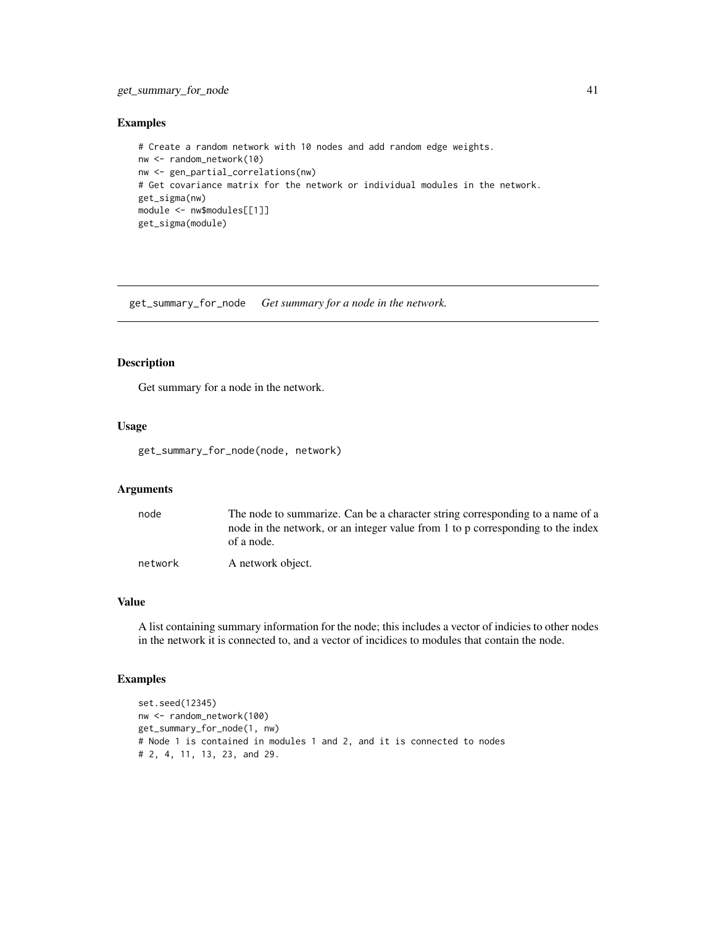# get\_summary\_for\_node 41

# Examples

```
# Create a random network with 10 nodes and add random edge weights.
nw <- random_network(10)
nw <- gen_partial_correlations(nw)
# Get covariance matrix for the network or individual modules in the network.
get_sigma(nw)
module <- nw$modules[[1]]
get_sigma(module)
```
get\_summary\_for\_node *Get summary for a node in the network.*

# Description

Get summary for a node in the network.

# Usage

get\_summary\_for\_node(node, network)

## Arguments

| node    | The node to summarize. Can be a character string corresponding to a name of a<br>node in the network, or an integer value from 1 to p corresponding to the index<br>of a node. |
|---------|--------------------------------------------------------------------------------------------------------------------------------------------------------------------------------|
| network | A network object.                                                                                                                                                              |

## Value

A list containing summary information for the node; this includes a vector of indicies to other nodes in the network it is connected to, and a vector of incidices to modules that contain the node.

```
set.seed(12345)
nw <- random_network(100)
get_summary_for_node(1, nw)
# Node 1 is contained in modules 1 and 2, and it is connected to nodes
# 2, 4, 11, 13, 23, and 29.
```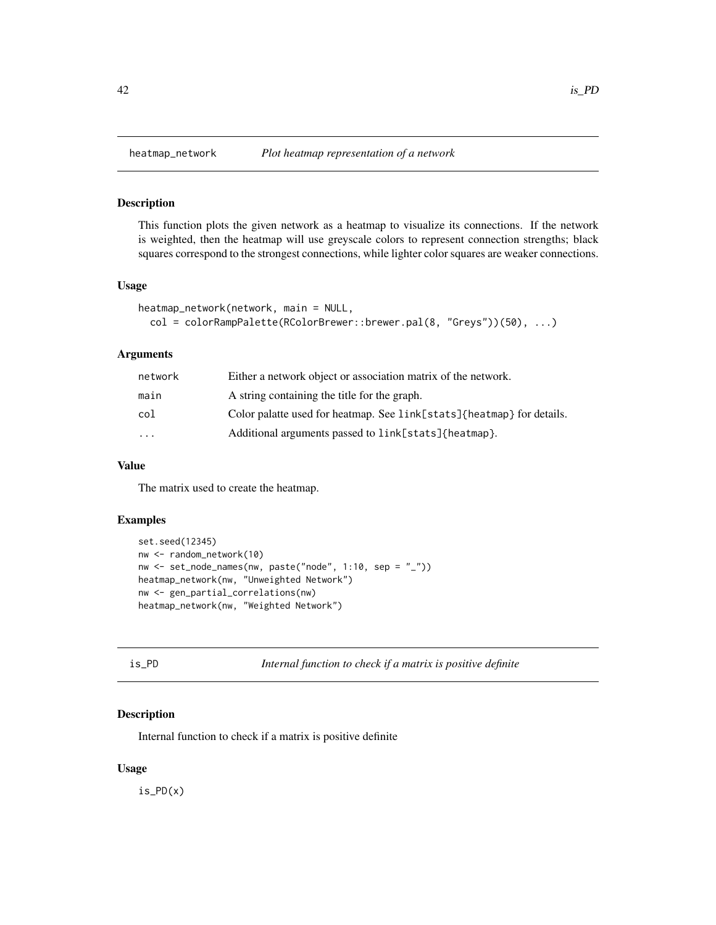## Description

This function plots the given network as a heatmap to visualize its connections. If the network is weighted, then the heatmap will use greyscale colors to represent connection strengths; black squares correspond to the strongest connections, while lighter color squares are weaker connections.

# Usage

```
heatmap_network(network, main = NULL,
 col = colorRampPalette(RColorBrewer::brewer.pal(8, "Greys"))(50), ...)
```
# Arguments

| network   | Either a network object or association matrix of the network.         |
|-----------|-----------------------------------------------------------------------|
| main      | A string containing the title for the graph.                          |
| col       | Color palatte used for heatmap. See link[stats]{heatmap} for details. |
| $\ddotsc$ | Additional arguments passed to link[stats]{heatmap}.                  |
|           |                                                                       |

## Value

The matrix used to create the heatmap.

# Examples

```
set.seed(12345)
nw <- random_network(10)
nw \leq set\_node\_names(nw, paste("node", 1:10, sep = "__")heatmap_network(nw, "Unweighted Network")
nw <- gen_partial_correlations(nw)
heatmap_network(nw, "Weighted Network")
```

```
Internal function to check if a matrix is positive definite
```
## Description

Internal function to check if a matrix is positive definite

#### Usage

is\_PD(x)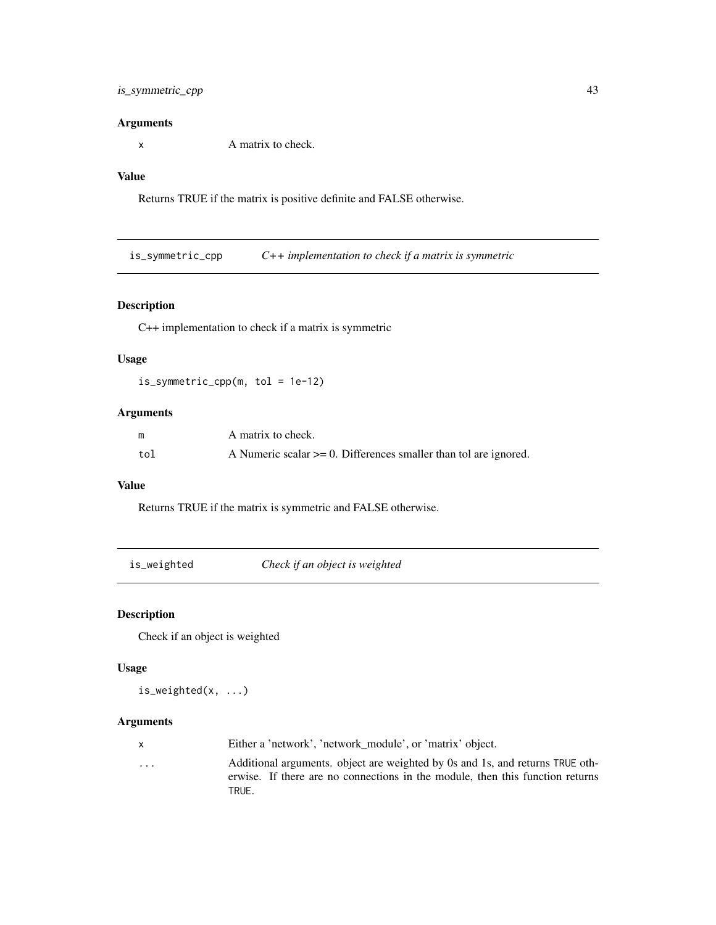## Arguments

x A matrix to check.

# Value

Returns TRUE if the matrix is positive definite and FALSE otherwise.

is\_symmetric\_cpp *C++ implementation to check if a matrix is symmetric*

# Description

C++ implementation to check if a matrix is symmetric

# Usage

is\_symmetric\_cpp(m, tol = 1e-12)

# Arguments

| m   | A matrix to check.                                                  |
|-----|---------------------------------------------------------------------|
| tol | A Numeric scalar $>= 0$ . Differences smaller than tol are ignored. |

# Value

Returns TRUE if the matrix is symmetric and FALSE otherwise.

| is_weighted |  |
|-------------|--|
|             |  |

Check if an object is weighted

# Description

Check if an object is weighted

# Usage

is\_weighted(x, ...)

| x.       | Either a 'network', 'network_module', or 'matrix' object.                                                                                                      |
|----------|----------------------------------------------------------------------------------------------------------------------------------------------------------------|
| $\cdots$ | Additional arguments, object are weighted by 0s and 1s, and returns TRUE oth-<br>erwise. If there are no connections in the module, then this function returns |
|          | TRUE.                                                                                                                                                          |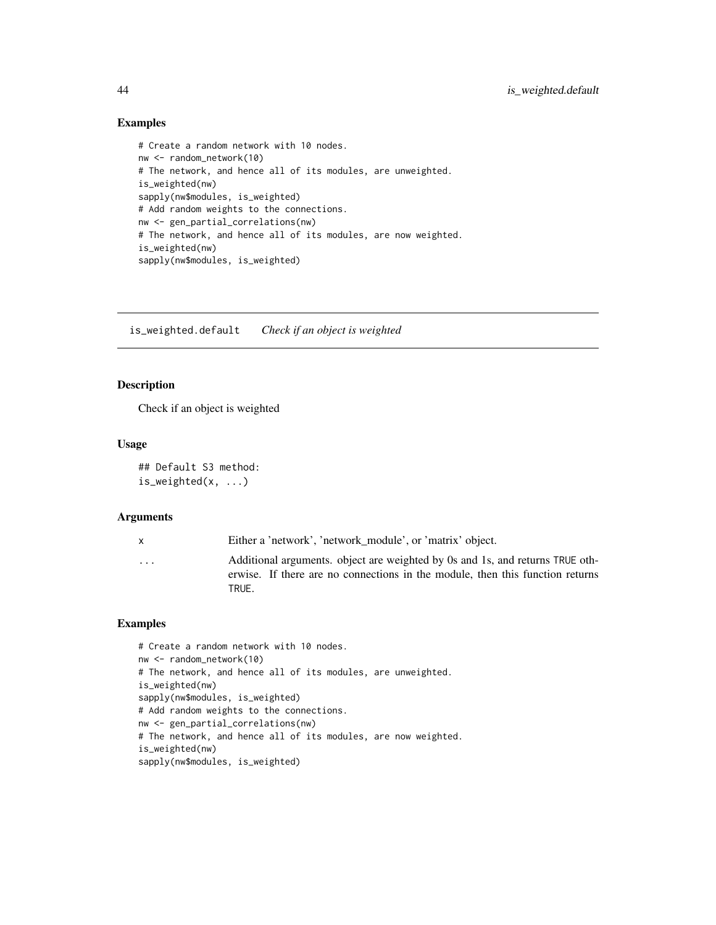## Examples

```
# Create a random network with 10 nodes.
nw <- random_network(10)
# The network, and hence all of its modules, are unweighted.
is_weighted(nw)
sapply(nw$modules, is_weighted)
# Add random weights to the connections.
nw <- gen_partial_correlations(nw)
# The network, and hence all of its modules, are now weighted.
is_weighted(nw)
sapply(nw$modules, is_weighted)
```
is\_weighted.default *Check if an object is weighted*

# Description

Check if an object is weighted

### Usage

## Default S3 method: is\_weighted(x, ...)

TRUE.

#### **Arguments**

|                         | Either a 'network', 'network module', or 'matrix' object.                     |
|-------------------------|-------------------------------------------------------------------------------|
| $\cdot$ $\cdot$ $\cdot$ | Additional arguments, object are weighted by 0s and 1s, and returns TRUE oth- |
|                         | erwise. If there are no connections in the module, then this function returns |

```
# Create a random network with 10 nodes.
nw <- random_network(10)
# The network, and hence all of its modules, are unweighted.
is_weighted(nw)
sapply(nw$modules, is_weighted)
# Add random weights to the connections.
nw <- gen_partial_correlations(nw)
# The network, and hence all of its modules, are now weighted.
is_weighted(nw)
sapply(nw$modules, is_weighted)
```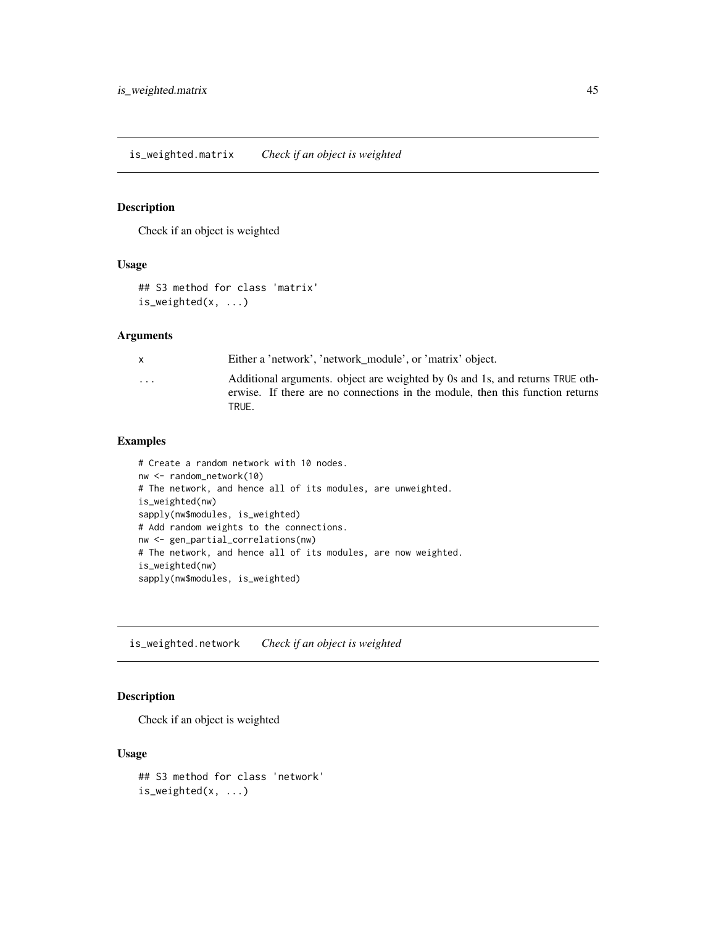## Description

Check if an object is weighted

## Usage

```
## S3 method for class 'matrix'
is_weighted(x, ...)
```
## Arguments

| X        | Either a 'network', 'network module', or 'matrix' object.                                                                                                               |
|----------|-------------------------------------------------------------------------------------------------------------------------------------------------------------------------|
| $\cdots$ | Additional arguments. object are weighted by 0s and 1s, and returns TRUE oth-<br>erwise. If there are no connections in the module, then this function returns<br>TRUF. |
|          |                                                                                                                                                                         |

## Examples

```
# Create a random network with 10 nodes.
nw <- random_network(10)
# The network, and hence all of its modules, are unweighted.
is_weighted(nw)
sapply(nw$modules, is_weighted)
# Add random weights to the connections.
nw <- gen_partial_correlations(nw)
# The network, and hence all of its modules, are now weighted.
is_weighted(nw)
sapply(nw$modules, is_weighted)
```
is\_weighted.network *Check if an object is weighted*

# Description

Check if an object is weighted

# Usage

## S3 method for class 'network' is\_weighted(x, ...)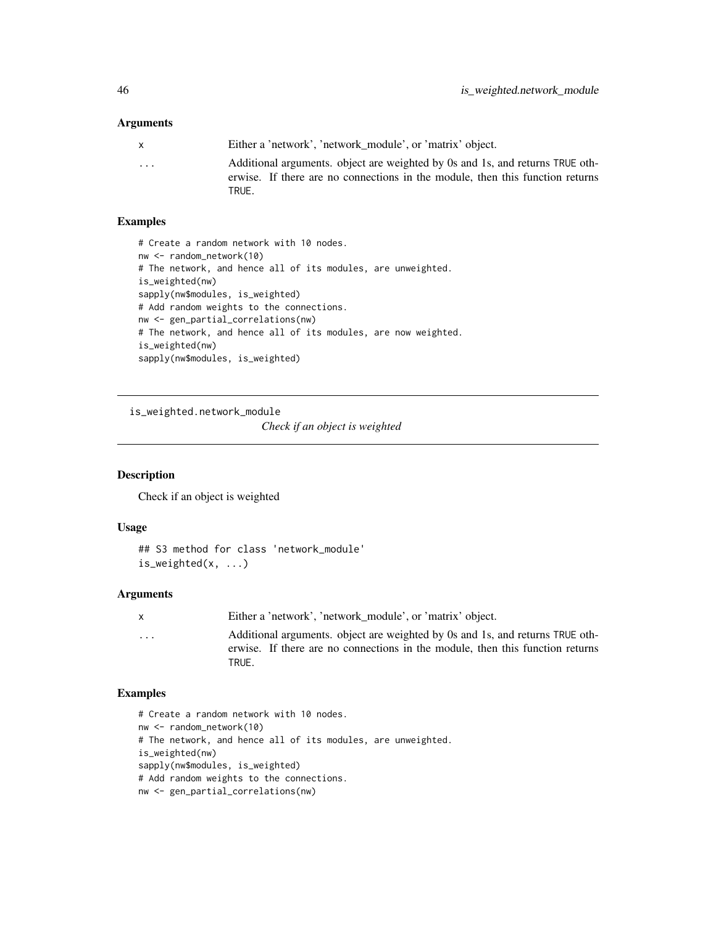## **Arguments**

| x                       | Either a 'network', 'network module', or 'matrix' object.                                                                                                      |
|-------------------------|----------------------------------------------------------------------------------------------------------------------------------------------------------------|
| $\cdot$ $\cdot$ $\cdot$ | Additional arguments. object are weighted by 0s and 1s, and returns TRUE oth-<br>erwise. If there are no connections in the module, then this function returns |
|                         | TRUE.                                                                                                                                                          |

## Examples

```
# Create a random network with 10 nodes.
nw <- random_network(10)
# The network, and hence all of its modules, are unweighted.
is_weighted(nw)
sapply(nw$modules, is_weighted)
# Add random weights to the connections.
nw <- gen_partial_correlations(nw)
# The network, and hence all of its modules, are now weighted.
is_weighted(nw)
sapply(nw$modules, is_weighted)
```
is\_weighted.network\_module

*Check if an object is weighted*

## Description

Check if an object is weighted

# Usage

```
## S3 method for class 'network_module'
is_weighted(x, ...)
```
#### Arguments

x Either a 'network', 'network\_module', or 'matrix' object.

... Additional arguments. object are weighted by 0s and 1s, and returns TRUE otherwise. If there are no connections in the module, then this function returns TRUE.

```
# Create a random network with 10 nodes.
nw <- random_network(10)
# The network, and hence all of its modules, are unweighted.
is_weighted(nw)
sapply(nw$modules, is_weighted)
# Add random weights to the connections.
nw <- gen_partial_correlations(nw)
```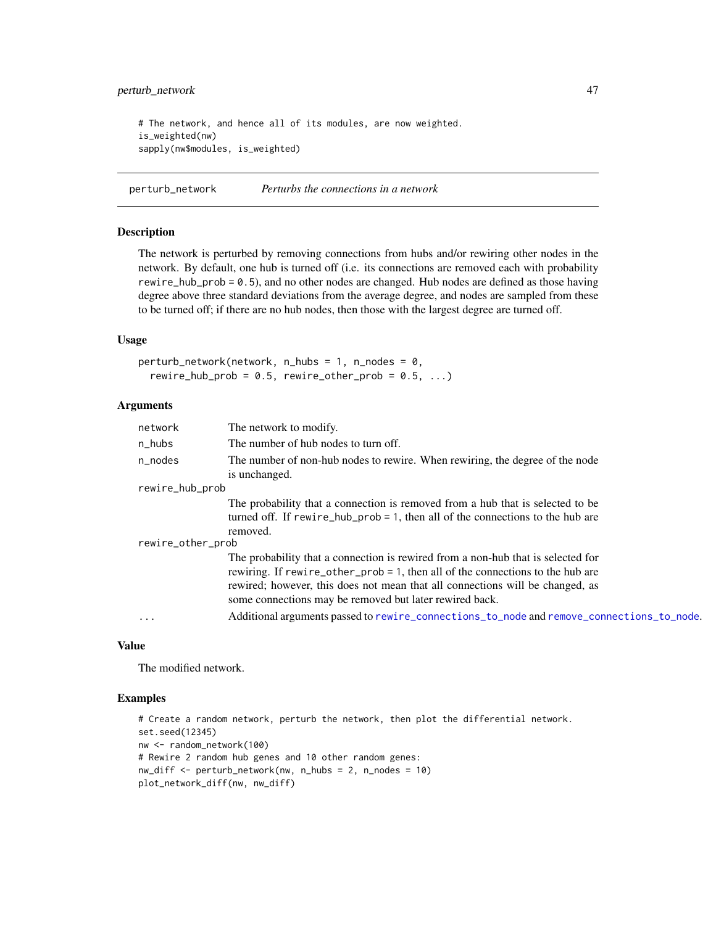# perturb\_network 47

# The network, and hence all of its modules, are now weighted. is\_weighted(nw) sapply(nw\$modules, is\_weighted)

perturb\_network *Perturbs the connections in a network*

# Description

The network is perturbed by removing connections from hubs and/or rewiring other nodes in the network. By default, one hub is turned off (i.e. its connections are removed each with probability rewire\_hub\_prob = 0.5), and no other nodes are changed. Hub nodes are defined as those having degree above three standard deviations from the average degree, and nodes are sampled from these to be turned off; if there are no hub nodes, then those with the largest degree are turned off.

## Usage

```
perturb_network(network, n_hubs = 1, n_nodes = 0,
  rewire_hub_prob = 0.5, rewire_other_prob = 0.5, ...)
```
# Arguments

| network           | The network to modify.                                                                                                                                                       |  |
|-------------------|------------------------------------------------------------------------------------------------------------------------------------------------------------------------------|--|
| n_hubs            | The number of hub nodes to turn off.                                                                                                                                         |  |
| n nodes           | The number of non-hub nodes to rewire. When rewiring, the degree of the node<br>is unchanged.                                                                                |  |
| rewire_hub_prob   |                                                                                                                                                                              |  |
|                   | The probability that a connection is removed from a hub that is selected to be<br>turned off. If rewire_hub_prob = 1, then all of the connections to the hub are<br>removed. |  |
| rewire_other_prob |                                                                                                                                                                              |  |
|                   | The probability that a connection is rewired from a non-hub that is selected for                                                                                             |  |
|                   | rewiring. If rewire_other_prob = 1, then all of the connections to the hub are                                                                                               |  |
|                   | rewired; however, this does not mean that all connections will be changed, as                                                                                                |  |
|                   | some connections may be removed but later rewired back.                                                                                                                      |  |
| $\cdots$          | Additional arguments passed to rewire_connections_to_node and remove_connections_to_node.                                                                                    |  |

### Value

The modified network.

```
# Create a random network, perturb the network, then plot the differential network.
set.seed(12345)
nw <- random_network(100)
# Rewire 2 random hub genes and 10 other random genes:
nw_diff <- perturb_network(nw, n_hubs = 2, n_nodes = 10)
plot_network_diff(nw, nw_diff)
```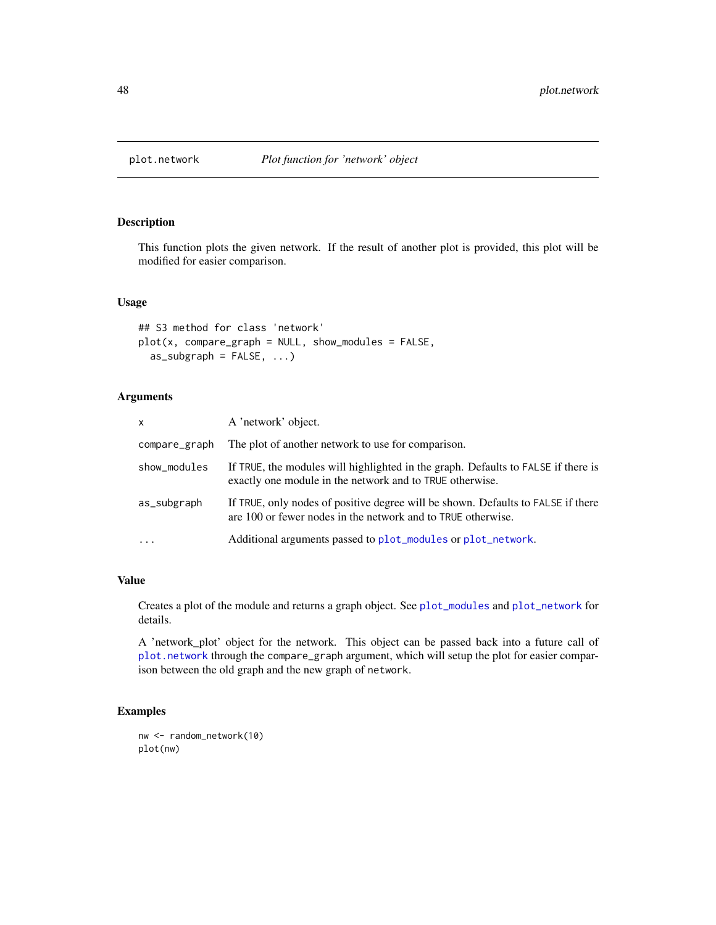<span id="page-47-0"></span>

## Description

This function plots the given network. If the result of another plot is provided, this plot will be modified for easier comparison.

# Usage

```
## S3 method for class 'network'
plot(x, compare\_graph = NULL, show_modules = FALSE,as\_subgraph = FALSE, ...
```
## Arguments

| $\mathsf{x}$  | A 'network' object.                                                                                                                              |
|---------------|--------------------------------------------------------------------------------------------------------------------------------------------------|
| compare_graph | The plot of another network to use for comparison.                                                                                               |
| show_modules  | If TRUE, the modules will highlighted in the graph. Defaults to FALSE if there is<br>exactly one module in the network and to TRUE otherwise.    |
| as_subgraph   | If TRUE, only nodes of positive degree will be shown. Defaults to FALSE if there<br>are 100 or fewer nodes in the network and to TRUE otherwise. |
|               | Additional arguments passed to plot_modules or plot_network.                                                                                     |

# Value

Creates a plot of the module and returns a graph object. See [plot\\_modules](#page-50-0) and [plot\\_network](#page-51-0) for details.

A 'network\_plot' object for the network. This object can be passed back into a future call of [plot.network](#page-47-0) through the compare\_graph argument, which will setup the plot for easier comparison between the old graph and the new graph of network.

```
nw <- random_network(10)
plot(nw)
```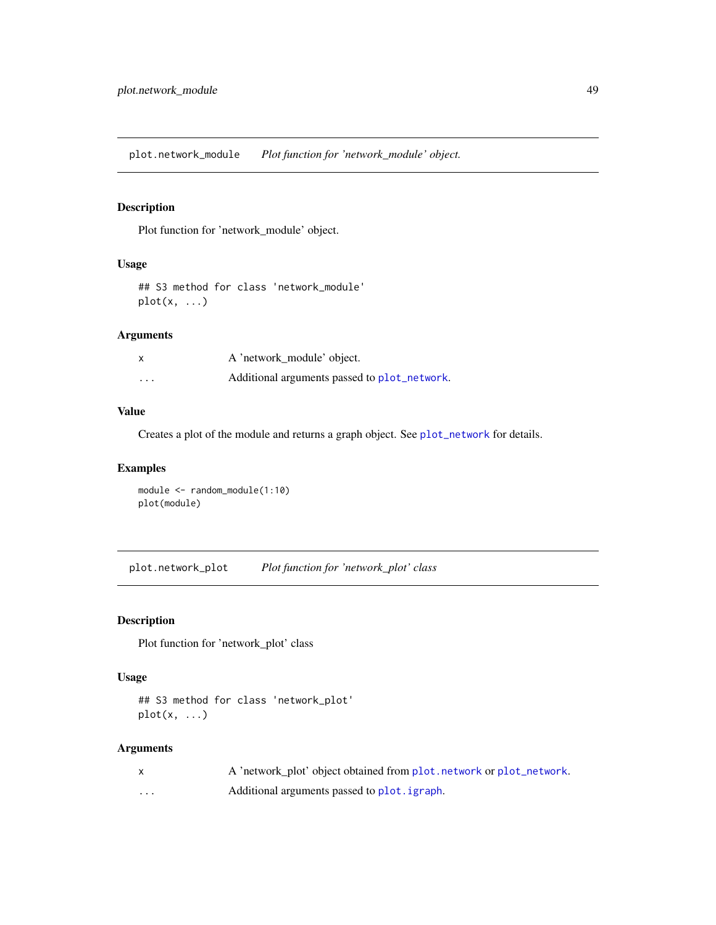plot.network\_module *Plot function for 'network\_module' object.*

## Description

Plot function for 'network\_module' object.

# Usage

## S3 method for class 'network\_module' plot(x, ...)

# Arguments

| X                       | A 'network module' object.                   |
|-------------------------|----------------------------------------------|
| $\cdot$ $\cdot$ $\cdot$ | Additional arguments passed to plot_network. |

# Value

Creates a plot of the module and returns a graph object. See [plot\\_network](#page-51-0) for details.

# Examples

```
module <- random_module(1:10)
plot(module)
```
plot.network\_plot *Plot function for 'network\_plot' class*

# Description

Plot function for 'network\_plot' class

# Usage

```
## S3 method for class 'network_plot'
plot(x, \ldots)
```

|          | A 'network plot' object obtained from plot, network or plot_network. |
|----------|----------------------------------------------------------------------|
| $\cdots$ | Additional arguments passed to plot. igraph.                         |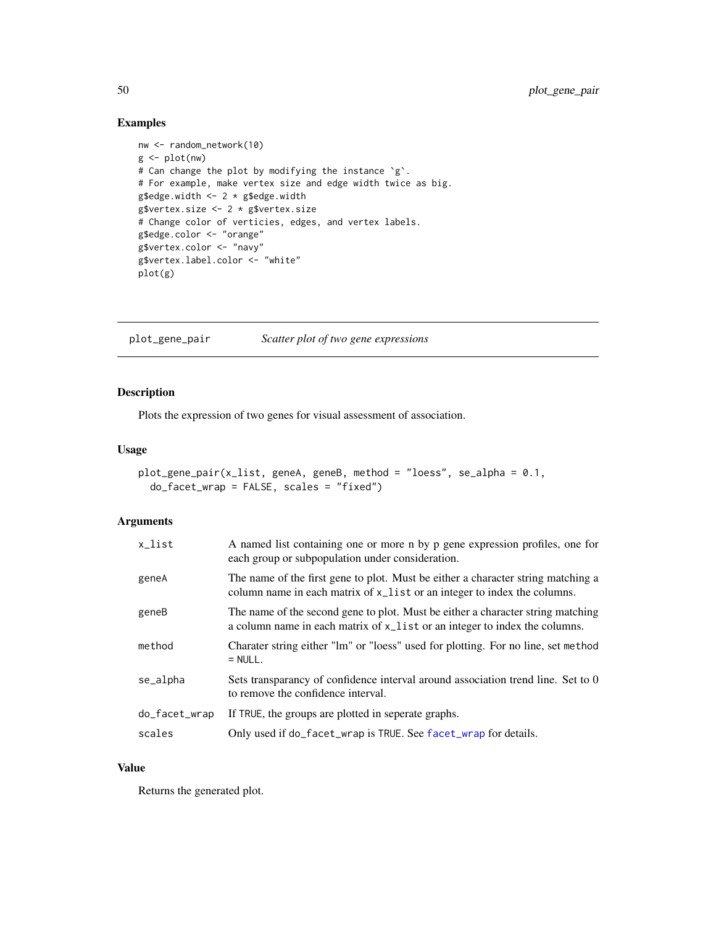# Examples

```
nw <- random_network(10)
g <- plot(nw)
# Can change the plot by modifying the instance `g`.
# For example, make vertex size and edge width twice as big.
g$edge.width <- 2 * g$edge.width
g$vertex.size <- 2 * g$vertex.size
# Change color of verticies, edges, and vertex labels.
g$edge.color <- "orange"
g$vertex.color <- "navy"
g$vertex.label.color <- "white"
plot(g)
```
plot\_gene\_pair *Scatter plot of two gene expressions*

# Description

Plots the expression of two genes for visual assessment of association.

# Usage

```
plot_gene_pair(x_list, geneA, geneB, method = "loess", se_alpha = 0.1,
  do_facet_wrap = FALSE, scales = "fixed")
```
# Arguments

| x_list        | A named list containing one or more n by p gene expression profiles, one for<br>each group or subpopulation under consideration.                              |
|---------------|---------------------------------------------------------------------------------------------------------------------------------------------------------------|
| geneA         | The name of the first gene to plot. Must be either a character string matching a<br>column name in each matrix of x_list or an integer to index the columns.  |
| geneB         | The name of the second gene to plot. Must be either a character string matching<br>a column name in each matrix of x_list or an integer to index the columns. |
| method        | Charater string either "lm" or "loess" used for plotting. For no line, set method<br>$=$ NULL.                                                                |
| se_alpha      | Sets transparancy of confidence interval around association trend line. Set to 0<br>to remove the confidence interval.                                        |
| do_facet_wrap | If TRUE, the groups are plotted in seperate graphs.                                                                                                           |
| scales        | Only used if do_facet_wrap is TRUE. See facet_wrap for details.                                                                                               |

## Value

Returns the generated plot.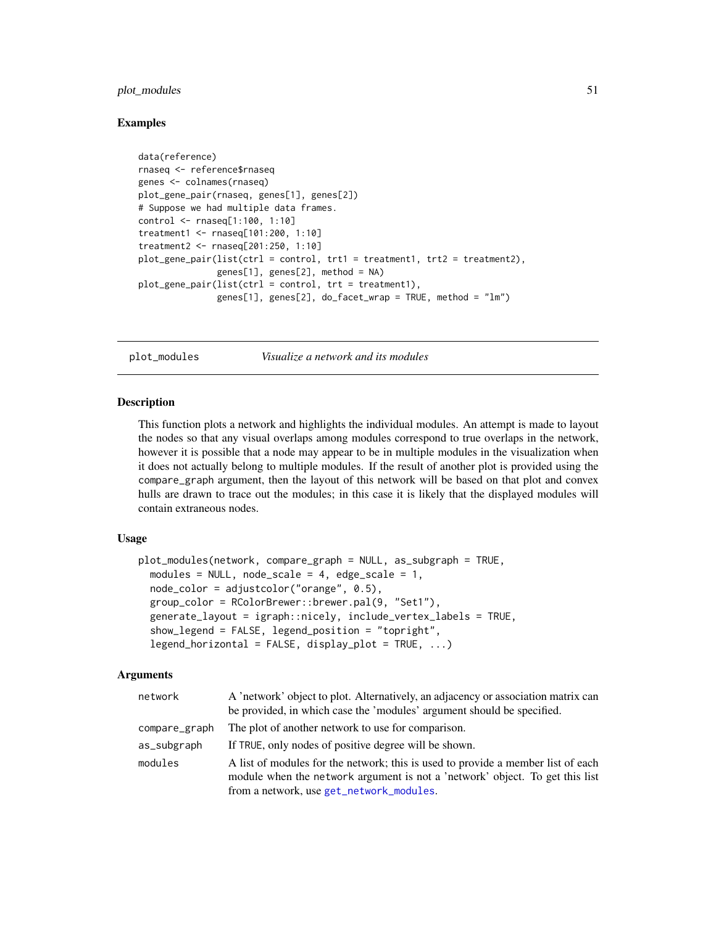# plot\_modules 51

## Examples

```
data(reference)
rnaseq <- reference$rnaseq
genes <- colnames(rnaseq)
plot_gene_pair(rnaseq, genes[1], genes[2])
# Suppose we had multiple data frames.
control <- rnaseq[1:100, 1:10]
treatment1 <- rnaseq[101:200, 1:10]
treatment2 <- rnaseq[201:250, 1:10]
plot_gene_pair(list(ctrl = control, trt1 = treatment1, trt2 = treatment2),
               genes[1], genes[2], method = NA)
plot_gene_pair(list(ctrl = control, trt = treatment1),
               genes[1], genes[2], do_facet_wrap = TRUE, method = "lm")
```
<span id="page-50-0"></span>

plot\_modules *Visualize a network and its modules*

## Description

This function plots a network and highlights the individual modules. An attempt is made to layout the nodes so that any visual overlaps among modules correspond to true overlaps in the network, however it is possible that a node may appear to be in multiple modules in the visualization when it does not actually belong to multiple modules. If the result of another plot is provided using the compare\_graph argument, then the layout of this network will be based on that plot and convex hulls are drawn to trace out the modules; in this case it is likely that the displayed modules will contain extraneous nodes.

## Usage

```
plot_modules(network, compare_graph = NULL, as_subgraph = TRUE,
 modules = NULL, node_scale = 4, edge_scale = 1,
  node_color = adjustcolor("orange", 0.5),
 group_color = RColorBrewer::brewer.pal(9, "Set1"),
  generate_layout = igraph::nicely, include_vertex_labels = TRUE,
  show_legend = FALSE, legend_position = "topright",
  legend_horizontal = FALSE, display_pldot = TRUE, ...)
```

| network       | A 'network' object to plot. Alternatively, an adjacency or association matrix can |
|---------------|-----------------------------------------------------------------------------------|
|               | be provided, in which case the 'modules' argument should be specified.            |
| compare_graph | The plot of another network to use for comparison.                                |
| as_subgraph   | If TRUE, only nodes of positive degree will be shown.                             |
| modules       | A list of modules for the network; this is used to provide a member list of each  |
|               | module when the network argument is not a 'network' object. To get this list      |
|               | from a network, use get_network_modules.                                          |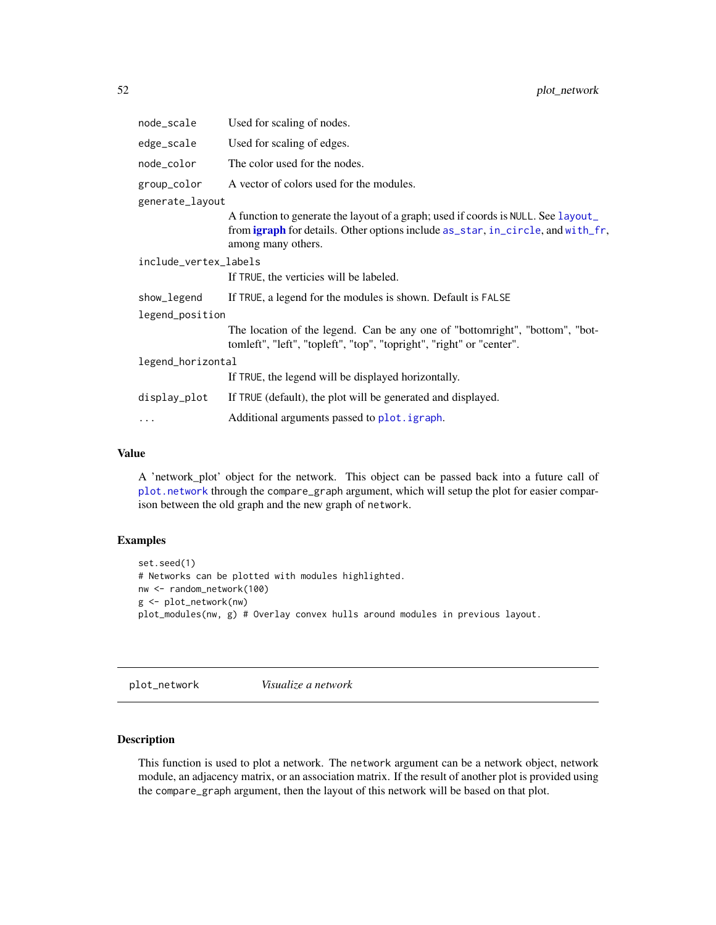| node_scale            | Used for scaling of nodes.                                                                                                                                                                       |
|-----------------------|--------------------------------------------------------------------------------------------------------------------------------------------------------------------------------------------------|
| edge_scale            | Used for scaling of edges.                                                                                                                                                                       |
| node_color            | The color used for the nodes.                                                                                                                                                                    |
| group_color           | A vector of colors used for the modules.                                                                                                                                                         |
| generate_layout       |                                                                                                                                                                                                  |
|                       | A function to generate the layout of a graph; used if coords is NULL. See layout<br>from <b>igraph</b> for details. Other options include as_star, in_circle, and with_fr,<br>among many others. |
| include_vertex_labels |                                                                                                                                                                                                  |
|                       | If TRUE, the verticies will be labeled.                                                                                                                                                          |
| show_legend           | If TRUE, a legend for the modules is shown. Default is FALSE                                                                                                                                     |
| legend_position       |                                                                                                                                                                                                  |
|                       | The location of the legend. Can be any one of "bottomright", "bottom", "bot-<br>tomleft", "left", "topleft", "top", "topright", "right" or "center".                                             |
| legend_horizontal     |                                                                                                                                                                                                  |
|                       | If TRUE, the legend will be displayed horizontally.                                                                                                                                              |
| display_plot          | If TRUE (default), the plot will be generated and displayed.                                                                                                                                     |
| $\cdots$              | Additional arguments passed to plot. igraph.                                                                                                                                                     |

## Value

A 'network\_plot' object for the network. This object can be passed back into a future call of [plot.network](#page-47-0) through the compare\_graph argument, which will setup the plot for easier comparison between the old graph and the new graph of network.

# Examples

```
set.seed(1)
# Networks can be plotted with modules highlighted.
nw <- random_network(100)
g <- plot_network(nw)
plot_modules(nw, g) # Overlay convex hulls around modules in previous layout.
```
<span id="page-51-0"></span>plot\_network *Visualize a network*

# Description

This function is used to plot a network. The network argument can be a network object, network module, an adjacency matrix, or an association matrix. If the result of another plot is provided using the compare\_graph argument, then the layout of this network will be based on that plot.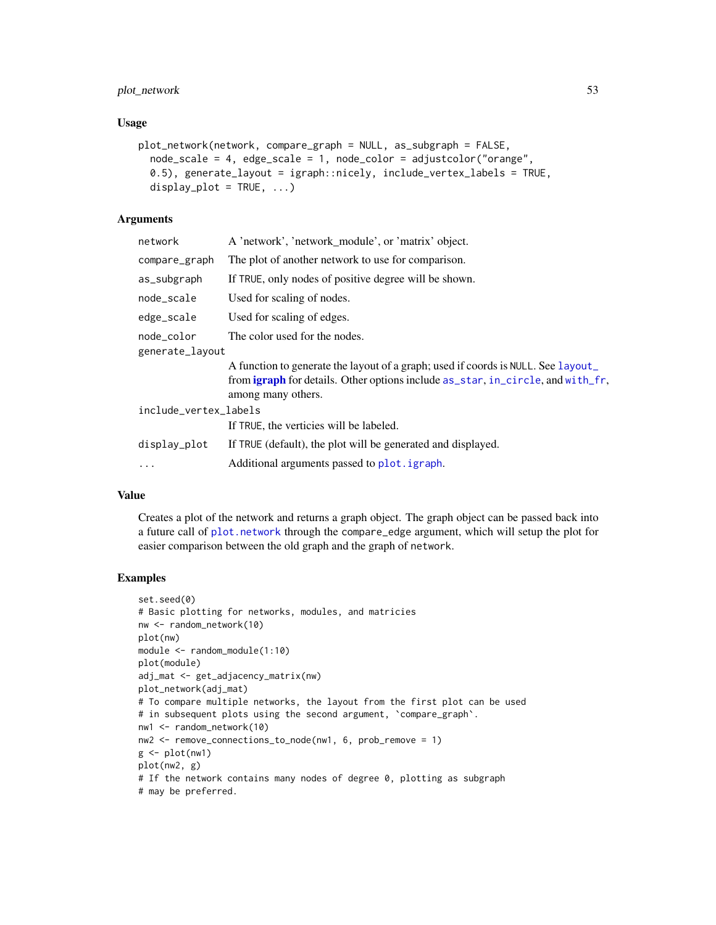# plot\_network 53

## Usage

```
plot_network(network, compare_graph = NULL, as_subgraph = FALSE,
  node_scale = 4, edge_scale = 1, node_color = adjustcolor("orange",
  0.5), generate_layout = igraph::nicely, include_vertex_labels = TRUE,
  display_plot = TRUE, ...)
```
# Arguments

| network               | A 'network', 'network_module', or 'matrix' object.                                                                                                                                               |  |
|-----------------------|--------------------------------------------------------------------------------------------------------------------------------------------------------------------------------------------------|--|
| compare_graph         | The plot of another network to use for comparison.                                                                                                                                               |  |
| as_subgraph           | If TRUE, only nodes of positive degree will be shown.                                                                                                                                            |  |
| node scale            | Used for scaling of nodes.                                                                                                                                                                       |  |
| edge_scale            | Used for scaling of edges.                                                                                                                                                                       |  |
| node color            | The color used for the nodes.                                                                                                                                                                    |  |
| generate_layout       |                                                                                                                                                                                                  |  |
|                       | A function to generate the layout of a graph; used if coords is NULL. See layout<br>from <b>igraph</b> for details. Other options include as_star, in_circle, and with_fr,<br>among many others. |  |
| include_vertex_labels |                                                                                                                                                                                                  |  |
|                       | If TRUE, the verticies will be labeled.                                                                                                                                                          |  |
| display_plot          | If TRUE (default), the plot will be generated and displayed.                                                                                                                                     |  |
| $\cdots$              | Additional arguments passed to plot. igraph.                                                                                                                                                     |  |
|                       |                                                                                                                                                                                                  |  |

## Value

Creates a plot of the network and returns a graph object. The graph object can be passed back into a future call of [plot.network](#page-47-0) through the compare\_edge argument, which will setup the plot for easier comparison between the old graph and the graph of network.

```
set.seed(0)
# Basic plotting for networks, modules, and matricies
nw <- random_network(10)
plot(nw)
module <- random_module(1:10)
plot(module)
adj_mat <- get_adjacency_matrix(nw)
plot_network(adj_mat)
# To compare multiple networks, the layout from the first plot can be used
# in subsequent plots using the second argument, 'compare_graph'.
nw1 <- random_network(10)
nw2 <- remove_connections_to_node(nw1, 6, prob_remove = 1)
g \leftarrow plot(nw1)plot(nw2, g)
# If the network contains many nodes of degree 0, plotting as subgraph
# may be preferred.
```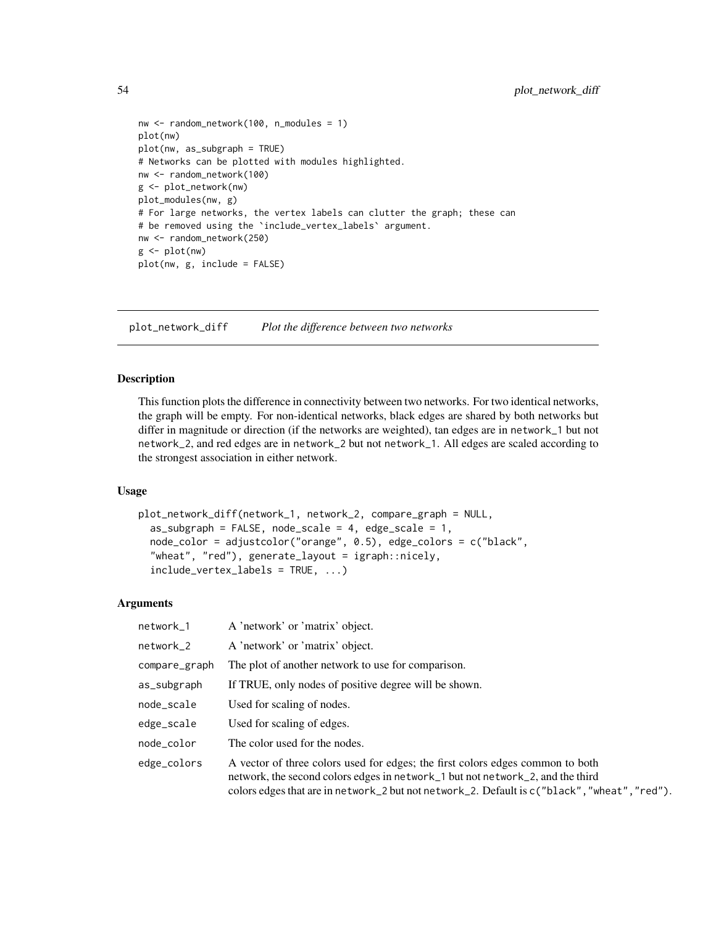```
nw <- random_network(100, n_modules = 1)
plot(nw)
plot(nw, as_subgraph = TRUE)
# Networks can be plotted with modules highlighted.
nw <- random_network(100)
g <- plot_network(nw)
plot_modules(nw, g)
# For large networks, the vertex labels can clutter the graph; these can
# be removed using the `include_vertex_labels` argument.
nw <- random_network(250)
g <- plot(nw)
plot(nw, g, include = FALSE)
```
<span id="page-53-0"></span>plot\_network\_diff *Plot the difference between two networks*

## Description

This function plots the difference in connectivity between two networks. For two identical networks, the graph will be empty. For non-identical networks, black edges are shared by both networks but differ in magnitude or direction (if the networks are weighted), tan edges are in network\_1 but not network\_2, and red edges are in network\_2 but not network\_1. All edges are scaled according to the strongest association in either network.

## Usage

```
plot_network_diff(network_1, network_2, compare_graph = NULL,
  as\_subgraph = FALSE, node\_scale = 4, edge\_scale = 1,node_color = adjustcolor("orange", 0.5), edge_colors = c("black",
  "wheat", "red"), generate_layout = igraph::nicely,
  include\_vertex\_labels = TRUE, ...)
```

| network_1     | A 'network' or 'matrix' object.                                                                                                                                                                                                                                    |
|---------------|--------------------------------------------------------------------------------------------------------------------------------------------------------------------------------------------------------------------------------------------------------------------|
| network_2     | A 'network' or 'matrix' object.                                                                                                                                                                                                                                    |
| compare_graph | The plot of another network to use for comparison.                                                                                                                                                                                                                 |
| as_subgraph   | If TRUE, only nodes of positive degree will be shown.                                                                                                                                                                                                              |
| node_scale    | Used for scaling of nodes.                                                                                                                                                                                                                                         |
| edge_scale    | Used for scaling of edges.                                                                                                                                                                                                                                         |
| node_color    | The color used for the nodes.                                                                                                                                                                                                                                      |
| edge_colors   | A vector of three colors used for edges; the first colors edges common to both<br>network, the second colors edges in network_1 but not network_2, and the third<br>colors edges that are in network_2 but not network_2. Default is $c("black", "wheat", "red").$ |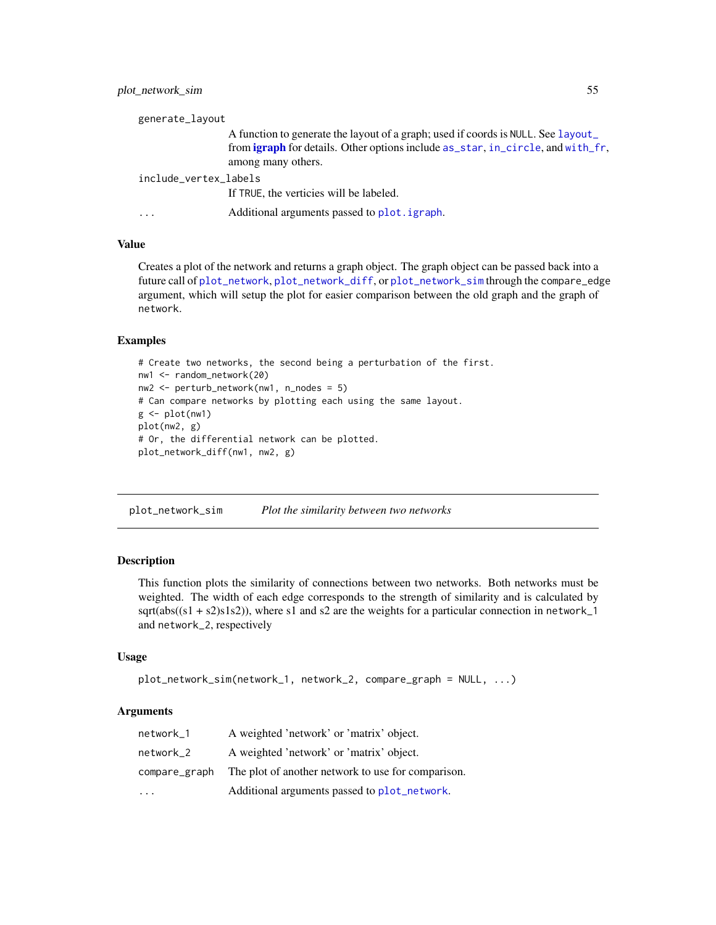| generate_layout         |                                                                                        |  |
|-------------------------|----------------------------------------------------------------------------------------|--|
|                         | A function to generate the layout of a graph; used if coords is NULL. See layout       |  |
|                         | from <b>igraph</b> for details. Other options include as_star, in_circle, and with_fr, |  |
|                         | among many others.                                                                     |  |
| include_vertex_labels   |                                                                                        |  |
|                         | If TRUE, the verticies will be labeled.                                                |  |
| $\cdot$ $\cdot$ $\cdot$ | Additional arguments passed to plot. igraph.                                           |  |

# Value

Creates a plot of the network and returns a graph object. The graph object can be passed back into a future call of [plot\\_network](#page-51-0), [plot\\_network\\_diff](#page-53-0), or [plot\\_network\\_sim](#page-54-0) through the compare\_edge argument, which will setup the plot for easier comparison between the old graph and the graph of network.

# Examples

```
# Create two networks, the second being a perturbation of the first.
nw1 <- random_network(20)
nw2 <- perturb_network(nw1, n_nodes = 5)
# Can compare networks by plotting each using the same layout.
g \leftarrow plot(nw1)plot(nw2, g)
# Or, the differential network can be plotted.
plot_network_diff(nw1, nw2, g)
```
<span id="page-54-0"></span>plot\_network\_sim *Plot the similarity between two networks*

## **Description**

This function plots the similarity of connections between two networks. Both networks must be weighted. The width of each edge corresponds to the strength of similarity and is calculated by sqrt(abs( $(s1 + s2)s1s2$ )), where s1 and s2 are the weights for a particular connection in network\_1 and network\_2, respectively

#### Usage

```
plot_network_sim(network_1, network_2, compare_graph = NULL, ...)
```

| network_1               | A weighted 'network' or 'matrix' object.           |
|-------------------------|----------------------------------------------------|
| network 2               | A weighted 'network' or 'matrix' object.           |
| compare_graph           | The plot of another network to use for comparison. |
| $\cdot$ $\cdot$ $\cdot$ | Additional arguments passed to plot_network.       |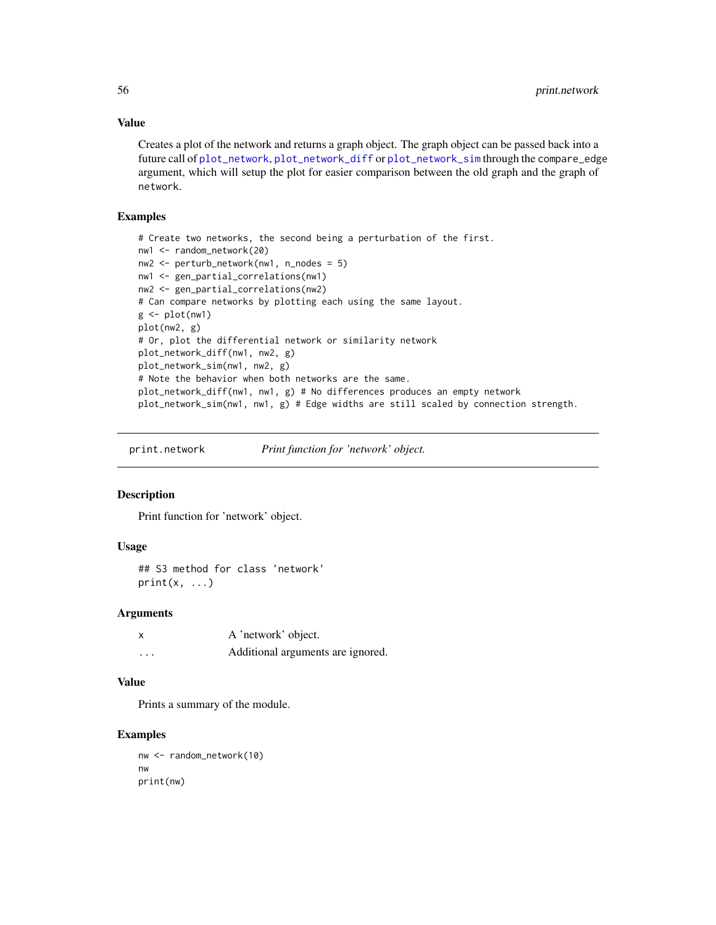## Value

Creates a plot of the network and returns a graph object. The graph object can be passed back into a future call of [plot\\_network](#page-51-0), [plot\\_network\\_diff](#page-53-0) or [plot\\_network\\_sim](#page-54-0) through the compare\_edge argument, which will setup the plot for easier comparison between the old graph and the graph of network.

## Examples

```
# Create two networks, the second being a perturbation of the first.
nw1 <- random_network(20)
nw2 <- perturb_network(nw1, n_nodes = 5)
nw1 <- gen_partial_correlations(nw1)
nw2 <- gen_partial_correlations(nw2)
# Can compare networks by plotting each using the same layout.
g \leftarrow plot(nw1)plot(nw2, g)
# Or, plot the differential network or similarity network
plot_network_diff(nw1, nw2, g)
plot_network_sim(nw1, nw2, g)
# Note the behavior when both networks are the same.
plot_network_diff(nw1, nw1, g) # No differences produces an empty network
plot_network_sim(nw1, nw1, g) # Edge widths are still scaled by connection strength.
```
print.network *Print function for 'network' object.*

# **Description**

Print function for 'network' object.

# Usage

```
## S3 method for class 'network'
print(x, \ldots)
```
## Arguments

| X       | A 'network' object.               |
|---------|-----------------------------------|
| $\cdot$ | Additional arguments are ignored. |

# Value

Prints a summary of the module.

```
nw <- random_network(10)
nw
print(nw)
```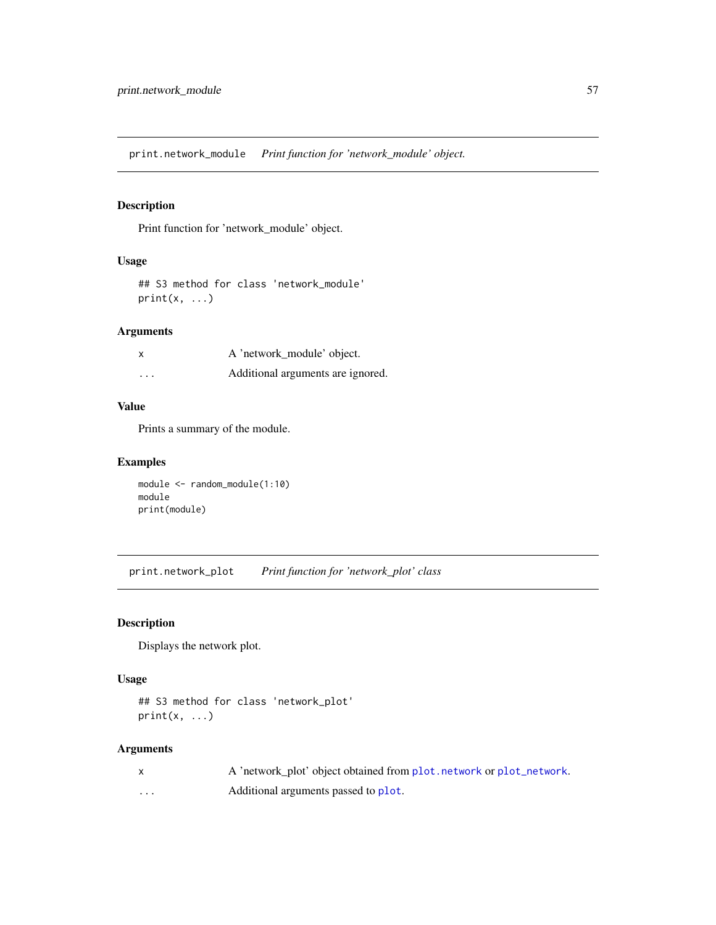print.network\_module *Print function for 'network\_module' object.*

# Description

Print function for 'network\_module' object.

## Usage

## S3 method for class 'network\_module'  $print(x, \ldots)$ 

# Arguments

| X        | A 'network_module' object.        |
|----------|-----------------------------------|
| $\cdots$ | Additional arguments are ignored. |

# Value

Prints a summary of the module.

# Examples

```
module <- random_module(1:10)
module
print(module)
```
print.network\_plot *Print function for 'network\_plot' class*

# Description

Displays the network plot.

## Usage

```
## S3 method for class 'network_plot'
print(x, \ldots)
```

|          | A 'network plot' object obtained from plot, network or plot_network. |
|----------|----------------------------------------------------------------------|
| $\cdots$ | Additional arguments passed to plot.                                 |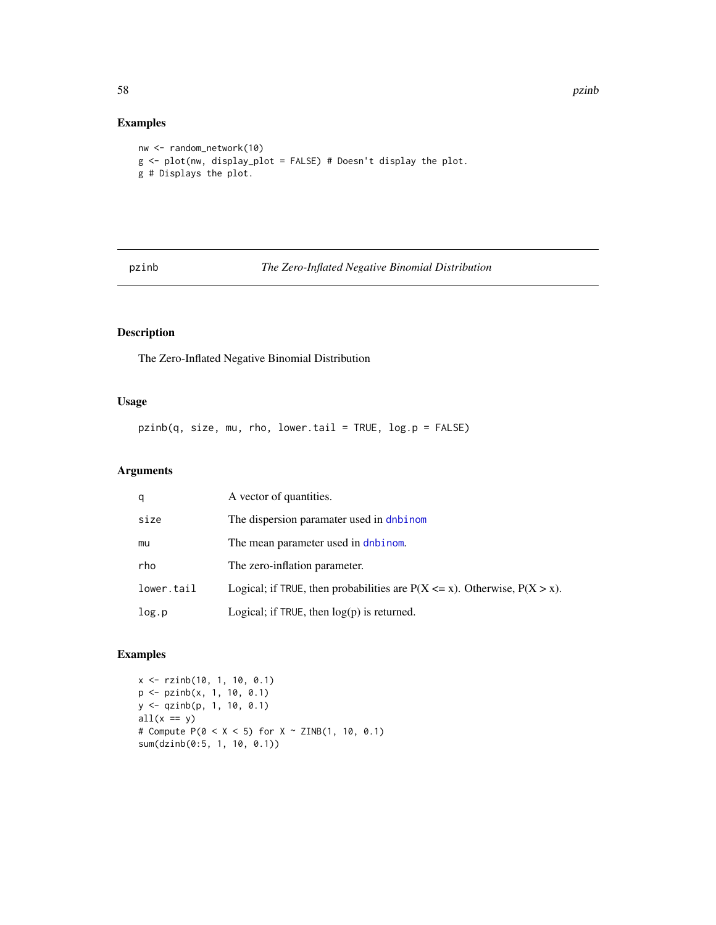# Examples

```
nw <- random_network(10)
g <- plot(nw, display_plot = FALSE) # Doesn't display the plot.
g # Displays the plot.
```
## pzinb *The Zero-Inflated Negative Binomial Distribution*

# Description

The Zero-Inflated Negative Binomial Distribution

# Usage

pzinb(q, size, mu, rho, lower.tail = TRUE, log.p = FALSE)

# Arguments

| q          | A vector of quantities.                                                         |
|------------|---------------------------------------------------------------------------------|
| size       | The dispersion paramater used in dnbinom                                        |
| mu         | The mean parameter used in dnbinom.                                             |
| rho        | The zero-inflation parameter.                                                   |
| lower.tail | Logical; if TRUE, then probabilities are $P(X \le x)$ . Otherwise, $P(X > x)$ . |
| log.p      | Logical; if $TRUE$ , then $log(p)$ is returned.                                 |

```
x <- rzinb(10, 1, 10, 0.1)
p <- pzinb(x, 1, 10, 0.1)
y <- qzinb(p, 1, 10, 0.1)
all(x == y)# Compute P(0 < X < 5) for X \sim ZINB(1, 10, 0.1)sum(dzinb(0:5, 1, 10, 0.1))
```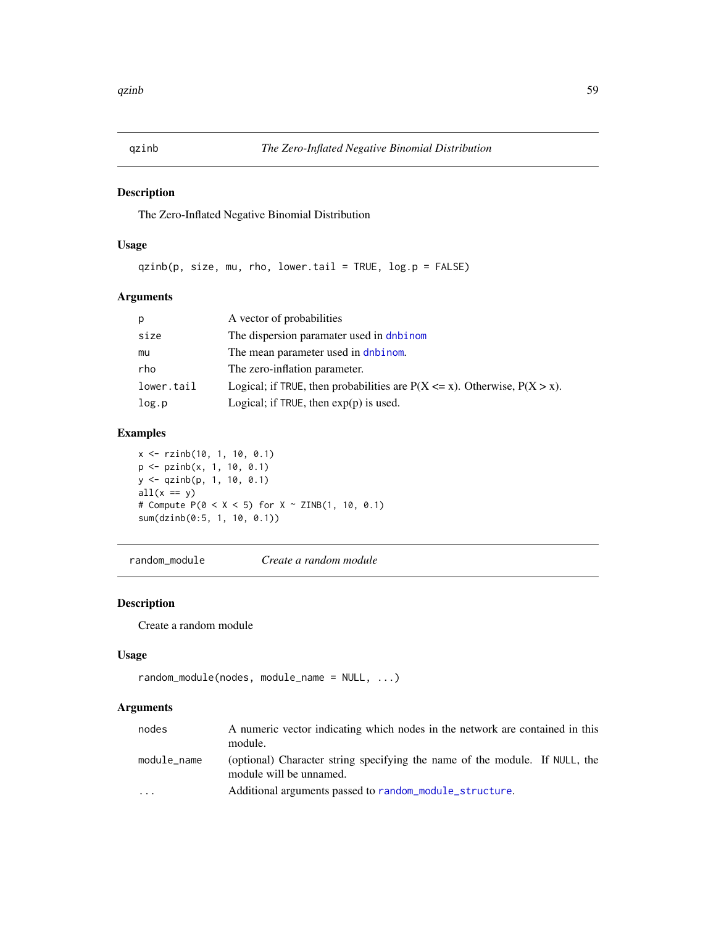# Description

The Zero-Inflated Negative Binomial Distribution

# Usage

qzinb(p, size, mu, rho, lower.tail = TRUE, log.p = FALSE)

# Arguments

| p          | A vector of probabilities                                                       |
|------------|---------------------------------------------------------------------------------|
| size       | The dispersion paramater used in dnbinom                                        |
| mu         | The mean parameter used in dnbinom.                                             |
| rho        | The zero-inflation parameter.                                                   |
| lower.tail | Logical; if TRUE, then probabilities are $P(X \le x)$ . Otherwise, $P(X > x)$ . |
| log.p      | Logical; if TRUE, then $exp(p)$ is used.                                        |

# Examples

x <- rzinb(10, 1, 10, 0.1) p <- pzinb(x, 1, 10, 0.1) y <- qzinb(p, 1, 10, 0.1)  $all(x == y)$ # Compute  $P(0 < X < 5)$  for  $X \sim ZINB(1, 10, 0.1)$ sum(dzinb(0:5, 1, 10, 0.1))

random\_module *Create a random module*

## Description

Create a random module

## Usage

```
random_module(nodes, module_name = NULL, ...)
```

| nodes       | A numeric vector indicating which nodes in the network are contained in this<br>module.                |  |
|-------------|--------------------------------------------------------------------------------------------------------|--|
| module_name | (optional) Character string specifying the name of the module. If NULL, the<br>module will be unnamed. |  |
| $\cdot$     | Additional arguments passed to random_module_structure.                                                |  |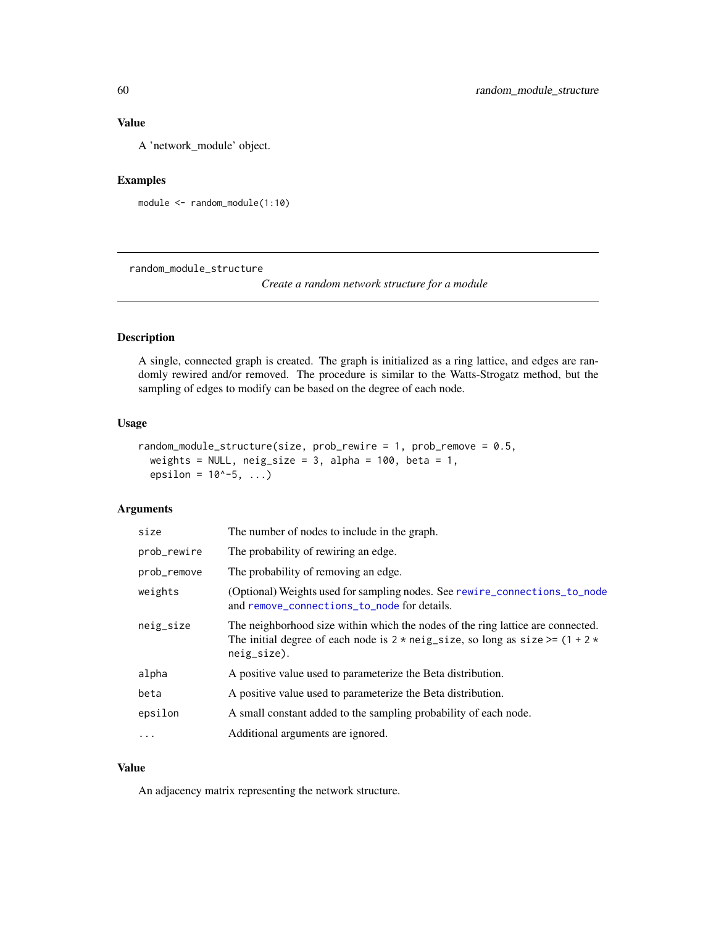# Value

A 'network\_module' object.

# Examples

module <- random\_module(1:10)

<span id="page-59-0"></span>random\_module\_structure

*Create a random network structure for a module*

# Description

A single, connected graph is created. The graph is initialized as a ring lattice, and edges are randomly rewired and/or removed. The procedure is similar to the Watts-Strogatz method, but the sampling of edges to modify can be based on the degree of each node.

# Usage

```
random_module_structure(size, prob_rewire = 1, prob_remove = 0.5,
 weights = NULL, neig\_size = 3, alpha = 100, beta = 1,
 epsilon = 10^{\circ} - 5, ...)
```
## Arguments

| size        | The number of nodes to include in the graph.                                                                                                                                                     |
|-------------|--------------------------------------------------------------------------------------------------------------------------------------------------------------------------------------------------|
| prob_rewire | The probability of rewiring an edge.                                                                                                                                                             |
| prob_remove | The probability of removing an edge.                                                                                                                                                             |
| weights     | (Optional) Weights used for sampling nodes. See rewire_connections_to_node<br>and remove_connections_to_node for details.                                                                        |
| neig_size   | The neighborhood size within which the nodes of the ring lattice are connected.<br>The initial degree of each node is $2 \times$ neig_size, so long as size >= $(1 + 2 \times$<br>$neig_size$ ). |
| alpha       | A positive value used to parameterize the Beta distribution.                                                                                                                                     |
| beta        | A positive value used to parameterize the Beta distribution.                                                                                                                                     |
| epsilon     | A small constant added to the sampling probability of each node.                                                                                                                                 |
| .           | Additional arguments are ignored.                                                                                                                                                                |

## Value

An adjacency matrix representing the network structure.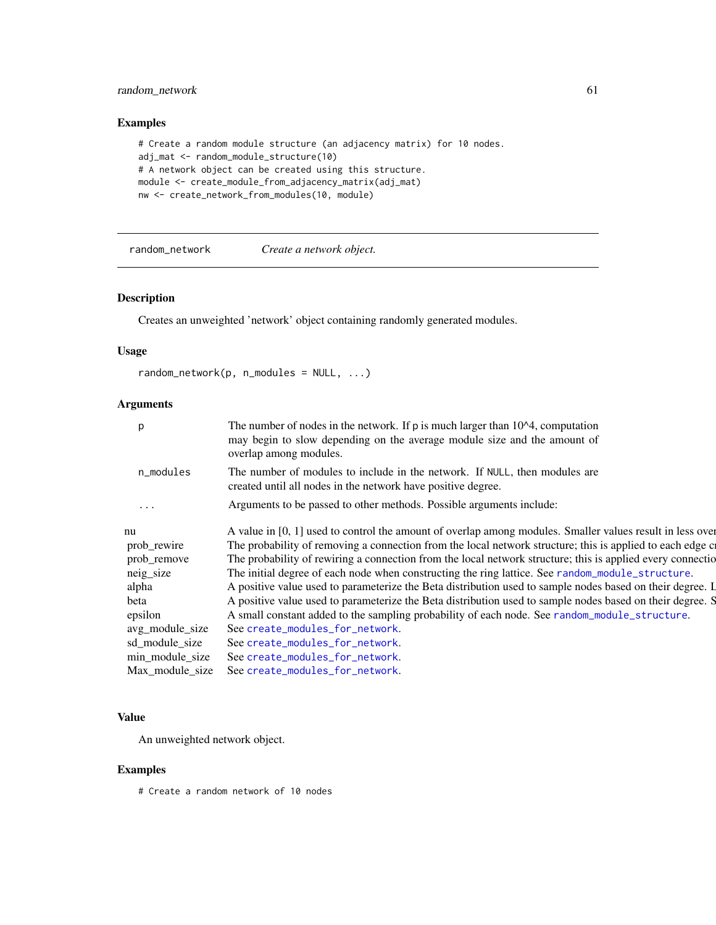# random\_network 61

# Examples

```
# Create a random module structure (an adjacency matrix) for 10 nodes.
adj_mat <- random_module_structure(10)
# A network object can be created using this structure.
module <- create_module_from_adjacency_matrix(adj_mat)
nw <- create_network_from_modules(10, module)
```
random\_network *Create a network object.*

## Description

Creates an unweighted 'network' object containing randomly generated modules.

## Usage

```
random\_network(p, n\_modules = NULL, ...)
```
# Arguments

|                 | The number of nodes in the network. If $p$ is much larger than $104$ , computation<br>may begin to slow depending on the average module size and the amount of<br>overlap among modules. |
|-----------------|------------------------------------------------------------------------------------------------------------------------------------------------------------------------------------------|
| n_modules       | The number of modules to include in the network. If NULL, then modules are<br>created until all nodes in the network have positive degree.                                               |
| $\cdots$        | Arguments to be passed to other methods. Possible arguments include:                                                                                                                     |
| nu              | A value in [0, 1] used to control the amount of overlap among modules. Smaller values result in less over                                                                                |
| prob_rewire     | The probability of removing a connection from the local network structure; this is applied to each edge $c$                                                                              |
| prob_remove     | The probability of rewiring a connection from the local network structure; this is applied every connection                                                                              |
| neig_size       | The initial degree of each node when constructing the ring lattice. See random_module_structure.                                                                                         |
| alpha           | A positive value used to parameterize the Beta distribution used to sample nodes based on their degree. I                                                                                |
| beta            | A positive value used to parameterize the Beta distribution used to sample nodes based on their degree. S                                                                                |
| epsilon         | A small constant added to the sampling probability of each node. See random_module_structure.                                                                                            |
| avg_module_size | See create_modules_for_network.                                                                                                                                                          |
| sd_module_size  | See create_modules_for_network.                                                                                                                                                          |
| min_module_size | See create_modules_for_network.                                                                                                                                                          |
| Max_module_size | See create_modules_for_network.                                                                                                                                                          |
|                 |                                                                                                                                                                                          |

# Value

An unweighted network object.

# Examples

# Create a random network of 10 nodes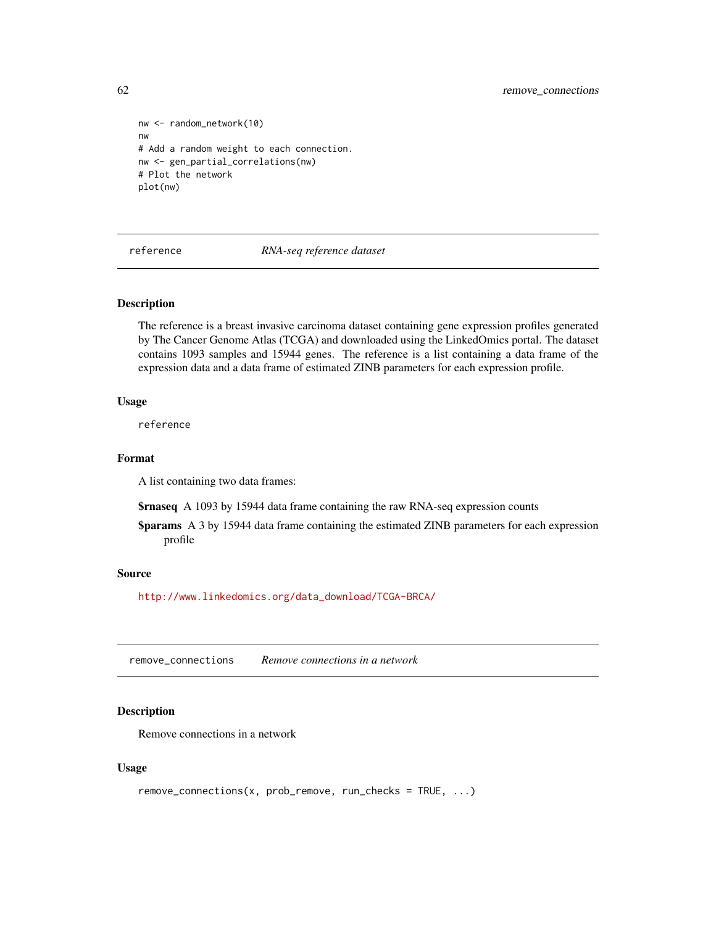```
nw <- random_network(10)
nw
# Add a random weight to each connection.
nw <- gen_partial_correlations(nw)
# Plot the network
plot(nw)
```
## reference *RNA-seq reference dataset*

# Description

The reference is a breast invasive carcinoma dataset containing gene expression profiles generated by The Cancer Genome Atlas (TCGA) and downloaded using the LinkedOmics portal. The dataset contains 1093 samples and 15944 genes. The reference is a list containing a data frame of the expression data and a data frame of estimated ZINB parameters for each expression profile.

#### Usage

reference

# Format

A list containing two data frames:

**\$rnaseq** A 1093 by 15944 data frame containing the raw RNA-seq expression counts

\$params A 3 by 15944 data frame containing the estimated ZINB parameters for each expression profile

### Source

[http://www.linkedomics.org/data\\_download/TCGA-BRCA/](http://www.linkedomics.org/data_download/TCGA-BRCA/)

remove\_connections *Remove connections in a network*

## Description

Remove connections in a network

## Usage

```
remove_connections(x, prob_remove, run_checks = TRUE, ...)
```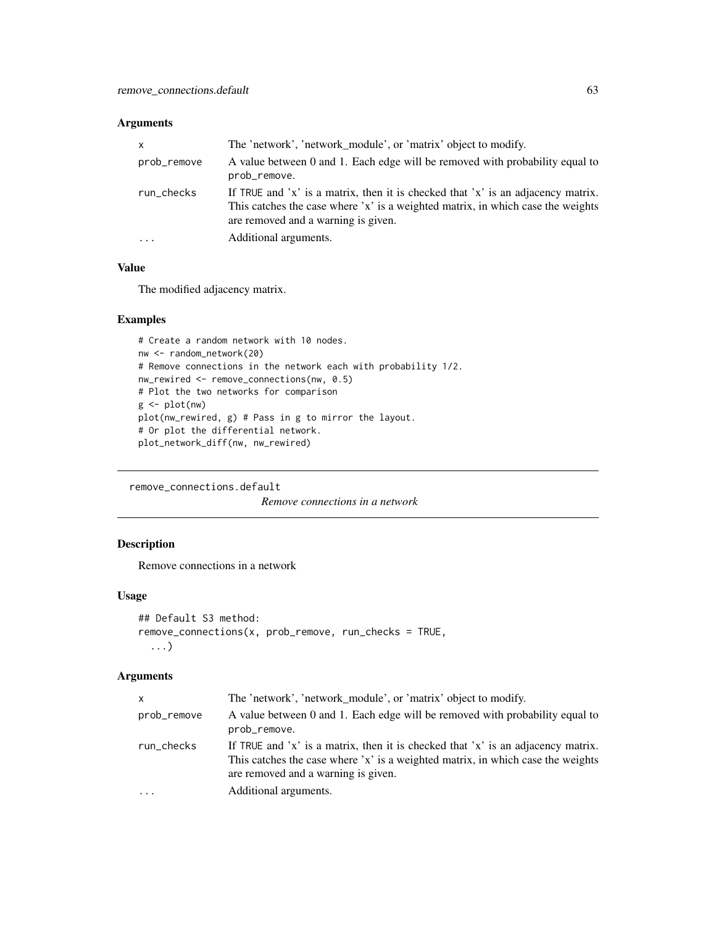## Arguments

| X           | The 'network', 'network_module', or 'matrix' object to modify.                                                                                                                                             |  |
|-------------|------------------------------------------------------------------------------------------------------------------------------------------------------------------------------------------------------------|--|
| prob_remove | A value between 0 and 1. Each edge will be removed with probability equal to<br>prob_remove.                                                                                                               |  |
| run_checks  | If TRUE and 'x' is a matrix, then it is checked that 'x' is an adjacency matrix.<br>This catches the case where 'x' is a weighted matrix, in which case the weights<br>are removed and a warning is given. |  |
| $\ddotsc$   | Additional arguments.                                                                                                                                                                                      |  |

# Value

The modified adjacency matrix.

## Examples

```
# Create a random network with 10 nodes.
nw <- random_network(20)
# Remove connections in the network each with probability 1/2.
nw_rewired <- remove_connections(nw, 0.5)
# Plot the two networks for comparison
g <- plot(nw)
plot(nw_rewired, g) # Pass in g to mirror the layout.
# Or plot the differential network.
plot_network_diff(nw, nw_rewired)
```
remove\_connections.default

*Remove connections in a network*

# Description

Remove connections in a network

## Usage

```
## Default S3 method:
remove_connections(x, prob_remove, run_checks = TRUE,
  ...)
```

| x           | The 'network', 'network_module', or 'matrix' object to modify.                                                                                                                                             |
|-------------|------------------------------------------------------------------------------------------------------------------------------------------------------------------------------------------------------------|
| prob_remove | A value between 0 and 1. Each edge will be removed with probability equal to<br>prob_remove.                                                                                                               |
| run_checks  | If TRUE and 'x' is a matrix, then it is checked that 'x' is an adjacency matrix.<br>This catches the case where 'x' is a weighted matrix, in which case the weights<br>are removed and a warning is given. |
| .           | Additional arguments.                                                                                                                                                                                      |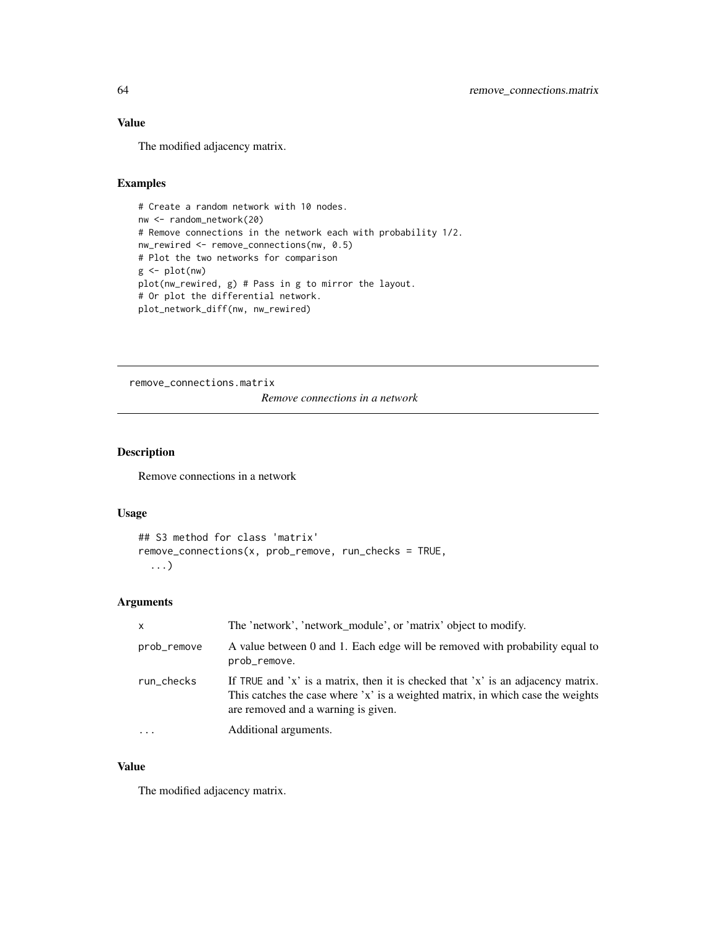# Value

The modified adjacency matrix.

# Examples

```
# Create a random network with 10 nodes.
nw <- random_network(20)
# Remove connections in the network each with probability 1/2.
nw_rewired <- remove_connections(nw, 0.5)
# Plot the two networks for comparison
g \leftarrow plot(nw)plot(nw_rewired, g) # Pass in g to mirror the layout.
# Or plot the differential network.
plot_network_diff(nw, nw_rewired)
```
remove\_connections.matrix

*Remove connections in a network*

# Description

Remove connections in a network

## Usage

```
## S3 method for class 'matrix'
remove\_connections(x, prob\_remove, run\_checks = TRUE,...)
```
# Arguments

| $\mathsf{x}$ | The 'network', 'network_module', or 'matrix' object to modify.                                                                                                                                             |
|--------------|------------------------------------------------------------------------------------------------------------------------------------------------------------------------------------------------------------|
| prob_remove  | A value between 0 and 1. Each edge will be removed with probability equal to<br>prob_remove.                                                                                                               |
| run_checks   | If TRUE and 'x' is a matrix, then it is checked that 'x' is an adjacency matrix.<br>This catches the case where 'x' is a weighted matrix, in which case the weights<br>are removed and a warning is given. |
| $\ddotsc$    | Additional arguments.                                                                                                                                                                                      |

## Value

The modified adjacency matrix.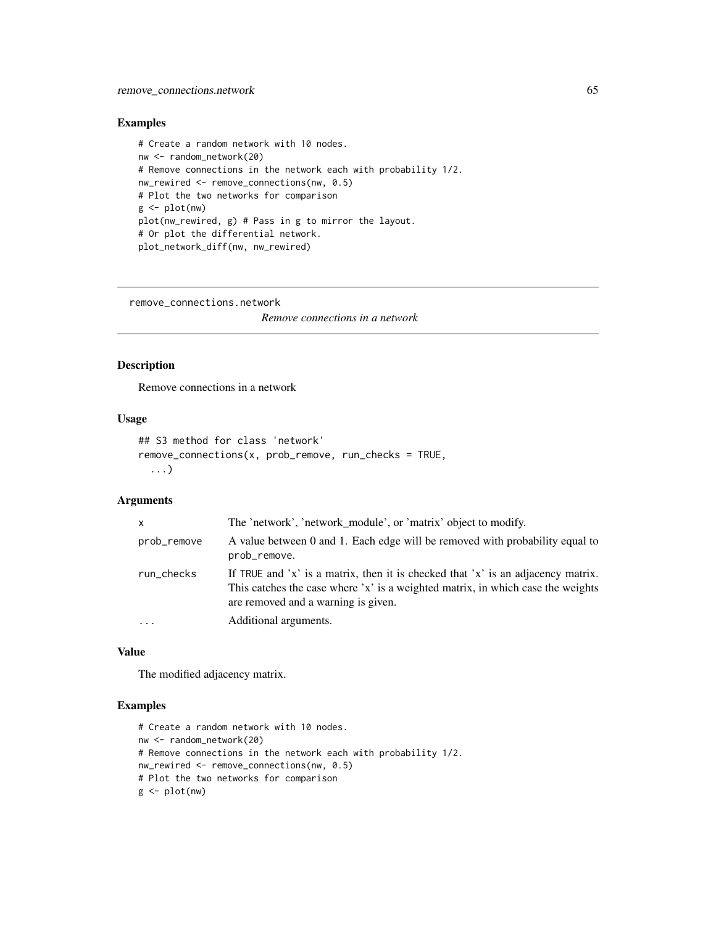# Examples

```
# Create a random network with 10 nodes.
nw <- random_network(20)
# Remove connections in the network each with probability 1/2.
nw_rewired <- remove_connections(nw, 0.5)
# Plot the two networks for comparison
g \leftarrow plot(nw)plot(nw_rewired, g) # Pass in g to mirror the layout.
# Or plot the differential network.
plot_network_diff(nw, nw_rewired)
```
remove\_connections.network

*Remove connections in a network*

# Description

Remove connections in a network

# Usage

```
## S3 method for class 'network'
remove_connections(x, prob_remove, run_checks = TRUE,
  ...)
```
# Arguments

| $\mathsf{x}$ | The 'network', 'network_module', or 'matrix' object to modify.                                                                                                                                             |
|--------------|------------------------------------------------------------------------------------------------------------------------------------------------------------------------------------------------------------|
| prob_remove  | A value between 0 and 1. Each edge will be removed with probability equal to<br>prob_remove.                                                                                                               |
| run_checks   | If TRUE and 'x' is a matrix, then it is checked that 'x' is an adjacency matrix.<br>This catches the case where 'x' is a weighted matrix, in which case the weights<br>are removed and a warning is given. |
|              | Additional arguments.                                                                                                                                                                                      |

## Value

The modified adjacency matrix.

```
# Create a random network with 10 nodes.
nw <- random_network(20)
# Remove connections in the network each with probability 1/2.
nw_rewired <- remove_connections(nw, 0.5)
# Plot the two networks for comparison
g \leftarrow plot(nw)
```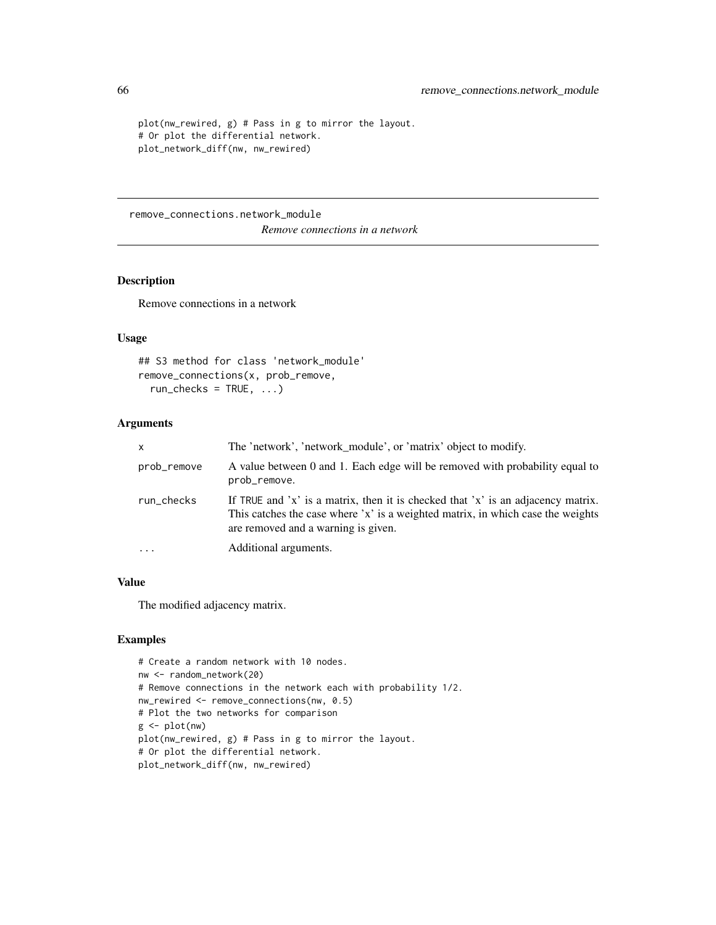```
plot(nw_rewired, g) # Pass in g to mirror the layout.
# Or plot the differential network.
plot_network_diff(nw, nw_rewired)
```
remove\_connections.network\_module

*Remove connections in a network*

## Description

Remove connections in a network

## Usage

```
## S3 method for class 'network_module'
remove_connections(x, prob_remove,
 run\_checks = TRUE, ...)
```
# Arguments

| x           | The 'network', 'network_module', or 'matrix' object to modify.                                                                                                                                             |
|-------------|------------------------------------------------------------------------------------------------------------------------------------------------------------------------------------------------------------|
| prob_remove | A value between 0 and 1. Each edge will be removed with probability equal to<br>prob_remove.                                                                                                               |
| run_checks  | If TRUE and 'x' is a matrix, then it is checked that 'x' is an adjacency matrix.<br>This catches the case where 'x' is a weighted matrix, in which case the weights<br>are removed and a warning is given. |
| $\cdots$    | Additional arguments.                                                                                                                                                                                      |

## Value

The modified adjacency matrix.

```
# Create a random network with 10 nodes.
nw <- random_network(20)
# Remove connections in the network each with probability 1/2.
nw_rewired <- remove_connections(nw, 0.5)
# Plot the two networks for comparison
g <- plot(nw)
plot(nw_rewired, g) # Pass in g to mirror the layout.
# Or plot the differential network.
plot_network_diff(nw, nw_rewired)
```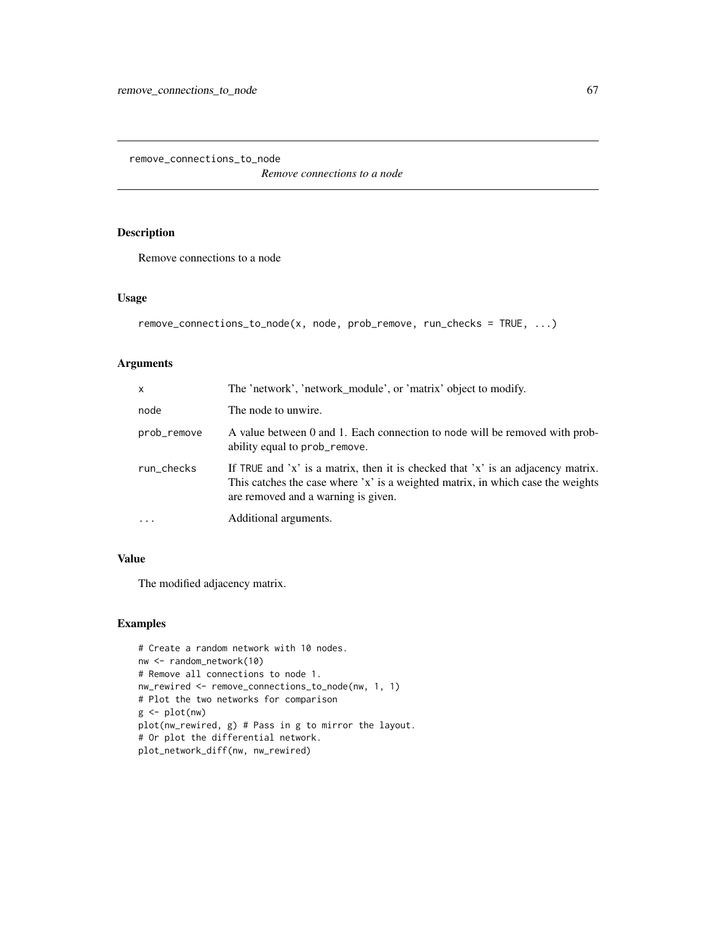<span id="page-66-0"></span>remove\_connections\_to\_node

*Remove connections to a node*

# Description

Remove connections to a node

#### Usage

```
remove_connections_to_node(x, node, prob_remove, run_checks = TRUE, ...)
```
#### Arguments

| $\mathsf{x}$ | The 'network', 'network_module', or 'matrix' object to modify.                                                                                                                                             |
|--------------|------------------------------------------------------------------------------------------------------------------------------------------------------------------------------------------------------------|
| node         | The node to unwire.                                                                                                                                                                                        |
| prob_remove  | A value between 0 and 1. Each connection to node will be removed with prob-<br>ability equal to prob_remove.                                                                                               |
| run_checks   | If TRUE and 'x' is a matrix, then it is checked that 'x' is an adjacency matrix.<br>This catches the case where 'x' is a weighted matrix, in which case the weights<br>are removed and a warning is given. |
|              | Additional arguments.                                                                                                                                                                                      |

# Value

The modified adjacency matrix.

```
# Create a random network with 10 nodes.
nw <- random_network(10)
# Remove all connections to node 1.
nw_rewired <- remove_connections_to_node(nw, 1, 1)
# Plot the two networks for comparison
g \leftarrow plot(nw)plot(nw_rewired, g) # Pass in g to mirror the layout.
# Or plot the differential network.
plot_network_diff(nw, nw_rewired)
```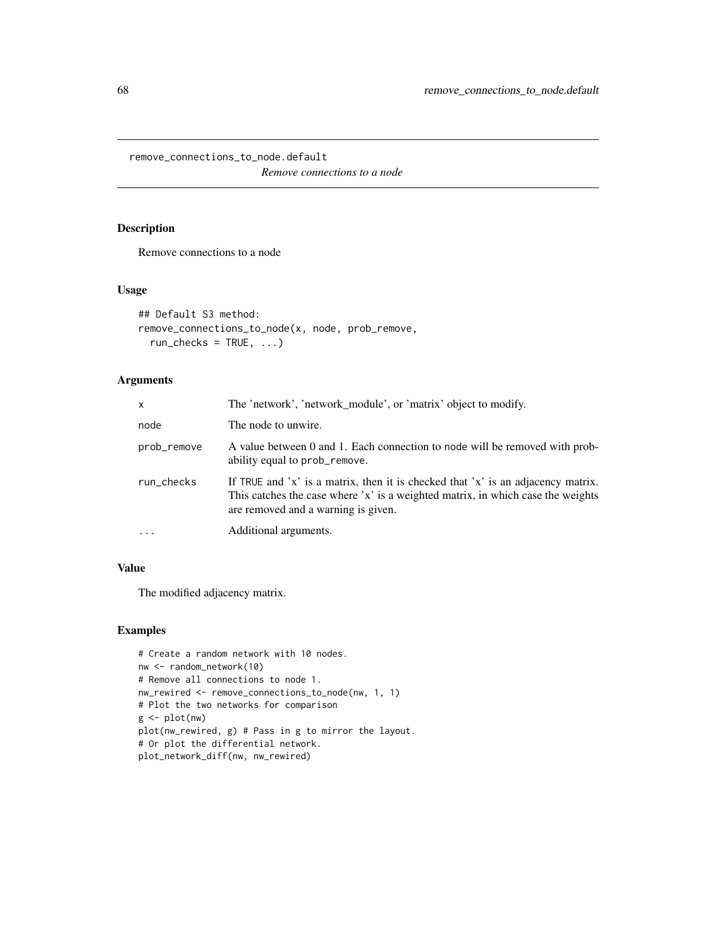remove\_connections\_to\_node.default

*Remove connections to a node*

# Description

Remove connections to a node

# Usage

```
## Default S3 method:
remove_connections_to_node(x, node, prob_remove,
  run\_checks = TRUE, ...)
```
# Arguments

| $\mathsf{x}$ | The 'network', 'network_module', or 'matrix' object to modify.                                                                                                                                             |
|--------------|------------------------------------------------------------------------------------------------------------------------------------------------------------------------------------------------------------|
| node         | The node to unwire.                                                                                                                                                                                        |
| prob_remove  | A value between 0 and 1. Each connection to node will be removed with prob-<br>ability equal to prob_remove.                                                                                               |
| run_checks   | If TRUE and 'x' is a matrix, then it is checked that 'x' is an adjacency matrix.<br>This catches the case where 'x' is a weighted matrix, in which case the weights<br>are removed and a warning is given. |
| $\ddotsc$    | Additional arguments.                                                                                                                                                                                      |

# Value

The modified adjacency matrix.

```
# Create a random network with 10 nodes.
nw <- random_network(10)
# Remove all connections to node 1.
nw_rewired <- remove_connections_to_node(nw, 1, 1)
# Plot the two networks for comparison
g \leftarrow plot(nw)plot(nw_rewired, g) # Pass in g to mirror the layout.
# Or plot the differential network.
plot_network_diff(nw, nw_rewired)
```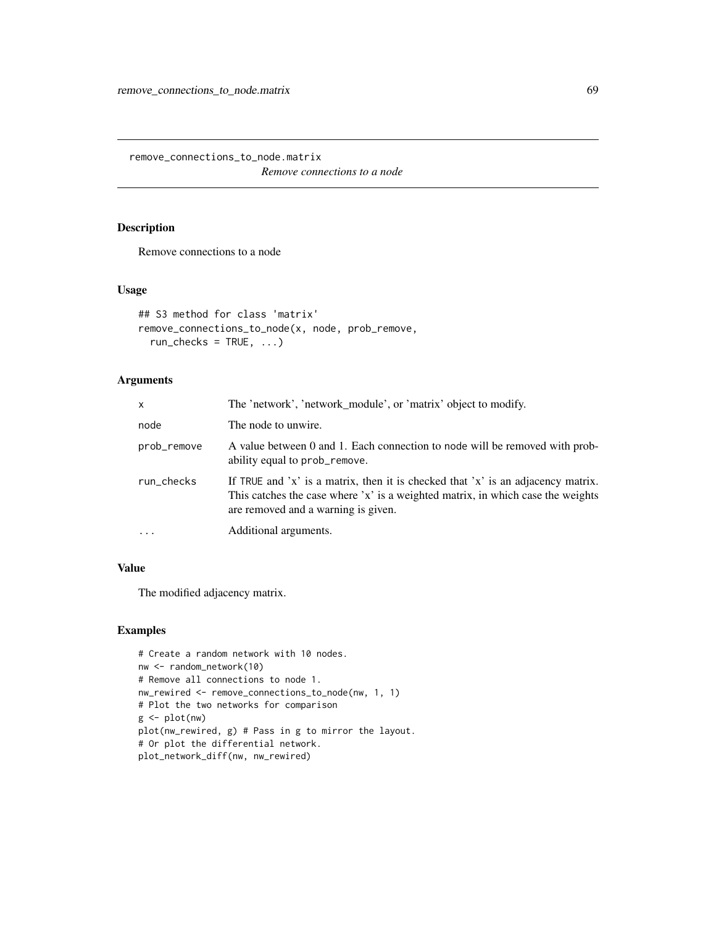remove\_connections\_to\_node.matrix

*Remove connections to a node*

## Description

Remove connections to a node

# Usage

```
## S3 method for class 'matrix'
remove_connections_to_node(x, node, prob_remove,
 run\_checks = TRUE, ...)
```
# Arguments

| $\times$    | The 'network', 'network_module', or 'matrix' object to modify.                                                                                                                                             |
|-------------|------------------------------------------------------------------------------------------------------------------------------------------------------------------------------------------------------------|
| node        | The node to unwire.                                                                                                                                                                                        |
| prob_remove | A value between 0 and 1. Each connection to node will be removed with prob-<br>ability equal to prob_remove.                                                                                               |
| run_checks  | If TRUE and 'x' is a matrix, then it is checked that 'x' is an adjacency matrix.<br>This catches the case where 'x' is a weighted matrix, in which case the weights<br>are removed and a warning is given. |
|             | Additional arguments.                                                                                                                                                                                      |

# Value

The modified adjacency matrix.

```
# Create a random network with 10 nodes.
nw <- random_network(10)
# Remove all connections to node 1.
nw_rewired <- remove_connections_to_node(nw, 1, 1)
# Plot the two networks for comparison
g \leftarrow plot(nw)plot(nw_rewired, g) # Pass in g to mirror the layout.
# Or plot the differential network.
plot_network_diff(nw, nw_rewired)
```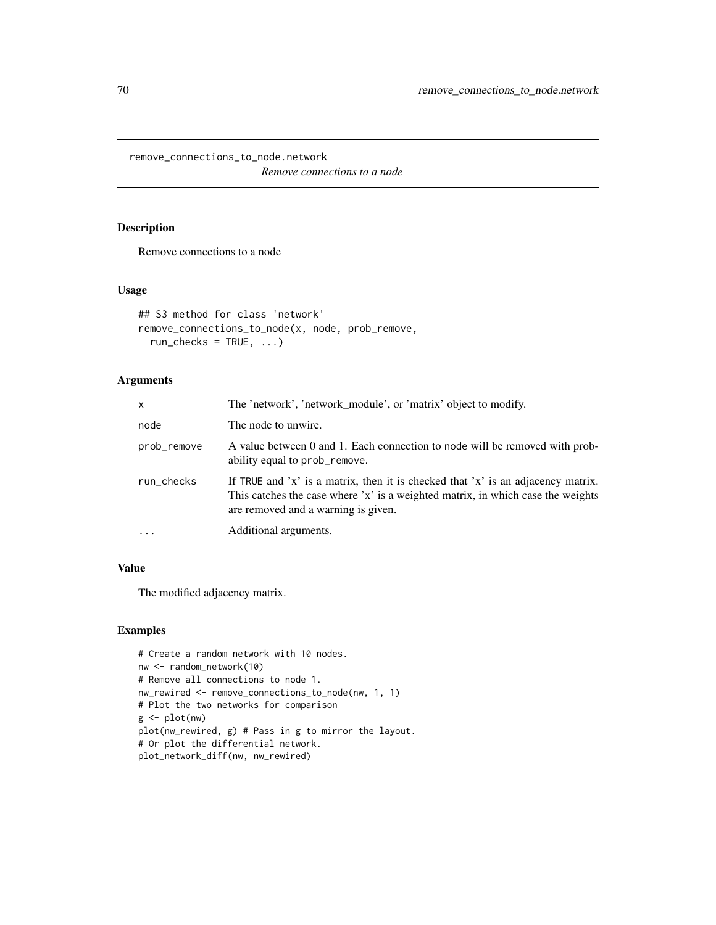remove\_connections\_to\_node.network

*Remove connections to a node*

## Description

Remove connections to a node

# Usage

```
## S3 method for class 'network'
remove_connections_to_node(x, node, prob_remove,
 run\_checks = TRUE, ...)
```
# Arguments

| $\mathsf{x}$ | The 'network', 'network_module', or 'matrix' object to modify.                                                                                                                                             |
|--------------|------------------------------------------------------------------------------------------------------------------------------------------------------------------------------------------------------------|
| node         | The node to unwire.                                                                                                                                                                                        |
| prob_remove  | A value between 0 and 1. Each connection to node will be removed with prob-<br>ability equal to prob_remove.                                                                                               |
| run_checks   | If TRUE and 'x' is a matrix, then it is checked that 'x' is an adjacency matrix.<br>This catches the case where 'x' is a weighted matrix, in which case the weights<br>are removed and a warning is given. |
|              | Additional arguments.                                                                                                                                                                                      |

# Value

The modified adjacency matrix.

```
# Create a random network with 10 nodes.
nw <- random_network(10)
# Remove all connections to node 1.
nw_rewired <- remove_connections_to_node(nw, 1, 1)
# Plot the two networks for comparison
g \leftarrow plot(nw)plot(nw_rewired, g) # Pass in g to mirror the layout.
# Or plot the differential network.
plot_network_diff(nw, nw_rewired)
```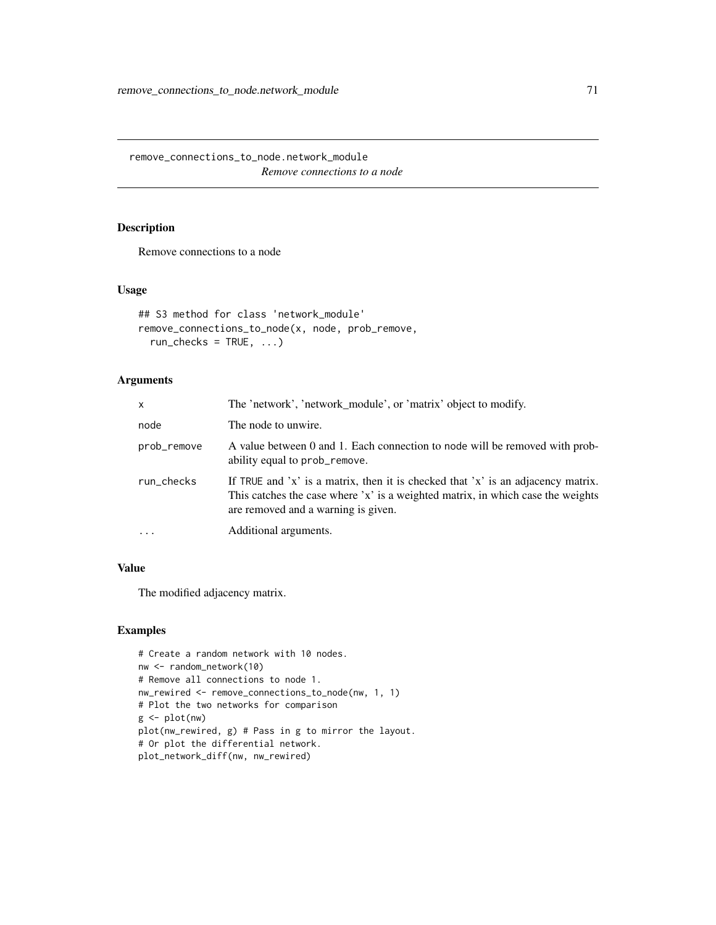remove\_connections\_to\_node.network\_module *Remove connections to a node*

# Description

Remove connections to a node

# Usage

```
## S3 method for class 'network_module'
remove_connections_to_node(x, node, prob_remove,
 run\_checks = TRUE, ...)
```
# Arguments

| $\times$    | The 'network', 'network_module', or 'matrix' object to modify.                                                                                                                                             |
|-------------|------------------------------------------------------------------------------------------------------------------------------------------------------------------------------------------------------------|
| node        | The node to unwire.                                                                                                                                                                                        |
| prob_remove | A value between 0 and 1. Each connection to node will be removed with prob-<br>ability equal to prob_remove.                                                                                               |
| run_checks  | If TRUE and 'x' is a matrix, then it is checked that 'x' is an adjacency matrix.<br>This catches the case where 'x' is a weighted matrix, in which case the weights<br>are removed and a warning is given. |
| $\cdots$    | Additional arguments.                                                                                                                                                                                      |

# Value

The modified adjacency matrix.

```
# Create a random network with 10 nodes.
nw <- random_network(10)
# Remove all connections to node 1.
nw_rewired <- remove_connections_to_node(nw, 1, 1)
# Plot the two networks for comparison
g \leftarrow plot(nw)plot(nw_rewired, g) # Pass in g to mirror the layout.
# Or plot the differential network.
plot_network_diff(nw, nw_rewired)
```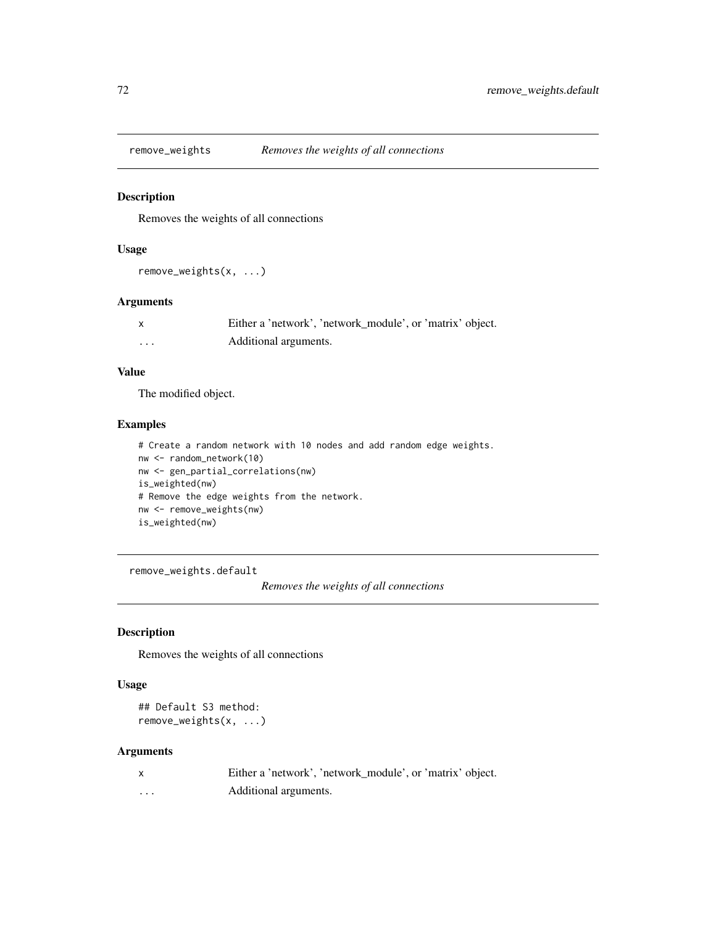## Description

Removes the weights of all connections

# Usage

remove\_weights(x, ...)

# Arguments

|   | Either a 'network', 'network_module', or 'matrix' object. |
|---|-----------------------------------------------------------|
| . | Additional arguments.                                     |

# Value

The modified object.

## Examples

```
# Create a random network with 10 nodes and add random edge weights.
nw <- random_network(10)
nw <- gen_partial_correlations(nw)
is_weighted(nw)
# Remove the edge weights from the network.
nw <- remove_weights(nw)
is_weighted(nw)
```
remove\_weights.default

*Removes the weights of all connections*

# Description

Removes the weights of all connections

## Usage

## Default S3 method: remove\_weights(x, ...)

|   | Either a 'network', 'network_module', or 'matrix' object. |
|---|-----------------------------------------------------------|
| . | Additional arguments.                                     |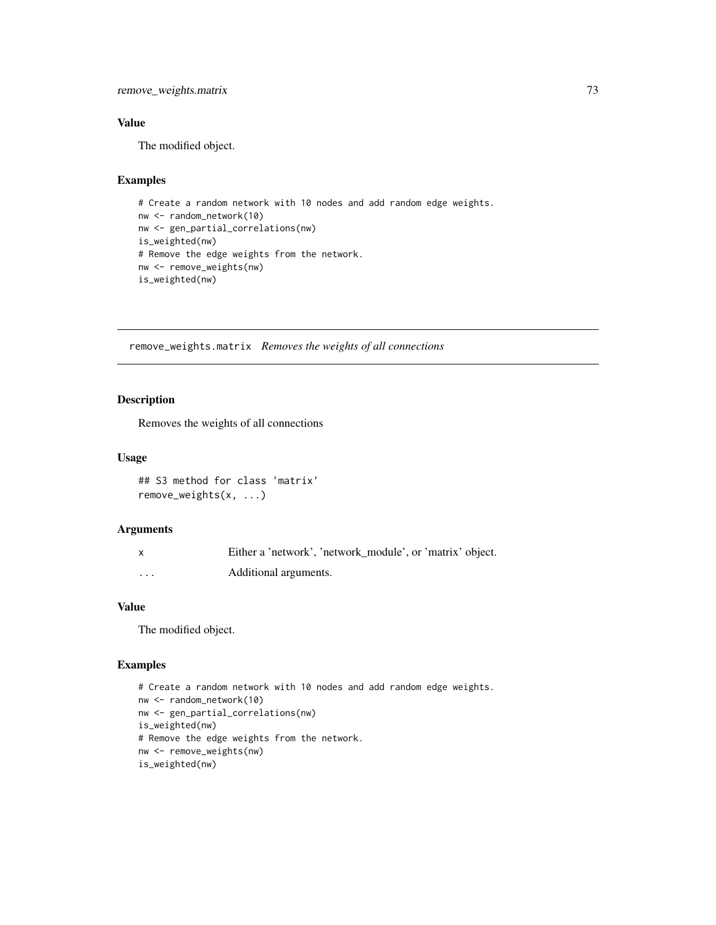# <span id="page-72-0"></span>remove\_weights.matrix 73

# Value

The modified object.

# Examples

```
# Create a random network with 10 nodes and add random edge weights.
nw <- random_network(10)
nw <- gen_partial_correlations(nw)
is_weighted(nw)
# Remove the edge weights from the network.
nw <- remove_weights(nw)
is_weighted(nw)
```
remove\_weights.matrix *Removes the weights of all connections*

## Description

Removes the weights of all connections

#### Usage

```
## S3 method for class 'matrix'
remove_weights(x, ...)
```
#### Arguments

| $\mathsf{x}$ | Either a 'network', 'network module', or 'matrix' object. |
|--------------|-----------------------------------------------------------|
| $\cdots$     | Additional arguments.                                     |

#### Value

The modified object.

```
# Create a random network with 10 nodes and add random edge weights.
nw <- random_network(10)
nw <- gen_partial_correlations(nw)
is_weighted(nw)
# Remove the edge weights from the network.
nw <- remove_weights(nw)
is_weighted(nw)
```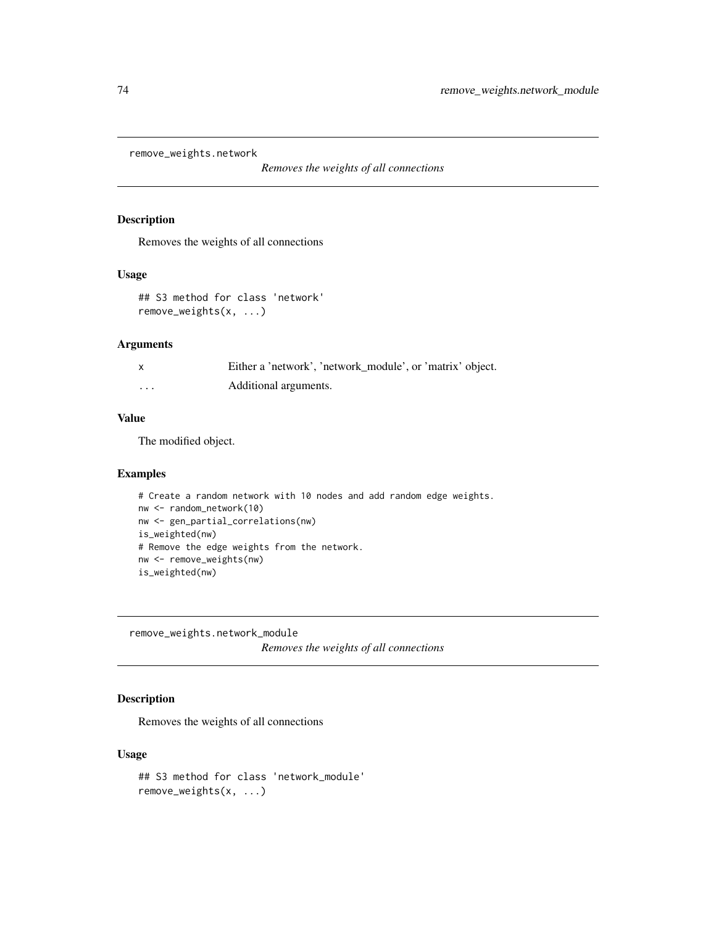<span id="page-73-0"></span>remove\_weights.network

*Removes the weights of all connections*

#### Description

Removes the weights of all connections

#### Usage

## S3 method for class 'network' remove\_weights(x, ...)

## Arguments

|   | Either a 'network', 'network_module', or 'matrix' object. |
|---|-----------------------------------------------------------|
| . | Additional arguments.                                     |

## Value

The modified object.

#### Examples

```
# Create a random network with 10 nodes and add random edge weights.
nw <- random_network(10)
nw <- gen_partial_correlations(nw)
is_weighted(nw)
# Remove the edge weights from the network.
nw <- remove_weights(nw)
is_weighted(nw)
```
remove\_weights.network\_module

*Removes the weights of all connections*

# **Description**

Removes the weights of all connections

#### Usage

```
## S3 method for class 'network_module'
remove_weights(x, ...)
```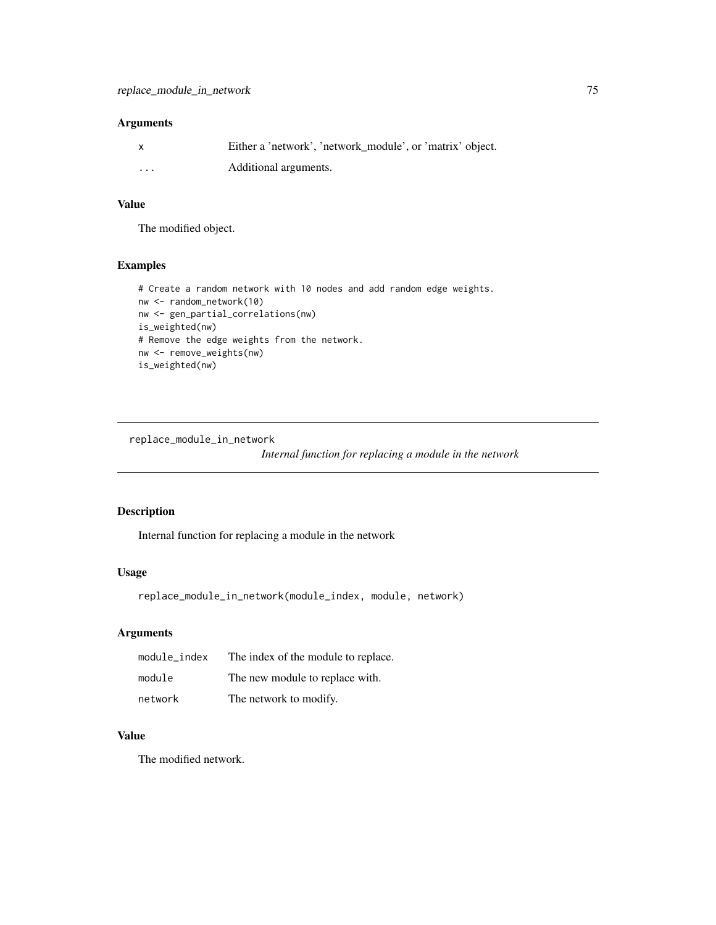#### <span id="page-74-0"></span>Arguments

| $\mathsf{x}$            | Either a 'network', 'network module', or 'matrix' object. |
|-------------------------|-----------------------------------------------------------|
| $\cdot$ $\cdot$ $\cdot$ | Additional arguments.                                     |

## Value

The modified object.

### Examples

```
# Create a random network with 10 nodes and add random edge weights.
nw <- random_network(10)
nw <- gen_partial_correlations(nw)
is_weighted(nw)
# Remove the edge weights from the network.
nw <- remove_weights(nw)
is_weighted(nw)
```
replace\_module\_in\_network

*Internal function for replacing a module in the network*

#### Description

Internal function for replacing a module in the network

# Usage

replace\_module\_in\_network(module\_index, module, network)

# Arguments

| module index | The index of the module to replace. |
|--------------|-------------------------------------|
| module       | The new module to replace with.     |
| network      | The network to modify.              |

# Value

The modified network.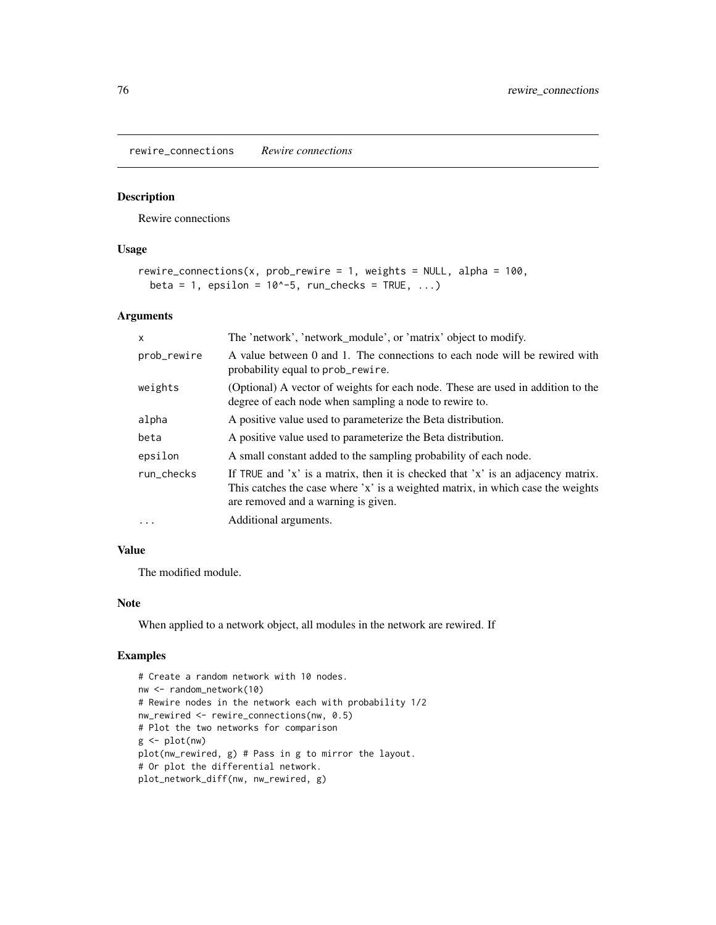<span id="page-75-0"></span>rewire\_connections *Rewire connections*

#### Description

Rewire connections

#### Usage

```
rewire_connections(x, prob_rewire = 1, weights = NULL, alpha = 100,
 beta = 1, epsilon = 10^{\circ}-5, run_checks = TRUE, ...)
```
### Arguments

| x           | The 'network', 'network_module', or 'matrix' object to modify.                                                                                                                                             |
|-------------|------------------------------------------------------------------------------------------------------------------------------------------------------------------------------------------------------------|
| prob_rewire | A value between 0 and 1. The connections to each node will be rewired with<br>probability equal to prob_rewire.                                                                                            |
| weights     | (Optional) A vector of weights for each node. These are used in addition to the<br>degree of each node when sampling a node to rewire to.                                                                  |
| alpha       | A positive value used to parameterize the Beta distribution.                                                                                                                                               |
| beta        | A positive value used to parameterize the Beta distribution.                                                                                                                                               |
| epsilon     | A small constant added to the sampling probability of each node.                                                                                                                                           |
| run checks  | If TRUE and 'x' is a matrix, then it is checked that 'x' is an adjacency matrix.<br>This catches the case where 'x' is a weighted matrix, in which case the weights<br>are removed and a warning is given. |
| $\cdot$     | Additional arguments.                                                                                                                                                                                      |

# Value

The modified module.

#### Note

When applied to a network object, all modules in the network are rewired. If

```
# Create a random network with 10 nodes.
nw <- random_network(10)
# Rewire nodes in the network each with probability 1/2
nw_rewired <- rewire_connections(nw, 0.5)
# Plot the two networks for comparison
g \leftarrow plot(nw)plot(nw_rewired, g) # Pass in g to mirror the layout.
# Or plot the differential network.
plot_network_diff(nw, nw_rewired, g)
```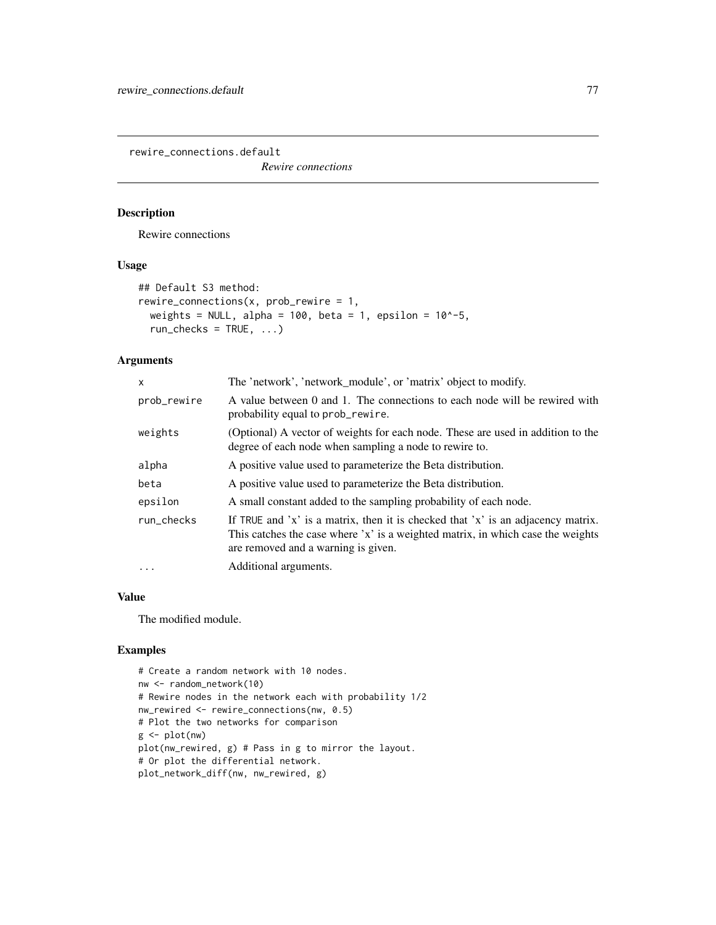<span id="page-76-0"></span>rewire\_connections.default

*Rewire connections*

# Description

Rewire connections

#### Usage

```
## Default S3 method:
rewire_connections(x, prob\_rewire = 1,
 weights = NULL, alpha = 100, beta = 1, epsilon = 10^{\circ}-5,
  run\_checks = TRUE, ...)
```
# Arguments

| x           | The 'network', 'network_module', or 'matrix' object to modify.                                                                                                                                             |
|-------------|------------------------------------------------------------------------------------------------------------------------------------------------------------------------------------------------------------|
| prob_rewire | A value between 0 and 1. The connections to each node will be rewired with<br>probability equal to prob_rewire.                                                                                            |
| weights     | (Optional) A vector of weights for each node. These are used in addition to the<br>degree of each node when sampling a node to rewire to.                                                                  |
| alpha       | A positive value used to parameterize the Beta distribution.                                                                                                                                               |
| beta        | A positive value used to parameterize the Beta distribution.                                                                                                                                               |
| epsilon     | A small constant added to the sampling probability of each node.                                                                                                                                           |
| run_checks  | If TRUE and 'x' is a matrix, then it is checked that 'x' is an adjacency matrix.<br>This catches the case where 'x' is a weighted matrix, in which case the weights<br>are removed and a warning is given. |
| $\ddotsc$   | Additional arguments.                                                                                                                                                                                      |

# Value

The modified module.

```
# Create a random network with 10 nodes.
nw <- random_network(10)
# Rewire nodes in the network each with probability 1/2
nw_rewired <- rewire_connections(nw, 0.5)
# Plot the two networks for comparison
g <- plot(nw)
plot(nw_rewired, g) # Pass in g to mirror the layout.
# Or plot the differential network.
plot_network_diff(nw, nw_rewired, g)
```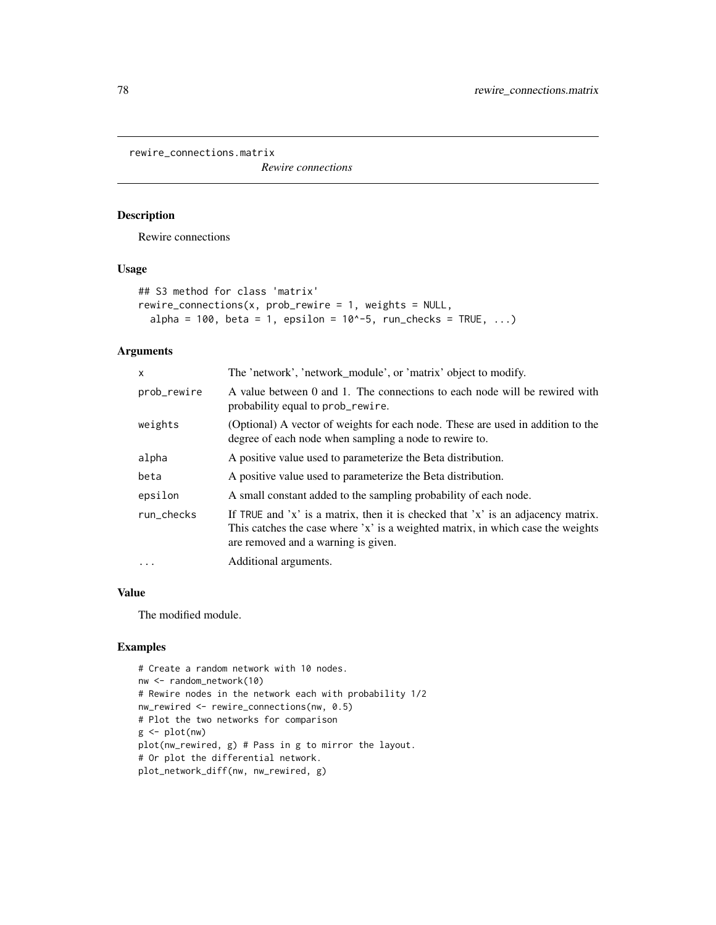<span id="page-77-0"></span>rewire\_connections.matrix

*Rewire connections*

## Description

Rewire connections

## Usage

```
## S3 method for class 'matrix'
rewire_connections(x, prob_rewire = 1, weights = NULL,
  alpha = 100, beta = 1, epsilon = 10^{\circ}-5, run_checks = TRUE, ...)
```
#### Arguments

| x           | The 'network', 'network_module', or 'matrix' object to modify.                                                                                                                                             |
|-------------|------------------------------------------------------------------------------------------------------------------------------------------------------------------------------------------------------------|
| prob_rewire | A value between 0 and 1. The connections to each node will be rewired with<br>probability equal to prob_rewire.                                                                                            |
| weights     | (Optional) A vector of weights for each node. These are used in addition to the<br>degree of each node when sampling a node to rewire to.                                                                  |
| alpha       | A positive value used to parameterize the Beta distribution.                                                                                                                                               |
| beta        | A positive value used to parameterize the Beta distribution.                                                                                                                                               |
| epsilon     | A small constant added to the sampling probability of each node.                                                                                                                                           |
| run checks  | If TRUE and 'x' is a matrix, then it is checked that 'x' is an adjacency matrix.<br>This catches the case where 'x' is a weighted matrix, in which case the weights<br>are removed and a warning is given. |
| $\cdot$     | Additional arguments.                                                                                                                                                                                      |
|             |                                                                                                                                                                                                            |

#### Value

The modified module.

```
# Create a random network with 10 nodes.
nw <- random_network(10)
# Rewire nodes in the network each with probability 1/2
nw_rewired <- rewire_connections(nw, 0.5)
# Plot the two networks for comparison
g <- plot(nw)
plot(nw_rewired, g) # Pass in g to mirror the layout.
# Or plot the differential network.
plot_network_diff(nw, nw_rewired, g)
```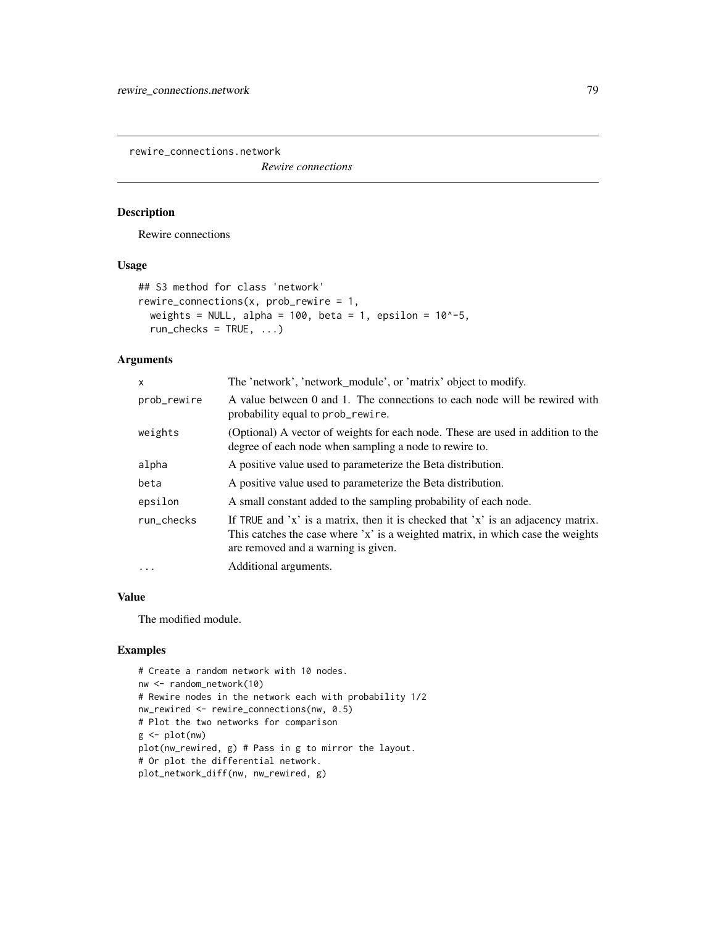<span id="page-78-0"></span>rewire\_connections.network

*Rewire connections*

# Description

Rewire connections

#### Usage

```
## S3 method for class 'network'
rewire_connections(x, prob\_rewire = 1,
 weights = NULL, alpha = 100, beta = 1, epsilon = 10^{\circ}-5,
  run\_checks = TRUE, ...)
```
## Arguments

| x           | The 'network', 'network_module', or 'matrix' object to modify.                                                                                                                                             |
|-------------|------------------------------------------------------------------------------------------------------------------------------------------------------------------------------------------------------------|
| prob_rewire | A value between 0 and 1. The connections to each node will be rewired with<br>probability equal to prob_rewire.                                                                                            |
| weights     | (Optional) A vector of weights for each node. These are used in addition to the<br>degree of each node when sampling a node to rewire to.                                                                  |
| alpha       | A positive value used to parameterize the Beta distribution.                                                                                                                                               |
| beta        | A positive value used to parameterize the Beta distribution.                                                                                                                                               |
| epsilon     | A small constant added to the sampling probability of each node.                                                                                                                                           |
| run checks  | If TRUE and 'x' is a matrix, then it is checked that 'x' is an adjacency matrix.<br>This catches the case where 'x' is a weighted matrix, in which case the weights<br>are removed and a warning is given. |
| $\cdots$    | Additional arguments.                                                                                                                                                                                      |

# Value

The modified module.

```
# Create a random network with 10 nodes.
nw <- random_network(10)
# Rewire nodes in the network each with probability 1/2
nw_rewired <- rewire_connections(nw, 0.5)
# Plot the two networks for comparison
g \leftarrow plot(nw)plot(nw_rewired, g) # Pass in g to mirror the layout.
# Or plot the differential network.
plot_network_diff(nw, nw_rewired, g)
```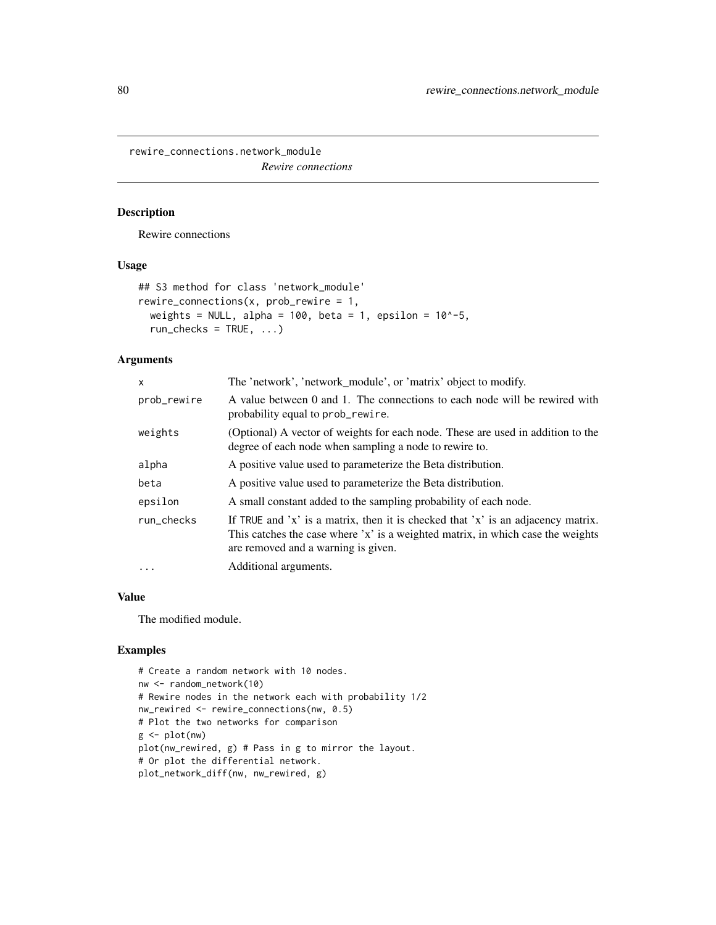<span id="page-79-0"></span>rewire\_connections.network\_module *Rewire connections*

#### Description

Rewire connections

#### Usage

```
## S3 method for class 'network_module'
rewire_connections(x, prob\_rewire = 1,
 weights = NULL, alpha = 100, beta = 1, epsilon = 10^{\circ}-5,
  run\_checks = TRUE, ...)
```
## Arguments

| x           | The 'network', 'network_module', or 'matrix' object to modify.                                                                                                                                             |
|-------------|------------------------------------------------------------------------------------------------------------------------------------------------------------------------------------------------------------|
| prob_rewire | A value between 0 and 1. The connections to each node will be rewired with<br>probability equal to prob_rewire.                                                                                            |
| weights     | (Optional) A vector of weights for each node. These are used in addition to the<br>degree of each node when sampling a node to rewire to.                                                                  |
| alpha       | A positive value used to parameterize the Beta distribution.                                                                                                                                               |
| beta        | A positive value used to parameterize the Beta distribution.                                                                                                                                               |
| epsilon     | A small constant added to the sampling probability of each node.                                                                                                                                           |
| run checks  | If TRUE and 'x' is a matrix, then it is checked that 'x' is an adjacency matrix.<br>This catches the case where 'x' is a weighted matrix, in which case the weights<br>are removed and a warning is given. |
| $\cdots$    | Additional arguments.                                                                                                                                                                                      |

# Value

The modified module.

```
# Create a random network with 10 nodes.
nw <- random_network(10)
# Rewire nodes in the network each with probability 1/2
nw_rewired <- rewire_connections(nw, 0.5)
# Plot the two networks for comparison
g <- plot(nw)
plot(nw_rewired, g) # Pass in g to mirror the layout.
# Or plot the differential network.
plot_network_diff(nw, nw_rewired, g)
```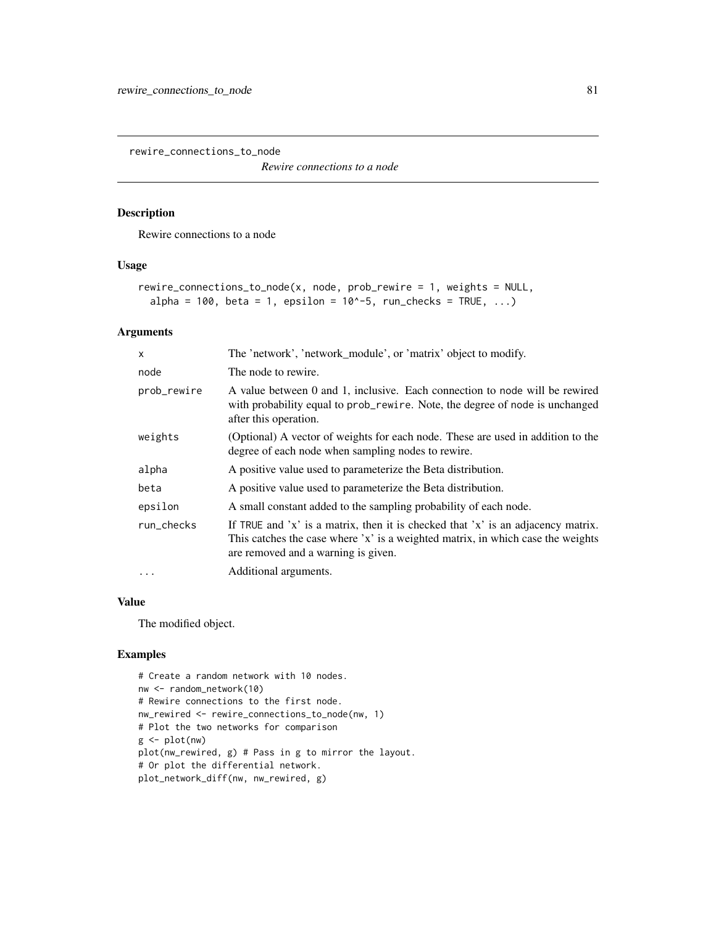<span id="page-80-0"></span>rewire\_connections\_to\_node

*Rewire connections to a node*

# Description

Rewire connections to a node

#### Usage

```
rewire_connections_to_node(x, node, prob_rewire = 1, weights = NULL,
  alpha = 100, beta = 1, epsilon = 10^{\circ}-5, run_checks = TRUE, ...)
```
## Arguments

| x           | The 'network', 'network_module', or 'matrix' object to modify.                                                                                                                                             |
|-------------|------------------------------------------------------------------------------------------------------------------------------------------------------------------------------------------------------------|
| node        | The node to rewire.                                                                                                                                                                                        |
| prob_rewire | A value between 0 and 1, inclusive. Each connection to node will be rewired<br>with probability equal to prob_rewire. Note, the degree of node is unchanged<br>after this operation.                       |
| weights     | (Optional) A vector of weights for each node. These are used in addition to the<br>degree of each node when sampling nodes to rewire.                                                                      |
| alpha       | A positive value used to parameterize the Beta distribution.                                                                                                                                               |
| beta        | A positive value used to parameterize the Beta distribution.                                                                                                                                               |
| epsilon     | A small constant added to the sampling probability of each node.                                                                                                                                           |
| run_checks  | If TRUE and 'x' is a matrix, then it is checked that 'x' is an adjacency matrix.<br>This catches the case where 'x' is a weighted matrix, in which case the weights<br>are removed and a warning is given. |
| $\cdots$    | Additional arguments.                                                                                                                                                                                      |

## Value

The modified object.

```
# Create a random network with 10 nodes.
nw <- random_network(10)
# Rewire connections to the first node.
nw_rewired <- rewire_connections_to_node(nw, 1)
# Plot the two networks for comparison
g \leftarrow plot(nw)plot(nw_rewired, g) # Pass in g to mirror the layout.
# Or plot the differential network.
plot_network_diff(nw, nw_rewired, g)
```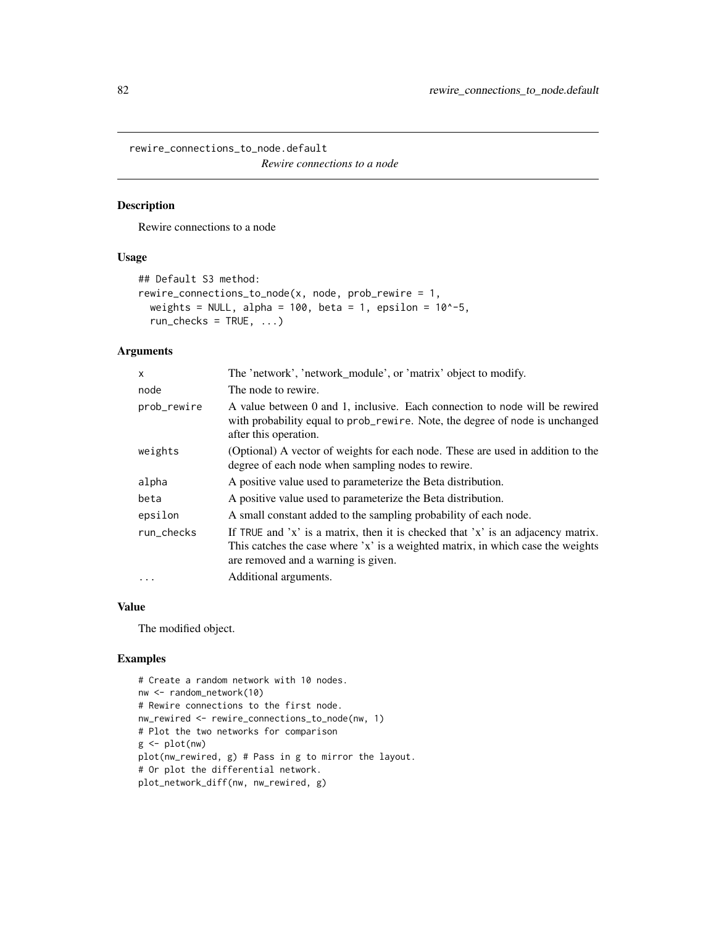<span id="page-81-0"></span>rewire\_connections\_to\_node.default

*Rewire connections to a node*

# Description

Rewire connections to a node

# Usage

```
## Default S3 method:
rewire_connections_to_node(x, node, prob\_rewire = 1,
  weights = NULL, alpha = 100, beta = 1, epsilon = 10^{\circ}-5,
  run\_checks = TRUE, ...)
```
#### Arguments

| X           | The 'network', 'network_module', or 'matrix' object to modify.                                                                                                                                             |
|-------------|------------------------------------------------------------------------------------------------------------------------------------------------------------------------------------------------------------|
| node        | The node to rewire.                                                                                                                                                                                        |
| prob_rewire | A value between 0 and 1, inclusive. Each connection to node will be rewired<br>with probability equal to prob_rewire. Note, the degree of node is unchanged<br>after this operation.                       |
| weights     | (Optional) A vector of weights for each node. These are used in addition to the<br>degree of each node when sampling nodes to rewire.                                                                      |
| alpha       | A positive value used to parameterize the Beta distribution.                                                                                                                                               |
| beta        | A positive value used to parameterize the Beta distribution.                                                                                                                                               |
| epsilon     | A small constant added to the sampling probability of each node.                                                                                                                                           |
| run_checks  | If TRUE and 'x' is a matrix, then it is checked that 'x' is an adjacency matrix.<br>This catches the case where 'x' is a weighted matrix, in which case the weights<br>are removed and a warning is given. |
| $\cdot$     | Additional arguments.                                                                                                                                                                                      |

#### Value

The modified object.

```
# Create a random network with 10 nodes.
nw <- random_network(10)
# Rewire connections to the first node.
nw_rewired <- rewire_connections_to_node(nw, 1)
# Plot the two networks for comparison
g <- plot(nw)
plot(nw_rewired, g) # Pass in g to mirror the layout.
# Or plot the differential network.
plot_network_diff(nw, nw_rewired, g)
```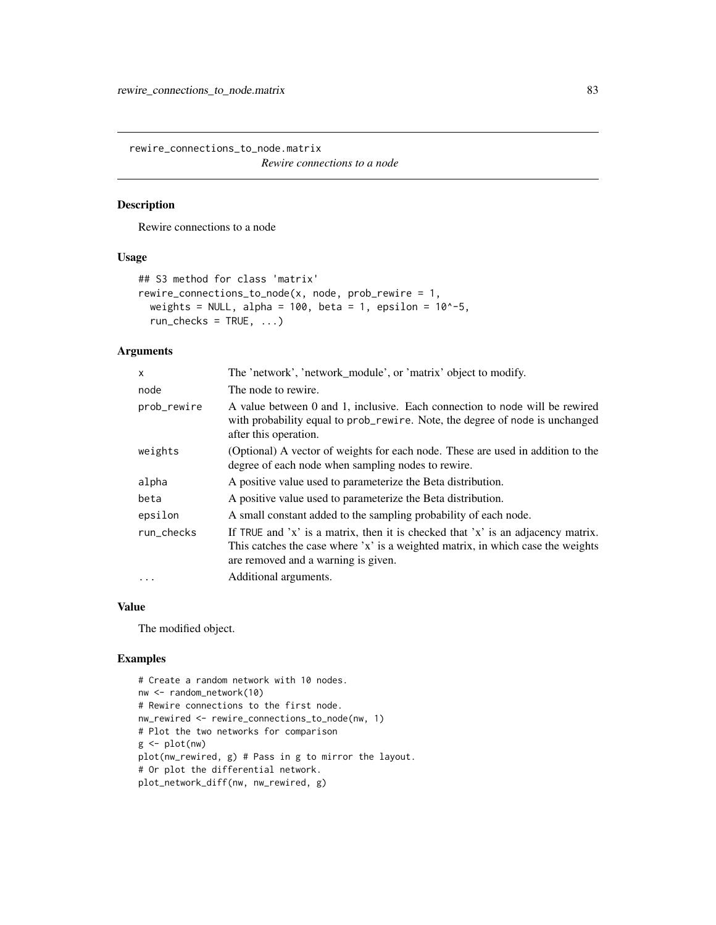<span id="page-82-0"></span>rewire\_connections\_to\_node.matrix

*Rewire connections to a node*

# Description

Rewire connections to a node

# Usage

```
## S3 method for class 'matrix'
rewire_connections_to_node(x, node, prob\_rewire = 1,
  weights = NULL, alpha = 100, beta = 1, epsilon = 10^{\circ}-5,
  run\_checks = TRUE, ...)
```
### Arguments

| X           | The 'network', 'network_module', or 'matrix' object to modify.                                                                                                                                             |
|-------------|------------------------------------------------------------------------------------------------------------------------------------------------------------------------------------------------------------|
| node        | The node to rewire.                                                                                                                                                                                        |
| prob_rewire | A value between 0 and 1, inclusive. Each connection to node will be rewired<br>with probability equal to prob_rewire. Note, the degree of node is unchanged<br>after this operation.                       |
| weights     | (Optional) A vector of weights for each node. These are used in addition to the<br>degree of each node when sampling nodes to rewire.                                                                      |
| alpha       | A positive value used to parameterize the Beta distribution.                                                                                                                                               |
| beta        | A positive value used to parameterize the Beta distribution.                                                                                                                                               |
| epsilon     | A small constant added to the sampling probability of each node.                                                                                                                                           |
| run_checks  | If TRUE and 'x' is a matrix, then it is checked that 'x' is an adjacency matrix.<br>This catches the case where 'x' is a weighted matrix, in which case the weights<br>are removed and a warning is given. |
| $\ddots$    | Additional arguments.                                                                                                                                                                                      |

#### Value

The modified object.

```
# Create a random network with 10 nodes.
nw <- random_network(10)
# Rewire connections to the first node.
nw_rewired <- rewire_connections_to_node(nw, 1)
# Plot the two networks for comparison
g <- plot(nw)
plot(nw_rewired, g) # Pass in g to mirror the layout.
# Or plot the differential network.
plot_network_diff(nw, nw_rewired, g)
```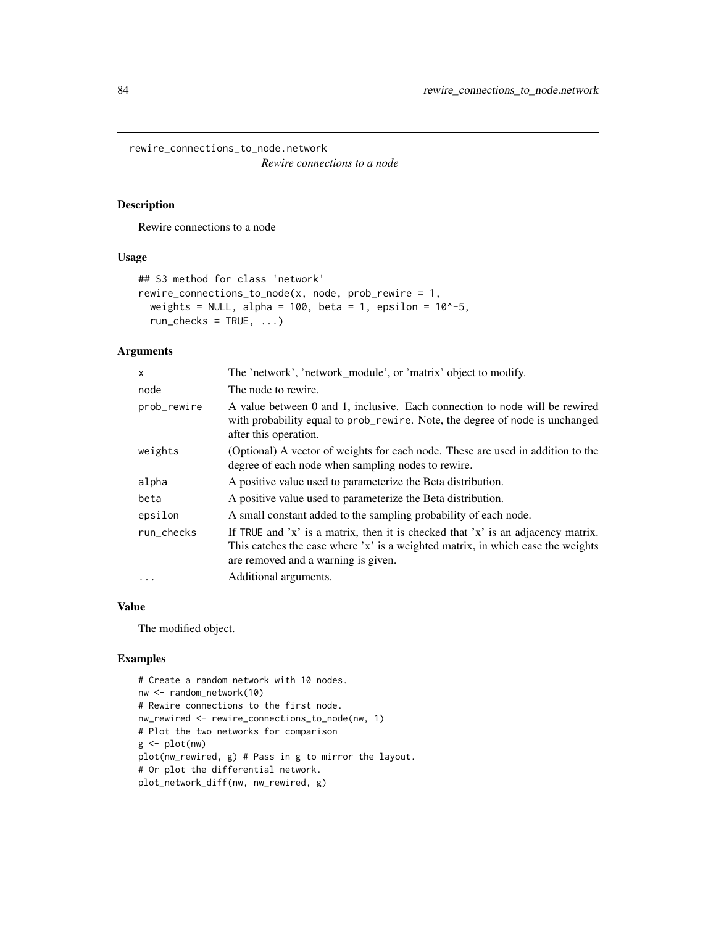<span id="page-83-0"></span>rewire\_connections\_to\_node.network

*Rewire connections to a node*

# Description

Rewire connections to a node

# Usage

```
## S3 method for class 'network'
rewire_connections_to_node(x, node, prob\_rewire = 1,
  weights = NULL, alpha = 100, beta = 1, epsilon = 10^{\circ}-5,
  run\_checks = TRUE, ...)
```
### Arguments

| X           | The 'network', 'network_module', or 'matrix' object to modify.                                                                                                                                             |
|-------------|------------------------------------------------------------------------------------------------------------------------------------------------------------------------------------------------------------|
| node        | The node to rewire.                                                                                                                                                                                        |
| prob_rewire | A value between 0 and 1, inclusive. Each connection to node will be rewired<br>with probability equal to prob_rewire. Note, the degree of node is unchanged<br>after this operation.                       |
| weights     | (Optional) A vector of weights for each node. These are used in addition to the<br>degree of each node when sampling nodes to rewire.                                                                      |
| alpha       | A positive value used to parameterize the Beta distribution.                                                                                                                                               |
| beta        | A positive value used to parameterize the Beta distribution.                                                                                                                                               |
| epsilon     | A small constant added to the sampling probability of each node.                                                                                                                                           |
| run checks  | If TRUE and 'x' is a matrix, then it is checked that 'x' is an adjacency matrix.<br>This catches the case where 'x' is a weighted matrix, in which case the weights<br>are removed and a warning is given. |
| $\cdots$    | Additional arguments.                                                                                                                                                                                      |

#### Value

The modified object.

```
# Create a random network with 10 nodes.
nw <- random_network(10)
# Rewire connections to the first node.
nw_rewired <- rewire_connections_to_node(nw, 1)
# Plot the two networks for comparison
g <- plot(nw)
plot(nw_rewired, g) # Pass in g to mirror the layout.
# Or plot the differential network.
plot_network_diff(nw, nw_rewired, g)
```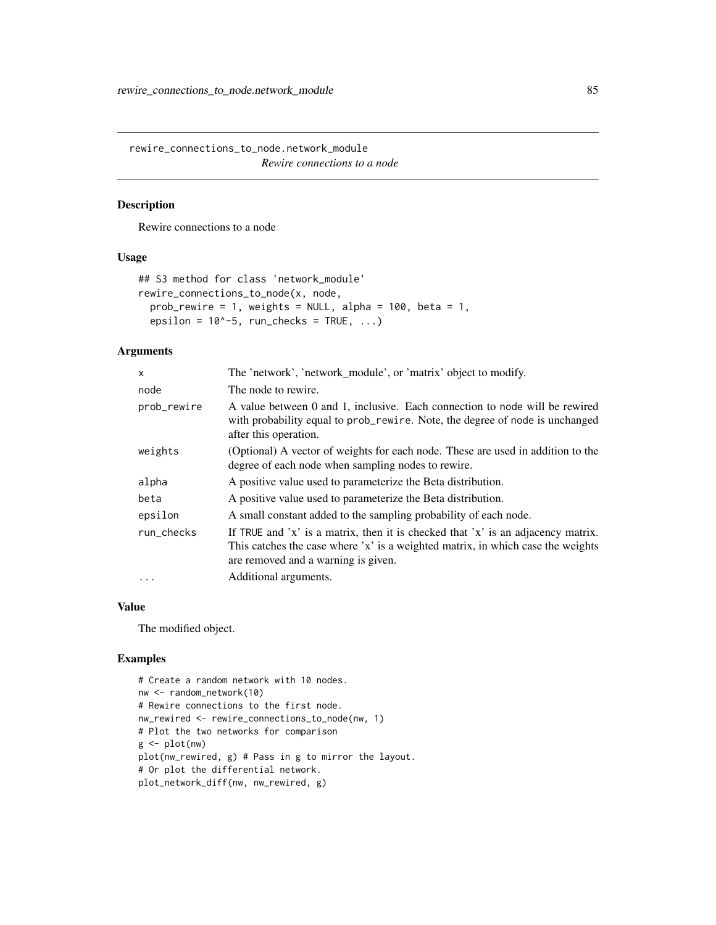<span id="page-84-0"></span>rewire\_connections\_to\_node.network\_module *Rewire connections to a node*

# Description

Rewire connections to a node

# Usage

```
## S3 method for class 'network_module'
rewire_connections_to_node(x, node,
  prob_rewire = 1, weights = NULL, alpha = 100, beta = 1,
  epsilon = 10^{\circ}-5, run_checks = TRUE, ...)
```
#### Arguments

| X           | The 'network', 'network_module', or 'matrix' object to modify.                                                                                                                                             |
|-------------|------------------------------------------------------------------------------------------------------------------------------------------------------------------------------------------------------------|
| node        | The node to rewire.                                                                                                                                                                                        |
| prob_rewire | A value between 0 and 1, inclusive. Each connection to node will be rewired<br>with probability equal to prob_rewire. Note, the degree of node is unchanged<br>after this operation.                       |
| weights     | (Optional) A vector of weights for each node. These are used in addition to the<br>degree of each node when sampling nodes to rewire.                                                                      |
| alpha       | A positive value used to parameterize the Beta distribution.                                                                                                                                               |
| beta        | A positive value used to parameterize the Beta distribution.                                                                                                                                               |
| epsilon     | A small constant added to the sampling probability of each node.                                                                                                                                           |
| run_checks  | If TRUE and 'x' is a matrix, then it is checked that 'x' is an adjacency matrix.<br>This catches the case where 'x' is a weighted matrix, in which case the weights<br>are removed and a warning is given. |
| $\cdot$     | Additional arguments.                                                                                                                                                                                      |
|             |                                                                                                                                                                                                            |

#### Value

The modified object.

```
# Create a random network with 10 nodes.
nw <- random_network(10)
# Rewire connections to the first node.
nw_rewired <- rewire_connections_to_node(nw, 1)
# Plot the two networks for comparison
g <- plot(nw)
plot(nw_rewired, g) # Pass in g to mirror the layout.
# Or plot the differential network.
plot_network_diff(nw, nw_rewired, g)
```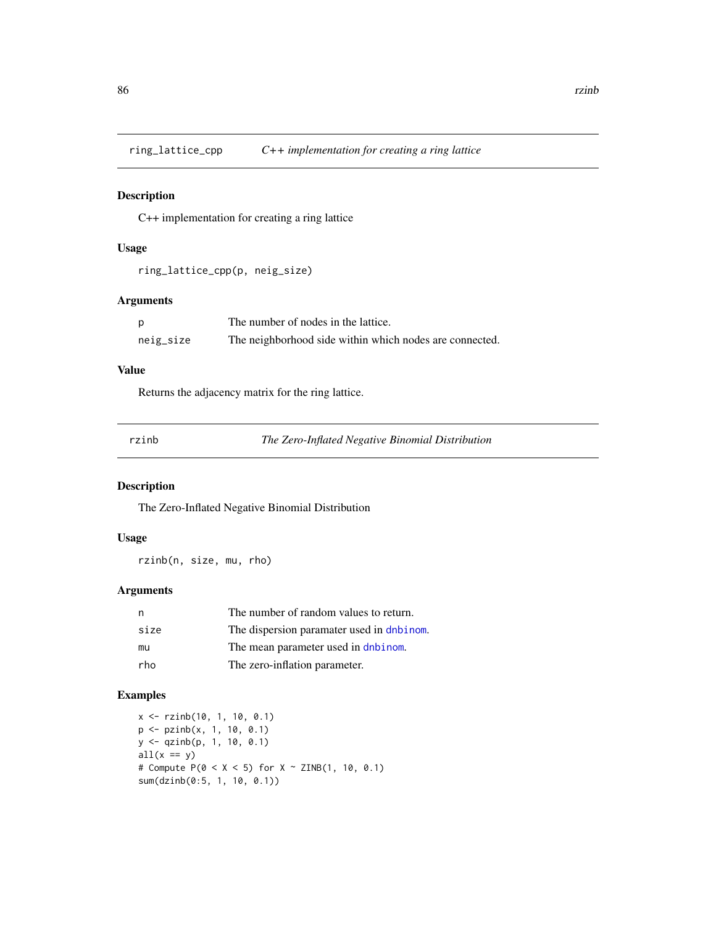<span id="page-85-0"></span>ring\_lattice\_cpp *C++ implementation for creating a ring lattice*

### Description

C++ implementation for creating a ring lattice

#### Usage

```
ring_lattice_cpp(p, neig_size)
```
# Arguments

| p         | The number of nodes in the lattice.                     |
|-----------|---------------------------------------------------------|
| neig_size | The neighborhood side within which nodes are connected. |

#### Value

Returns the adjacency matrix for the ring lattice.

| ٠ |  |  |
|---|--|--|

**The Zero-Inflated Negative Binomial Distribution** 

# Description

The Zero-Inflated Negative Binomial Distribution

# Usage

rzinb(n, size, mu, rho)

# Arguments

| n    | The number of random values to return.    |
|------|-------------------------------------------|
| size | The dispersion paramater used in dnbinom. |
| mu   | The mean parameter used in dnbinom.       |
| rho  | The zero-inflation parameter.             |

```
x <- rzinb(10, 1, 10, 0.1)
p <- pzinb(x, 1, 10, 0.1)
y <- qzinb(p, 1, 10, 0.1)
all(x == y)# Compute P(0 < X < 5) for X \sim ZINB(1, 10, 0.1)sum(dzinb(0:5, 1, 10, 0.1))
```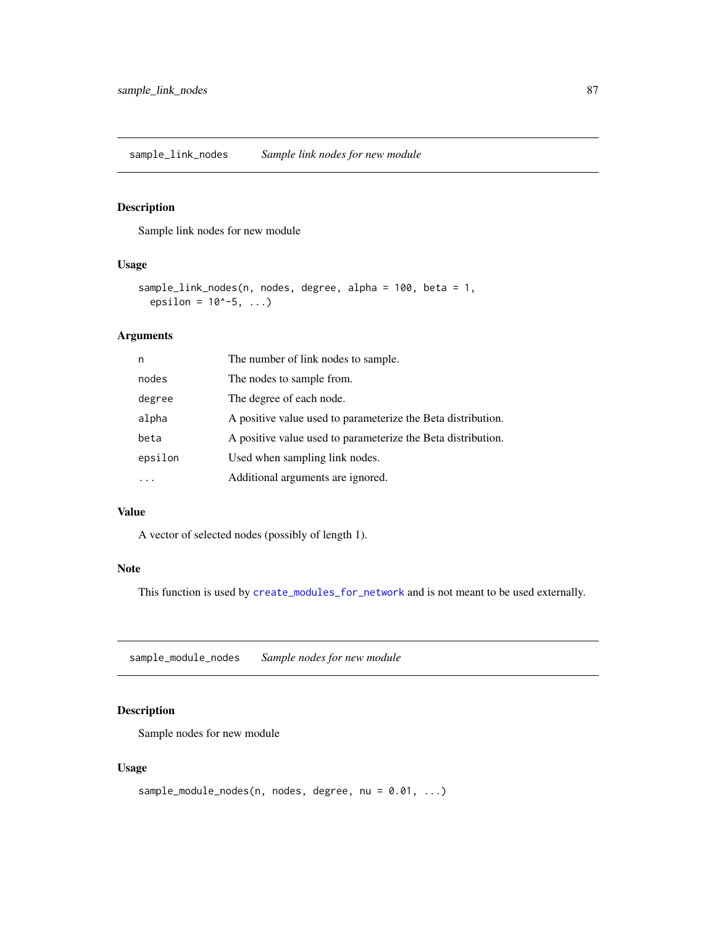<span id="page-86-0"></span>sample\_link\_nodes *Sample link nodes for new module*

#### Description

Sample link nodes for new module

#### Usage

```
sample_link_nodes(n, nodes, degree, alpha = 100, beta = 1,
  epsilon = 10^{\circ} - 5, ...)
```
#### Arguments

| n       | The number of link nodes to sample.                          |
|---------|--------------------------------------------------------------|
| nodes   | The nodes to sample from.                                    |
| degree  | The degree of each node.                                     |
| alpha   | A positive value used to parameterize the Beta distribution. |
| beta    | A positive value used to parameterize the Beta distribution. |
| epsilon | Used when sampling link nodes.                               |
|         | Additional arguments are ignored.                            |

#### Value

A vector of selected nodes (possibly of length 1).

### Note

This function is used by [create\\_modules\\_for\\_network](#page-10-0) and is not meant to be used externally.

sample\_module\_nodes *Sample nodes for new module*

# Description

Sample nodes for new module

#### Usage

```
sample_module_nodes(n, nodes, degree, nu = 0.01, ...)
```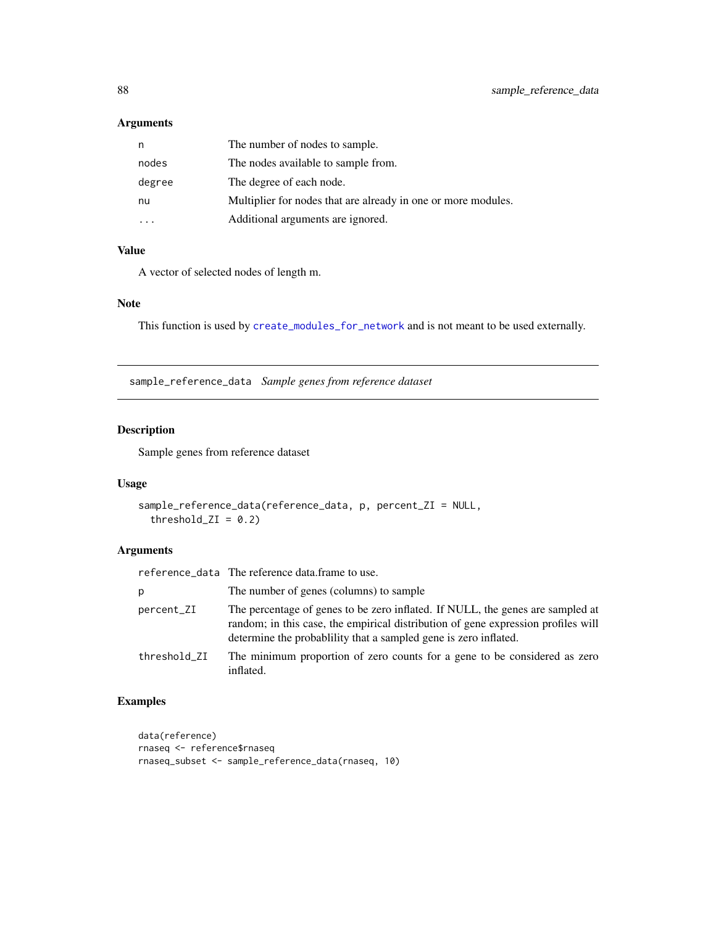## <span id="page-87-0"></span>Arguments

| n      | The number of nodes to sample.                                |
|--------|---------------------------------------------------------------|
| nodes  | The nodes available to sample from.                           |
| degree | The degree of each node.                                      |
| nu     | Multiplier for nodes that are already in one or more modules. |
|        | Additional arguments are ignored.                             |

### Value

A vector of selected nodes of length m.

# Note

This function is used by [create\\_modules\\_for\\_network](#page-10-0) and is not meant to be used externally.

sample\_reference\_data *Sample genes from reference dataset*

# Description

Sample genes from reference dataset

## Usage

```
sample_reference_data(reference_data, p, percent_ZI = NULL,
 threshold_ZI = 0.2)
```
# Arguments

|              | reference_data The reference data.frame to use.                                                                                                                                                                                        |
|--------------|----------------------------------------------------------------------------------------------------------------------------------------------------------------------------------------------------------------------------------------|
| р            | The number of genes (columns) to sample                                                                                                                                                                                                |
| percent_ZI   | The percentage of genes to be zero inflated. If NULL, the genes are sampled at<br>random; in this case, the empirical distribution of gene expression profiles will<br>determine the probability that a sampled gene is zero inflated. |
| threshold_ZI | The minimum proportion of zero counts for a gene to be considered as zero<br>inflated.                                                                                                                                                 |

```
data(reference)
rnaseq <- reference$rnaseq
rnaseq_subset <- sample_reference_data(rnaseq, 10)
```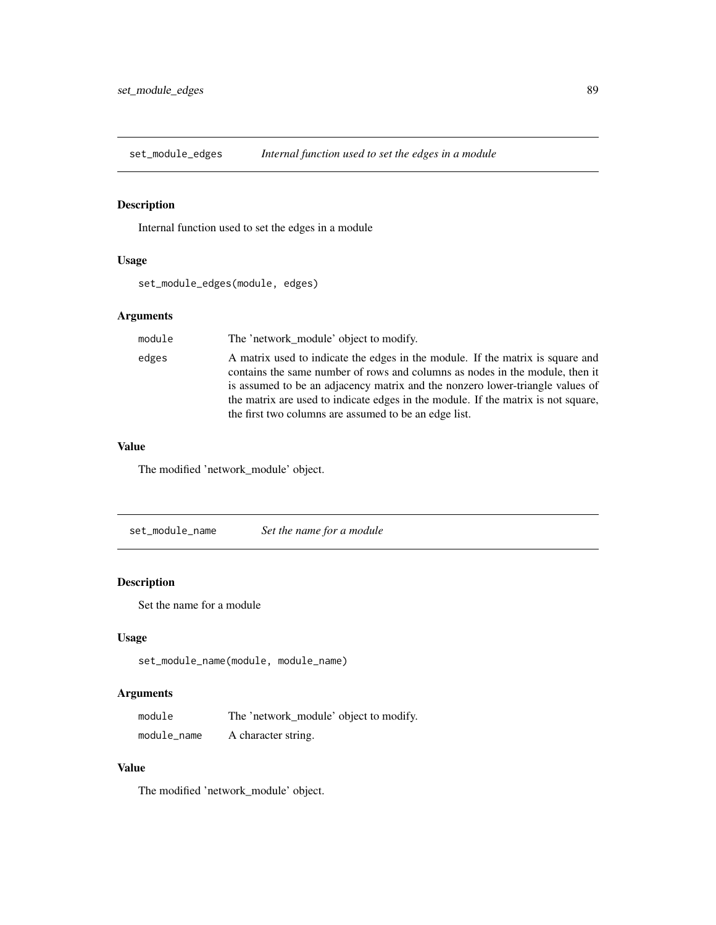<span id="page-88-0"></span>set\_module\_edges *Internal function used to set the edges in a module*

# Description

Internal function used to set the edges in a module

## Usage

set\_module\_edges(module, edges)

# Arguments

| module | The 'network module' object to modify.                                                                                                                                                                                                                                                                                                                                                        |
|--------|-----------------------------------------------------------------------------------------------------------------------------------------------------------------------------------------------------------------------------------------------------------------------------------------------------------------------------------------------------------------------------------------------|
| edges  | A matrix used to indicate the edges in the module. If the matrix is square and<br>contains the same number of rows and columns as nodes in the module, then it<br>is assumed to be an adjacency matrix and the nonzero lower-triangle values of<br>the matrix are used to indicate edges in the module. If the matrix is not square,<br>the first two columns are assumed to be an edge list. |

## Value

The modified 'network\_module' object.

set\_module\_name *Set the name for a module*

#### Description

Set the name for a module

# Usage

```
set_module_name(module, module_name)
```
# Arguments

| module      | The 'network_module' object to modify. |
|-------------|----------------------------------------|
| module_name | A character string.                    |

## Value

The modified 'network\_module' object.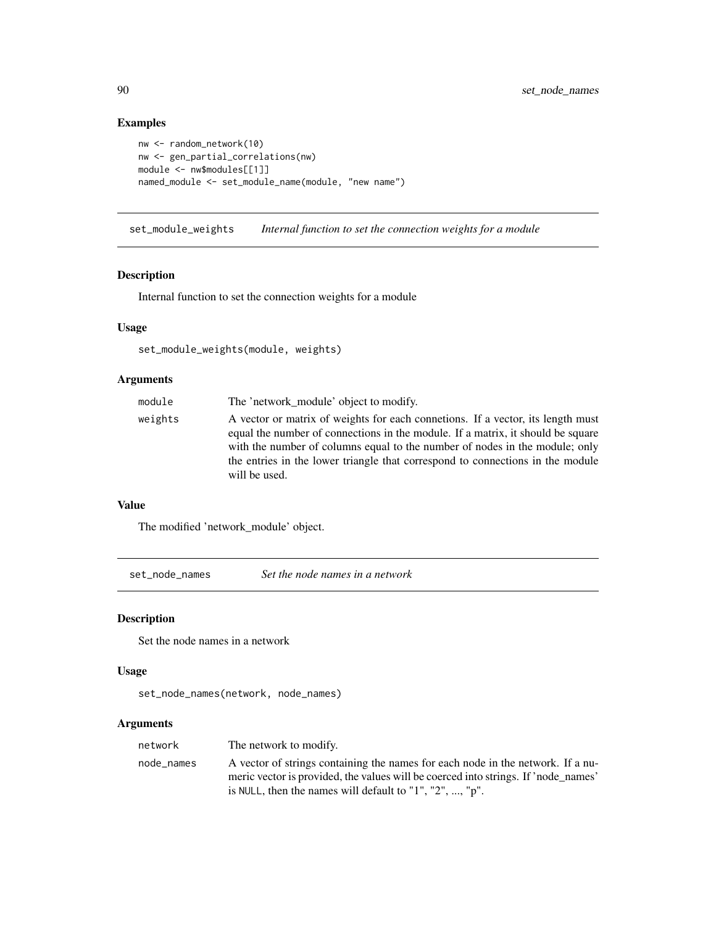# Examples

```
nw <- random_network(10)
nw <- gen_partial_correlations(nw)
module <- nw$modules[[1]]
named_module <- set_module_name(module, "new name")
```
set\_module\_weights *Internal function to set the connection weights for a module*

#### Description

Internal function to set the connection weights for a module

# Usage

set\_module\_weights(module, weights)

# Arguments

| module  | The 'network module' object to modify.                                                                                                                                                                                                                                                                                                               |
|---------|------------------------------------------------------------------------------------------------------------------------------------------------------------------------------------------------------------------------------------------------------------------------------------------------------------------------------------------------------|
| weights | A vector or matrix of weights for each connetions. If a vector, its length must<br>equal the number of connections in the module. If a matrix, it should be square<br>with the number of columns equal to the number of nodes in the module; only<br>the entries in the lower triangle that correspond to connections in the module<br>will be used. |

## Value

The modified 'network\_module' object.

set\_node\_names *Set the node names in a network*

#### Description

Set the node names in a network

#### Usage

```
set_node_names(network, node_names)
```
# Arguments

| network    | The network to modify.                                                             |
|------------|------------------------------------------------------------------------------------|
| node names | A vector of strings containing the names for each node in the network. If a nu-    |
|            | meric vector is provided, the values will be coerced into strings. If 'node names' |
|            | is NULL, then the names will default to "1", "2", , " $p$ ".                       |

<span id="page-89-0"></span>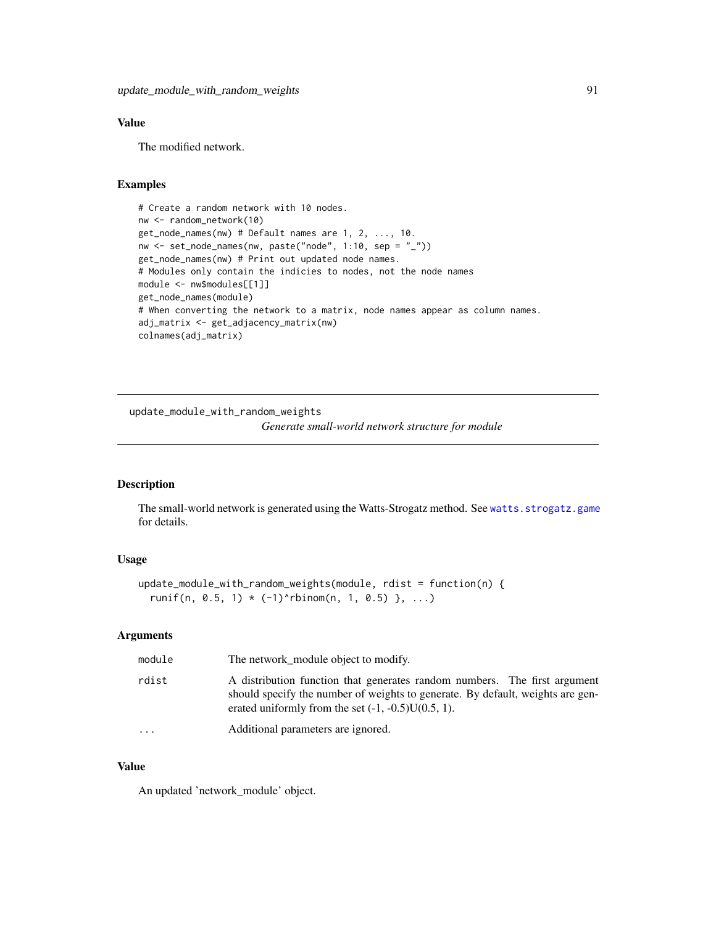## <span id="page-90-0"></span>Value

The modified network.

#### Examples

```
# Create a random network with 10 nodes.
nw <- random_network(10)
get_node_names(nw) # Default names are 1, 2, ..., 10.
nw \leq set\_node\_names(nw, paste("node", 1:10, sep = "__")get_node_names(nw) # Print out updated node names.
# Modules only contain the indicies to nodes, not the node names
module <- nw$modules[[1]]
get_node_names(module)
# When converting the network to a matrix, node names appear as column names.
adj_matrix <- get_adjacency_matrix(nw)
colnames(adj_matrix)
```
update\_module\_with\_random\_weights

*Generate small-world network structure for module*

#### Description

The small-world network is generated using the Watts-Strogatz method. See [watts.strogatz.game](#page-0-0) for details.

#### Usage

```
update_module_with_random_weights(module, rdist = function(n) {
  runif(n, 0.5, 1) * (-1) rbinom(n, 1, 0.5) }, ...)
```
# Arguments

| module    | The network_module object to modify.                                                                                                                                                                                 |
|-----------|----------------------------------------------------------------------------------------------------------------------------------------------------------------------------------------------------------------------|
| rdist     | A distribution function that generates random numbers. The first argument<br>should specify the number of weights to generate. By default, weights are gen-<br>erated uniformly from the set $(-1, -0.5)U(0.5, 1)$ . |
| $\ddotsc$ | Additional parameters are ignored.                                                                                                                                                                                   |

#### Value

An updated 'network\_module' object.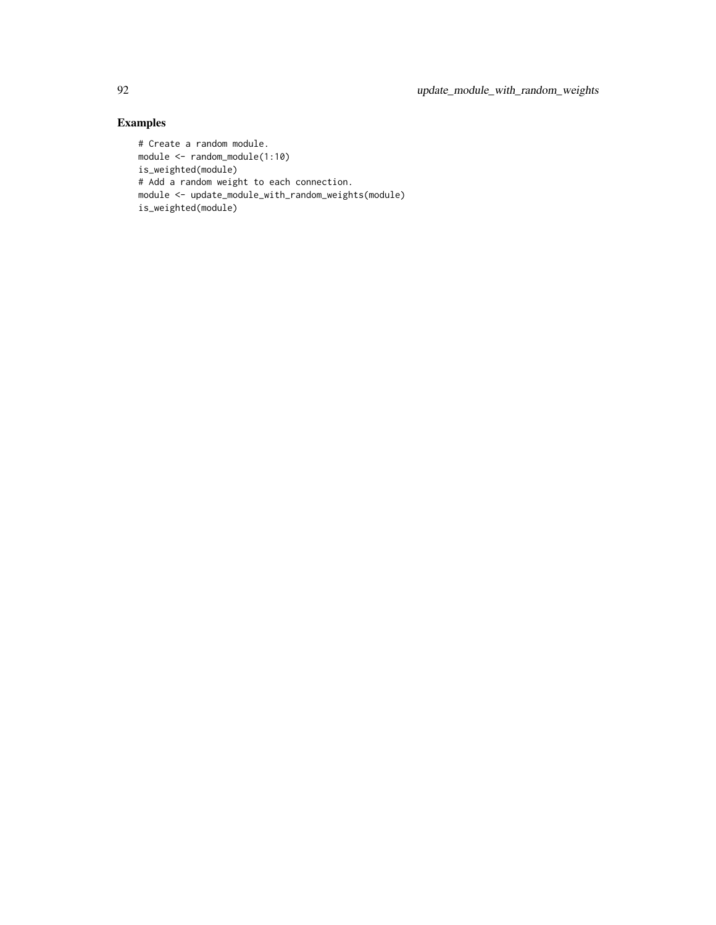```
# Create a random module.
module <- random_module(1:10)
is_weighted(module)
# Add a random weight to each connection.
module <- update_module_with_random_weights(module)
is_weighted(module)
```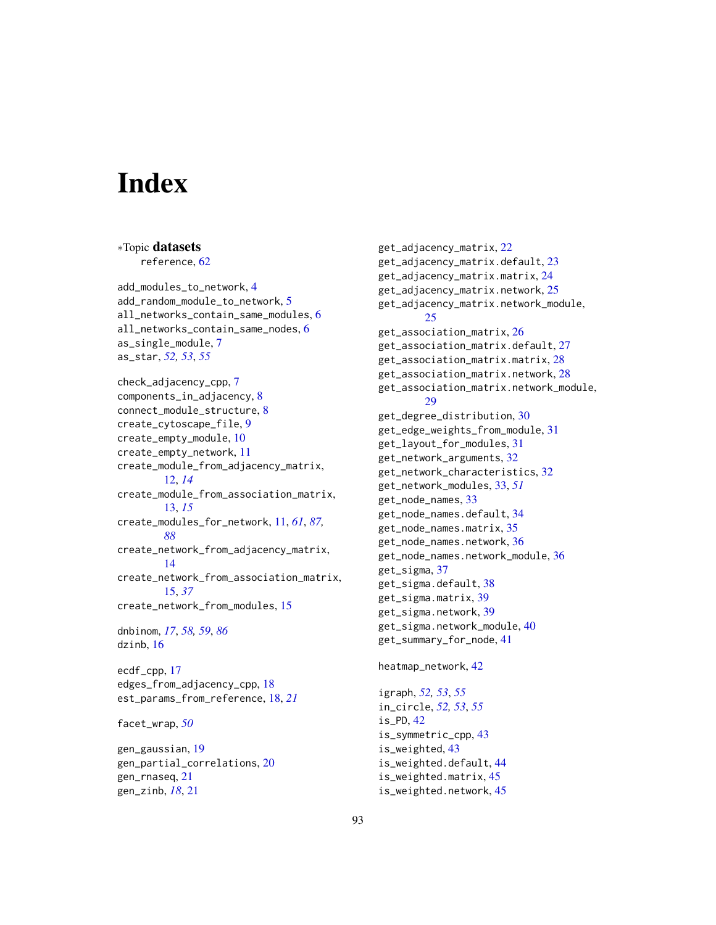# **Index**

∗Topic datasets

reference, [62](#page-61-0) add\_modules\_to\_network, [4](#page-3-0) add\_random\_module\_to\_network, [5](#page-4-0) all\_networks\_contain\_same\_modules, [6](#page-5-0) all\_networks\_contain\_same\_nodes, [6](#page-5-0) as\_single\_module, [7](#page-6-0) as\_star, *[52,](#page-51-0) [53](#page-52-0)*, *[55](#page-54-0)* check\_adjacency\_cpp, [7](#page-6-0) components\_in\_adjacency, [8](#page-7-0) connect\_module\_structure, [8](#page-7-0) create\_cytoscape\_file, [9](#page-8-0) create\_empty\_module, [10](#page-9-0) create\_empty\_network, [11](#page-10-1) create\_module\_from\_adjacency\_matrix, [12,](#page-11-0) *[14](#page-13-0)* create\_module\_from\_association\_matrix, [13,](#page-12-0) *[15](#page-14-0)* create\_modules\_for\_network, [11,](#page-10-1) *[61](#page-60-0)*, *[87,](#page-86-0) [88](#page-87-0)* create\_network\_from\_adjacency\_matrix, [14](#page-13-0) create\_network\_from\_association\_matrix, [15,](#page-14-0) *[37](#page-36-0)* create\_network\_from\_modules, [15](#page-14-0) dnbinom, *[17](#page-16-0)*, *[58,](#page-57-0) [59](#page-58-0)*, *[86](#page-85-0)* dzinb, [16](#page-15-0) ecdf\_cpp, [17](#page-16-0) edges\_from\_adjacency\_cpp, [18](#page-17-0) est\_params\_from\_reference, [18,](#page-17-0) *[21](#page-20-0)* facet\_wrap, *[50](#page-49-0)* gen\_gaussian, [19](#page-18-0) gen\_partial\_correlations, [20](#page-19-0) gen\_rnaseq, [21](#page-20-0) gen\_zinb, *[18](#page-17-0)*, [21](#page-20-0)

get\_adjacency\_matrix, [22](#page-21-0) get\_adjacency\_matrix.default, [23](#page-22-0) get\_adjacency\_matrix.matrix, [24](#page-23-0) get\_adjacency\_matrix.network, [25](#page-24-0) get\_adjacency\_matrix.network\_module, [25](#page-24-0) get\_association\_matrix, [26](#page-25-0) get\_association\_matrix.default, [27](#page-26-0) get\_association\_matrix.matrix, [28](#page-27-0) get\_association\_matrix.network, [28](#page-27-0) get\_association\_matrix.network\_module, [29](#page-28-0) get\_degree\_distribution, [30](#page-29-0) get\_edge\_weights\_from\_module, [31](#page-30-0) get\_layout\_for\_modules, [31](#page-30-0) get\_network\_arguments, [32](#page-31-0) get\_network\_characteristics, [32](#page-31-0) get\_network\_modules, [33,](#page-32-0) *[51](#page-50-0)* get\_node\_names, [33](#page-32-0) get\_node\_names.default, [34](#page-33-0) get\_node\_names.matrix, [35](#page-34-0) get\_node\_names.network, [36](#page-35-0) get\_node\_names.network\_module, [36](#page-35-0) get\_sigma, [37](#page-36-0) get\_sigma.default, [38](#page-37-0) get\_sigma.matrix, [39](#page-38-0) get\_sigma.network, [39](#page-38-0) get\_sigma.network\_module, [40](#page-39-0) get\_summary\_for\_node, [41](#page-40-0)

## heatmap\_network, [42](#page-41-0)

igraph, *[52,](#page-51-0) [53](#page-52-0)*, *[55](#page-54-0)* in\_circle, *[52,](#page-51-0) [53](#page-52-0)*, *[55](#page-54-0)* is\_PD, [42](#page-41-0) is\_symmetric\_cpp, [43](#page-42-0) is\_weighted, [43](#page-42-0) is\_weighted.default, [44](#page-43-0) is\_weighted.matrix, [45](#page-44-0) is\_weighted.network, [45](#page-44-0)